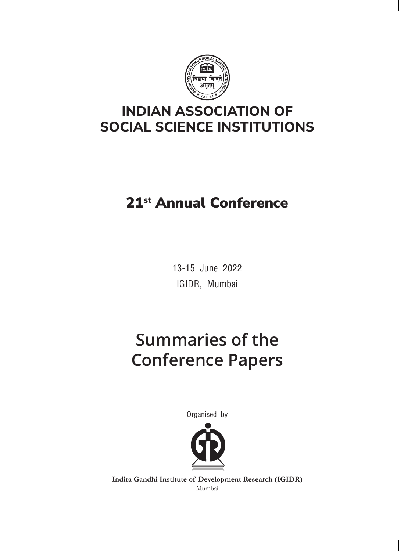

## **INDIAN ASSOCIATION OF SOCIAL SCIENCE INSTITUTIONS**

# 21st Annual Conference

13-15 June 2022 IGIDR, Mumbai

# **Summaries of the Conference Papers**

Organised by



**Indira Gandhi Institute of Development Research (IGIDR)** Mumbai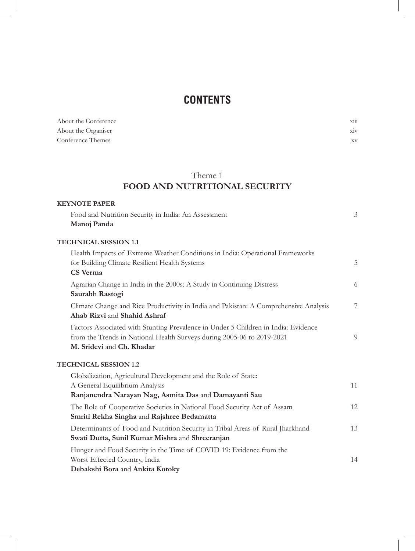## **CONTENTS**

| About the Conference | $\cdots$<br>X111 |
|----------------------|------------------|
| About the Organiser  | X1V              |
| Conference Themes    | $_{\rm XV}$      |

## Theme 1 **FOOD AND NUTRITIONAL SECURITY**

| <b>KEYNOTE PAPER</b>                                                                                                 |    |
|----------------------------------------------------------------------------------------------------------------------|----|
| Food and Nutrition Security in India: An Assessment                                                                  | 3  |
| Manoj Panda                                                                                                          |    |
| <b>TECHNICAL SESSION 1.1</b>                                                                                         |    |
| Health Impacts of Extreme Weather Conditions in India: Operational Frameworks                                        |    |
| for Building Climate Resilient Health Systems                                                                        | 5  |
| CS Verma                                                                                                             |    |
| Agrarian Change in India in the 2000s: A Study in Continuing Distress                                                | 6  |
| Saurabh Rastogi                                                                                                      |    |
| Climate Change and Rice Productivity in India and Pakistan: A Comprehensive Analysis<br>Ahab Rizvi and Shahid Ashraf | 7  |
|                                                                                                                      |    |
| Factors Associated with Stunting Prevalence in Under 5 Children in India: Evidence                                   | 9  |
| from the Trends in National Health Surveys during 2005-06 to 2019-2021<br>M. Sridevi and Ch. Khadar                  |    |
| <b>TECHNICAL SESSION 1.2</b>                                                                                         |    |
| Globalization, Agricultural Development and the Role of State:                                                       |    |
| A General Equilibrium Analysis                                                                                       | 11 |
| Ranjanendra Narayan Nag, Asmita Das and Damayanti Sau                                                                |    |
| The Role of Cooperative Societies in National Food Security Act of Assam                                             | 12 |
| Smriti Rekha Singha and Rajshree Bedamatta                                                                           |    |
| Determinants of Food and Nutrition Security in Tribal Areas of Rural Jharkhand                                       | 13 |
| Swati Dutta, Sunil Kumar Mishra and Shreeranjan                                                                      |    |
| Hunger and Food Security in the Time of COVID 19: Evidence from the                                                  |    |
| Worst Effected Country, India                                                                                        | 14 |
| Debakshi Bora and Ankita Kotoky                                                                                      |    |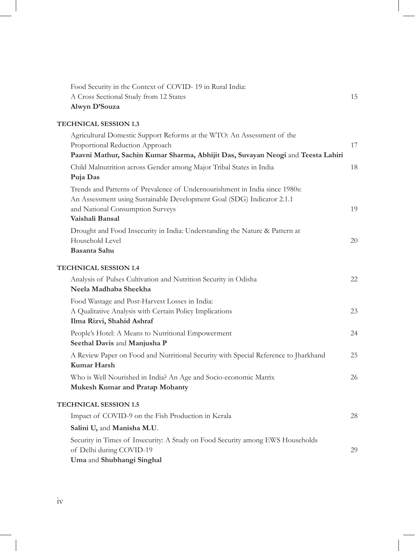| Food Security in the Context of COVID-19 in Rural India:                                                                                                                                                     |    |
|--------------------------------------------------------------------------------------------------------------------------------------------------------------------------------------------------------------|----|
| A Cross Sectional Study from 12 States                                                                                                                                                                       | 15 |
| Alwyn D'Souza                                                                                                                                                                                                |    |
| <b>TECHNICAL SESSION 1.3</b>                                                                                                                                                                                 |    |
| Agricultural Domestic Support Reforms at the WTO: An Assessment of the<br>Proportional Reduction Approach<br>Paavni Mathur, Sachin Kumar Sharma, Abhijit Das, Suvayan Neogi and Teesta Lahiri                | 17 |
| Child Malnutrition across Gender among Major Tribal States in India<br>Puja Das                                                                                                                              | 18 |
| Trends and Patterns of Prevalence of Undernourishment in India since 1980s:<br>An Assessment using Sustainable Development Goal (SDG) Indicator 2.1.1<br>and National Consumption Surveys<br>Vaishali Bansal | 19 |
| Drought and Food Insecurity in India: Understanding the Nature & Pattern at<br>Household Level<br>Basanta Sahu                                                                                               | 20 |
| <b>TECHNICAL SESSION 1.4</b>                                                                                                                                                                                 |    |
| Analysis of Pulses Cultivation and Nutrition Security in Odisha<br>Neela Madhaba Sheekha                                                                                                                     | 22 |
| Food Wastage and Post-Harvest Losses in India:<br>A Qualitative Analysis with Certain Policy Implications<br>Ilma Rizvi, Shahid Ashraf                                                                       | 23 |
| People's Hotel: A Means to Nutritional Empowerment<br>Seethal Davis and Manjusha P                                                                                                                           | 24 |
| A Review Paper on Food and Nutritional Security with Special Reference to Jharkhand<br>Kumar Harsh                                                                                                           | 25 |
| Who is Well Nourished in India? An Age and Socio-economic Matrix<br>Mukesh Kumar and Pratap Mohanty                                                                                                          | 26 |
| <b>TECHNICAL SESSION 1.5</b>                                                                                                                                                                                 |    |
| Impact of COVID-9 on the Fish Production in Kerala                                                                                                                                                           | 28 |
| Salini U, and Manisha M.U.                                                                                                                                                                                   |    |
| Security in Times of Insecurity: A Study on Food Security among EWS Households<br>of Delhi during COVID-19<br>Uma and Shubhangi Singhal                                                                      | 29 |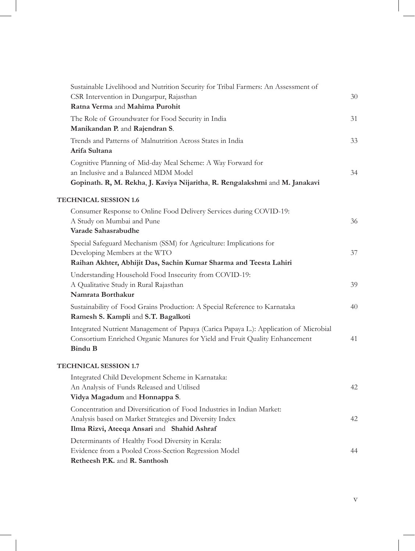| Sustainable Livelihood and Nutrition Security for Tribal Farmers: An Assessment of                                                                                                     |    |
|----------------------------------------------------------------------------------------------------------------------------------------------------------------------------------------|----|
| CSR Intervention in Dungarpur, Rajasthan                                                                                                                                               | 30 |
| Ratna Verma and Mahima Purohit                                                                                                                                                         |    |
| The Role of Groundwater for Food Security in India                                                                                                                                     | 31 |
| Manikandan P. and Rajendran S.                                                                                                                                                         |    |
| Trends and Patterns of Malnutrition Across States in India<br>Arifa Sultana                                                                                                            | 33 |
| Cognitive Planning of Mid-day Meal Scheme: A Way Forward for<br>an Inclusive and a Balanced MDM Model<br>Gopinath. R, M. Rekha, J. Kaviya Nijaritha, R. Rengalakshmi and M. Janakavi   | 34 |
|                                                                                                                                                                                        |    |
| <b>TECHNICAL SESSION 1.6</b>                                                                                                                                                           |    |
| Consumer Response to Online Food Delivery Services during COVID-19:                                                                                                                    |    |
| A Study on Mumbai and Pune                                                                                                                                                             | 36 |
| Varade Sahasrabudhe                                                                                                                                                                    |    |
| Special Safeguard Mechanism (SSM) for Agriculture: Implications for                                                                                                                    |    |
| Developing Members at the WTO<br>Raihan Akhter, Abhijit Das, Sachin Kumar Sharma and Teesta Lahiri                                                                                     | 37 |
|                                                                                                                                                                                        |    |
| Understanding Household Food Insecurity from COVID-19:<br>A Qualitative Study in Rural Rajasthan                                                                                       | 39 |
| Namrata Borthakur                                                                                                                                                                      |    |
| Sustainability of Food Grains Production: A Special Reference to Karnataka                                                                                                             | 40 |
| Ramesh S. Kampli and S.T. Bagalkoti                                                                                                                                                    |    |
| Integrated Nutrient Management of Papaya (Carica Papaya L.): Application of Microbial<br>Consortium Enriched Organic Manures for Yield and Fruit Quality Enhancement<br><b>Bindu B</b> | 41 |
| <b>TECHNICAL SESSION 1.7</b>                                                                                                                                                           |    |
| Integrated Child Development Scheme in Karnataka:                                                                                                                                      |    |
| An Analysis of Funds Released and Utilised                                                                                                                                             | 42 |
| Vidya Magadum and Honnappa S.                                                                                                                                                          |    |
| Concentration and Diversification of Food Industries in Indian Market:                                                                                                                 |    |
| Analysis based on Market Strategies and Diversity Index                                                                                                                                | 42 |
| Ilma Rizvi, Ateeqa Ansari and Shahid Ashraf                                                                                                                                            |    |
| Determinants of Healthy Food Diversity in Kerala:                                                                                                                                      |    |
| Evidence from a Pooled Cross-Section Regression Model                                                                                                                                  | 44 |
| Retheesh P.K. and R. Santhosh                                                                                                                                                          |    |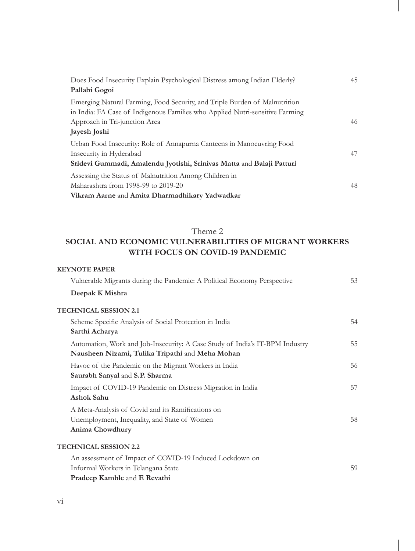| Does Food Insecurity Explain Psychological Distress among Indian Elderly?    | 45 |
|------------------------------------------------------------------------------|----|
| Pallabi Gogoi                                                                |    |
| Emerging Natural Farming, Food Security, and Triple Burden of Malnutrition   |    |
| in India: FA Case of Indigenous Families who Applied Nutri-sensitive Farming |    |
| Approach in Tri-junction Area                                                | 46 |
| Jayesh Joshi                                                                 |    |
| Urban Food Insecurity: Role of Annapurna Canteens in Manoeuvring Food        |    |
| Insecurity in Hyderabad                                                      | 47 |
| Sridevi Gummadi, Amalendu Jyotishi, Srinivas Matta and Balaji Patturi        |    |
| Assessing the Status of Malnutrition Among Children in                       |    |
| Maharashtra from 1998-99 to 2019-20                                          | 48 |
| Vikram Aarne and Amita Dharmadhikary Yadwadkar                               |    |

## Theme 2

## **SOCIAL AND ECONOMIC VULNERABILITIES OF MIGRANT WORKERS WITH FOCUS ON COVID-19 PANDEMIC**

| <b>KEYNOTE PAPER</b>                                                                                                            |    |
|---------------------------------------------------------------------------------------------------------------------------------|----|
| Vulnerable Migrants during the Pandemic: A Political Economy Perspective                                                        | 53 |
| Deepak K Mishra                                                                                                                 |    |
| <b>TECHNICAL SESSION 2.1</b>                                                                                                    |    |
| Scheme Specific Analysis of Social Protection in India<br>Sarthi Acharya                                                        | 54 |
| Automation, Work and Job-Insecurity: A Case Study of India's IT-BPM Industry<br>Nausheen Nizami, Tulika Tripathi and Meha Mohan | 55 |
| Havoc of the Pandemic on the Migrant Workers in India<br>Saurabh Sanyal and S.P. Sharma                                         | 56 |
| Impact of COVID-19 Pandemic on Distress Migration in India<br>Ashok Sahu                                                        | 57 |
| A Meta-Analysis of Covid and its Ramifications on<br>Unemployment, Inequality, and State of Women<br>Anima Chowdhury            | 58 |
| <b>TECHNICAL SESSION 2.2</b>                                                                                                    |    |
| An assessment of Impact of COVID-19 Induced Lockdown on<br>Informal Workers in Telangana State<br>Pradeep Kamble and E Revathi  | 59 |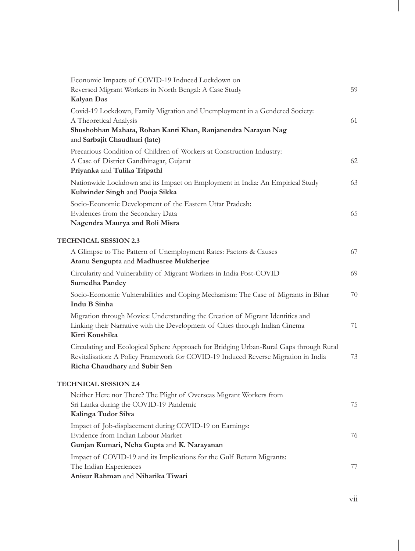| Economic Impacts of COVID-19 Induced Lockdown on                                                                                                                             |    |
|------------------------------------------------------------------------------------------------------------------------------------------------------------------------------|----|
| Reversed Migrant Workers in North Bengal: A Case Study                                                                                                                       | 59 |
| Kalyan Das                                                                                                                                                                   |    |
| Covid-19 Lockdown, Family Migration and Unemployment in a Gendered Society:<br>A Theoretical Analysis                                                                        | 61 |
| Shushobhan Mahata, Rohan Kanti Khan, Ranjanendra Narayan Nag                                                                                                                 |    |
| and Sarbajit Chaudhuri (late)                                                                                                                                                |    |
| Precarious Condition of Children of Workers at Construction Industry:                                                                                                        |    |
| A Case of District Gandhinagar, Gujarat                                                                                                                                      | 62 |
| Priyanka and Tulika Tripathi                                                                                                                                                 |    |
| Nationwide Lockdown and its Impact on Employment in India: An Empirical Study                                                                                                | 63 |
| Kulwinder Singh and Pooja Sikka                                                                                                                                              |    |
| Socio-Economic Development of the Eastern Uttar Pradesh:                                                                                                                     |    |
| Evidences from the Secondary Data                                                                                                                                            | 65 |
| Nagendra Maurya and Roli Misra                                                                                                                                               |    |
| <b>TECHNICAL SESSION 2.3</b>                                                                                                                                                 |    |
| A Glimpse to The Pattern of Unemployment Rates: Factors & Causes<br>Atanu Sengupta and Madhusree Mukherjee                                                                   | 67 |
| Circularity and Vulnerability of Migrant Workers in India Post-COVID<br>Sumedha Pandey                                                                                       | 69 |
| Socio-Economic Vulnerabilities and Coping Mechanism: The Case of Migrants in Bihar                                                                                           | 70 |
| Indu B Sinha                                                                                                                                                                 |    |
| Migration through Movies: Understanding the Creation of Migrant Identities and                                                                                               |    |
| Linking their Narrative with the Development of Cities through Indian Cinema                                                                                                 | 71 |
| Kirti Koushika                                                                                                                                                               |    |
| Circulating and Ecological Sphere Approach for Bridging Urban-Rural Gaps through Rural<br>Revitalisation: A Policy Framework for COVID-19 Induced Reverse Migration in India | 73 |
| Richa Chaudhary and Subir Sen                                                                                                                                                |    |
| <b>TECHNICAL SESSION 2.4</b>                                                                                                                                                 |    |
| Neither Here nor There? The Plight of Overseas Migrant Workers from                                                                                                          |    |
| Sri Lanka during the COVID-19 Pandemic                                                                                                                                       | 75 |
| Kalinga Tudor Silva                                                                                                                                                          |    |
| Impact of Job-displacement during COVID-19 on Earnings:                                                                                                                      |    |
| Evidence from Indian Labour Market                                                                                                                                           | 76 |
| Gunjan Kumari, Neha Gupta and K. Narayanan                                                                                                                                   |    |
| Impact of COVID-19 and its Implications for the Gulf Return Migrants:                                                                                                        |    |
| The Indian Experiences<br>Anisur Rahman and Niharika Tiwari                                                                                                                  | 77 |
|                                                                                                                                                                              |    |

 $\overline{\phantom{a}}$ 

vii

I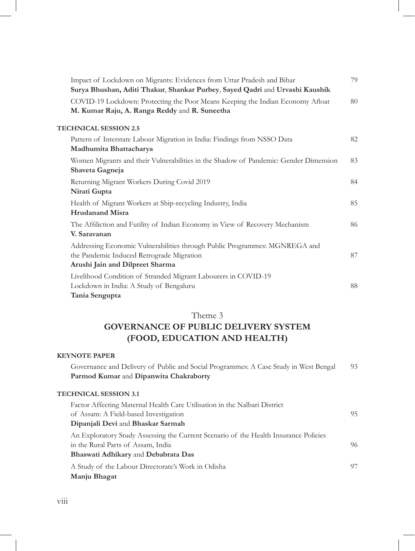| Impact of Lockdown on Migrants: Evidences from Uttar Pradesh and Bihar<br>Surya Bhushan, Aditi Thakur, Shankar Purbey, Sayed Qadri and Urvashi Kaushik     | 79 |
|------------------------------------------------------------------------------------------------------------------------------------------------------------|----|
| COVID-19 Lockdown: Protecting the Poor Means Keeping the Indian Economy Afloat<br>M. Kumar Raju, A. Ranga Reddy and R. Suneetha                            | 80 |
| <b>TECHNICAL SESSION 2.5</b>                                                                                                                               |    |
| Pattern of Interstate Labour Migration in India: Findings from NSSO Data<br>Madhumita Bhattacharya                                                         | 82 |
| Women Migrants and their Vulnerabilities in the Shadow of Pandemic: Gender Dimension<br>Shaveta Gagneja                                                    | 83 |
| Returning Migrant Workers During Covid 2019<br>Nirati Gupta                                                                                                | 84 |
| Health of Migrant Workers at Ship-recycling Industry, India<br><b>Hrudanand Misra</b>                                                                      | 85 |
| The Affiliction and Futility of Indian Economy in View of Recovery Mechanism<br>V. Saravanan                                                               | 86 |
| Addressing Economic Vulnerabilities through Public Programmes: MGNREGA and<br>the Pandemic Induced Retrograde Migration<br>Arushi Jain and Dilpreet Sharma | 87 |
| Livelihood Condition of Stranded Migrant Labourers in COVID-19<br>Lockdown in India: A Study of Bengaluru<br>Tania Sengupta                                | 88 |

#### Theme 3

## **GOVERNANCE OF PUBLIC DELIVERY SYSTEM (FOOD, EDUCATION AND HEALTH)**

#### **KEYNOTE PAPER**

| Governance and Delivery of Public and Social Programmes: A Case Study in West Bengal |  |
|--------------------------------------------------------------------------------------|--|
| <b>Parmod Kumar</b> and Dipanwita Chakraborty                                        |  |

#### **TECHNICAL SESSION 3.1**

| Factor Affecting Maternal Health Care Utilisation in the Nalbari District            |    |
|--------------------------------------------------------------------------------------|----|
| of Assam: A Field-based Investigation                                                | 95 |
| Dipanjali Devi and Bhaskar Sarmah                                                    |    |
| An Exploratory Study Assessing the Current Scenario of the Health Insurance Policies |    |
| in the Rural Parts of Assam, India                                                   | 96 |
| Bhaswati Adhikary and Debabrata Das                                                  |    |
| A Study of the Labour Directorate's Work in Odisha                                   | 97 |
| Manju Bhagat                                                                         |    |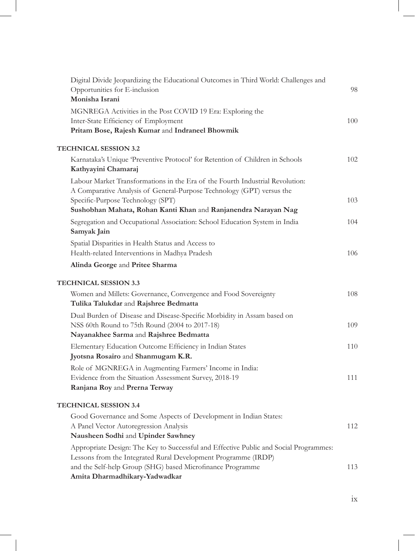| Digital Divide Jeopardizing the Educational Outcomes in Third World: Challenges and<br>Opportunities for E-inclusion<br>Monisha Israni                                                                                                                 | 98  |
|--------------------------------------------------------------------------------------------------------------------------------------------------------------------------------------------------------------------------------------------------------|-----|
| MGNREGA Activities in the Post COVID 19 Era: Exploring the<br>Inter-State Efficiency of Employment<br>Pritam Bose, Rajesh Kumar and Indraneel Bhowmik                                                                                                  | 100 |
| <b>TECHNICAL SESSION 3.2</b>                                                                                                                                                                                                                           |     |
| Karnataka's Unique 'Preventive Protocol' for Retention of Children in Schools<br>Kathyayini Chamaraj                                                                                                                                                   | 102 |
| Labour Market Transformations in the Era of the Fourth Industrial Revolution:<br>A Comparative Analysis of General-Purpose Technology (GPT) versus the                                                                                                 |     |
| Specific-Purpose Technology (SPT)<br>Sushobhan Mahata, Rohan Kanti Khan and Ranjanendra Narayan Nag                                                                                                                                                    | 103 |
| Segregation and Occupational Association: School Education System in India<br>Samyak Jain                                                                                                                                                              | 104 |
| Spatial Disparities in Health Status and Access to<br>Health-related Interventions in Madhya Pradesh                                                                                                                                                   | 106 |
| Alinda George and Pritee Sharma                                                                                                                                                                                                                        |     |
| <b>TECHNICAL SESSION 3.3</b>                                                                                                                                                                                                                           |     |
| Women and Millets: Governance, Convergence and Food Sovereignty<br>Tulika Talukdar and Rajshree Bedmatta                                                                                                                                               | 108 |
| Dual Burden of Disease and Disease-Specific Morbidity in Assam based on<br>NSS 60th Round to 75th Round (2004 to 2017-18)<br>Nayanakhee Sarma and Rajshree Bedmatta                                                                                    | 109 |
| Elementary Education Outcome Efficiency in Indian States<br>Jyotsna Rosairo and Shanmugam K.R.                                                                                                                                                         | 110 |
| Role of MGNREGA in Augmenting Farmers' Income in India:<br>Evidence from the Situation Assessment Survey, 2018-19<br>Ranjana Roy and Prerna Terway                                                                                                     | 111 |
| <b>TECHNICAL SESSION 3.4</b>                                                                                                                                                                                                                           |     |
| Good Governance and Some Aspects of Development in Indian States:<br>A Panel Vector Autoregression Analysis                                                                                                                                            | 112 |
| Nausheen Sodhi and Upinder Sawhney                                                                                                                                                                                                                     |     |
| Appropriate Design: The Key to Successful and Effective Public and Social Programmes:<br>Lessons from the Integrated Rural Development Programme (IRDP)<br>and the Self-help Group (SHG) based Microfinance Programme<br>Amita Dharmadhikary-Yadwadkar | 113 |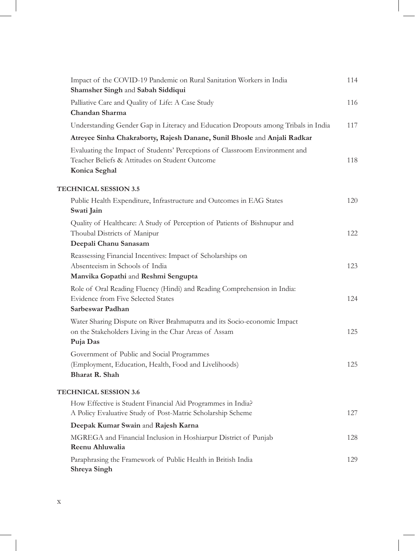| Impact of the COVID-19 Pandemic on Rural Sanitation Workers in India<br>Shamsher Singh and Sabah Siddiqui                                      | 114 |
|------------------------------------------------------------------------------------------------------------------------------------------------|-----|
| Palliative Care and Quality of Life: A Case Study<br>Chandan Sharma                                                                            | 116 |
| Understanding Gender Gap in Literacy and Education Dropouts among Tribals in India                                                             | 117 |
| Atreyee Sinha Chakraborty, Rajesh Danane, Sunil Bhosle and Anjali Radkar                                                                       |     |
| Evaluating the Impact of Students' Perceptions of Classroom Environment and<br>Teacher Beliefs & Attitudes on Student Outcome<br>Konica Seghal | 118 |
| <b>TECHNICAL SESSION 3.5</b>                                                                                                                   |     |
| Public Health Expenditure, Infrastructure and Outcomes in EAG States<br>Swati Jain                                                             | 120 |
| Quality of Healthcare: A Study of Perception of Patients of Bishnupur and<br>Thoubal Districts of Manipur<br>Deepali Chanu Sanasam             | 122 |
| Reassessing Financial Incentives: Impact of Scholarships on<br>Absenteeism in Schools of India<br>Manvika Gopathi and Reshmi Sengupta          | 123 |
| Role of Oral Reading Fluency (Hindi) and Reading Comprehension in India:<br>Evidence from Five Selected States<br>Sarbeswar Padhan             | 124 |
| Water Sharing Dispute on River Brahmaputra and its Socio-economic Impact<br>on the Stakeholders Living in the Char Areas of Assam<br>Puja Das  | 125 |
| Government of Public and Social Programmes<br>(Employment, Education, Health, Food and Livelihoods)<br>Bharat R. Shah                          | 125 |
| <b>TECHNICAL SESSION 3.6</b>                                                                                                                   |     |
| How Effective is Student Financial Aid Programmes in India?<br>A Policy Evaluative Study of Post-Matric Scholarship Scheme                     | 127 |
| Deepak Kumar Swain and Rajesh Karna                                                                                                            |     |
| MGREGA and Financial Inclusion in Hoshiarpur District of Punjab<br>Reenu Ahluwalia                                                             | 128 |
| Paraphrasing the Framework of Public Health in British India<br>Shreya Singh                                                                   | 129 |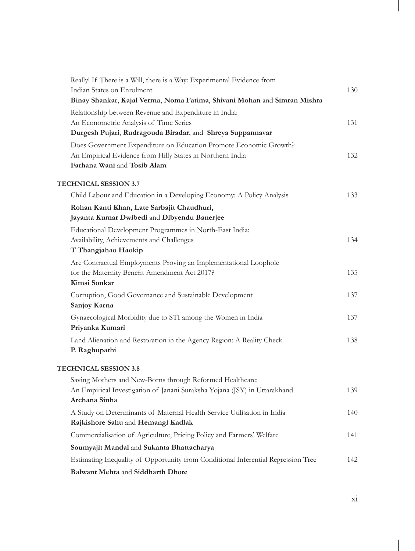| Really! If There is a Will, there is a Way: Experimental Evidence from                               |     |
|------------------------------------------------------------------------------------------------------|-----|
| Indian States on Enrolment                                                                           | 130 |
| Binay Shankar, Kajal Verma, Noma Fatima, Shivani Mohan and Simran Mishra                             |     |
| Relationship between Revenue and Expenditure in India:                                               | 131 |
| An Econometric Analysis of Time Series<br>Durgesh Pujari, Rudragouda Biradar, and Shreya Suppannavar |     |
| Does Government Expenditure on Education Promote Economic Growth?                                    |     |
| An Empirical Evidence from Hilly States in Northern India                                            | 132 |
| Farhana Wani and Tosib Alam                                                                          |     |
|                                                                                                      |     |
| <b>TECHNICAL SESSION 3.7</b>                                                                         |     |
| Child Labour and Education in a Developing Economy: A Policy Analysis                                | 133 |
| Rohan Kanti Khan, Late Sarbajit Chaudhuri,                                                           |     |
| Jayanta Kumar Dwibedi and Dibyendu Banerjee                                                          |     |
| Educational Development Programmes in North-East India:<br>Availability, Achievements and Challenges | 134 |
| T Thangjahao Haokip                                                                                  |     |
| Are Contractual Employments Proving an Implementational Loophole                                     |     |
| for the Maternity Benefit Amendment Act 2017?                                                        | 135 |
| Kimsi Sonkar                                                                                         |     |
| Corruption, Good Governance and Sustainable Development                                              | 137 |
| Sanjoy Karna                                                                                         |     |
| Gynaecological Morbidity due to STI among the Women in India                                         | 137 |
| Priyanka Kumari                                                                                      |     |
| Land Alienation and Restoration in the Agency Region: A Reality Check                                | 138 |
| P. Raghupathi                                                                                        |     |
| <b>TECHNICAL SESSION 3.8</b>                                                                         |     |
| Saving Mothers and New-Borns through Reformed Healthcare:                                            |     |
| An Empirical Investigation of Janani Suraksha Yojana (JSY) in Uttarakhand                            | 139 |
| Archana Sinha                                                                                        |     |
| A Study on Determinants of Maternal Health Service Utilisation in India                              | 140 |
| Rajkishore Sahu and Hemangi Kadlak                                                                   |     |
| Commercialisation of Agriculture, Pricing Policy and Farmers' Welfare                                | 141 |
| Soumyajit Mandal and Sukanta Bhattacharya                                                            |     |
| Estimating Inequality of Opportunity from Conditional Inferential Regression Tree                    | 142 |
| Balwant Mehta and Siddharth Dhote                                                                    |     |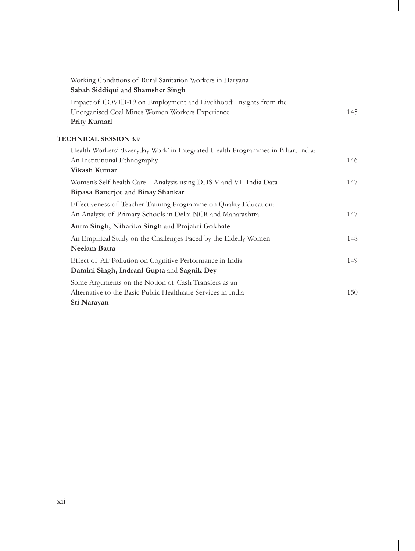| Working Conditions of Rural Sanitation Workers in Haryana                        |     |
|----------------------------------------------------------------------------------|-----|
| Sabah Siddiqui and Shamsher Singh                                                |     |
| Impact of COVID-19 on Employment and Livelihood: Insights from the               |     |
| Unorganised Coal Mines Women Workers Experience                                  | 145 |
| Prity Kumari                                                                     |     |
| <b>TECHNICAL SESSION 3.9</b>                                                     |     |
| Health Workers' 'Everyday Work' in Integrated Health Programmes in Bihar, India: |     |
| An Institutional Ethnography                                                     | 146 |
| Vikash Kumar                                                                     |     |
| Women's Self-health Care - Analysis using DHS V and VII India Data               | 147 |
| Bipasa Banerjee and Binay Shankar                                                |     |
| Effectiveness of Teacher Training Programme on Quality Education:                |     |
| An Analysis of Primary Schools in Delhi NCR and Maharashtra                      | 147 |
| Antra Singh, Niharika Singh and Prajakti Gokhale                                 |     |
| An Empirical Study on the Challenges Faced by the Elderly Women                  | 148 |
| <b>Neelam Batra</b>                                                              |     |
| Effect of Air Pollution on Cognitive Performance in India                        | 149 |
| Damini Singh, Indrani Gupta and Sagnik Dey                                       |     |
| Some Arguments on the Notion of Cash Transfers as an                             |     |
| Alternative to the Basic Public Healthcare Services in India                     | 150 |
| Sri Narayan                                                                      |     |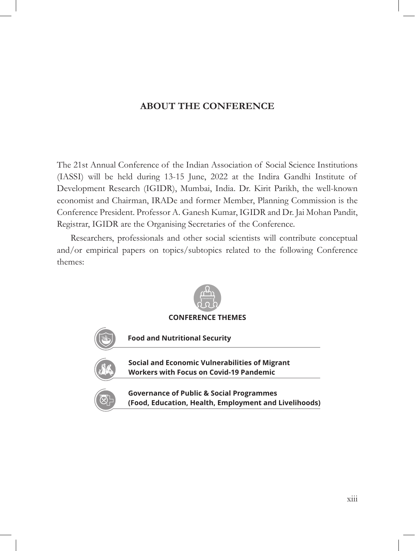## **ABOUT THE CONFERENCE**

The 21st Annual Conference of the Indian Association of Social Science Institutions (IASSI) will be held during 13-15 June, 2022 at the Indira Gandhi Institute of Development Research (IGIDR), Mumbai, India. Dr. Kirit Parikh, the well-known economist and Chairman, IRADe and former Member, Planning Commission is the Conference President. Professor A. Ganesh Kumar, IGIDR and Dr. Jai Mohan Pandit, Registrar, IGIDR are the Organising Secretaries of the Conference.

Researchers, professionals and other social scientists will contribute conceptual and/or empirical papers on topics/subtopics related to the following Conference themes:

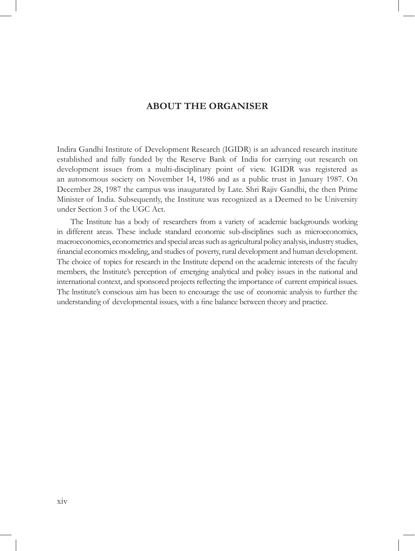## **ABOUT THE ORGANISER**

Indira Gandhi Institute of Development Research (IGIDR) is an advanced research institute established and fully funded by the Reserve Bank of India for carrying out research on development issues from a multi-disciplinary point of view. IGIDR was registered as an autonomous society on November 14, 1986 and as a public trust in January 1987. On December 28, 1987 the campus was inaugurated by Late. Shri Rajiv Gandhi, the then Prime Minister of India. Subsequently, the Institute was recognized as a Deemed to be University under Section 3 of the UGC Act.

The Institute has a body of researchers from a variety of academic backgrounds working in different areas. These include standard economic sub-disciplines such as microeconomics, macroeconomics, econometrics and special areas such as agricultural policy analysis, industry studies, financial economics modeling, and studies of poverty, rural development and human development. The choice of topics for research in the Institute depend on the academic interests of the faculty members, the lnstitute's perception of emerging analytical and policy issues in the national and international context, and sponsored projects reflecting the importance of current empirical issues. The lnstitute's conscious aim has been to encourage the use of economic analysis to further the understanding of developmental issues, with a fine balance between theory and practice.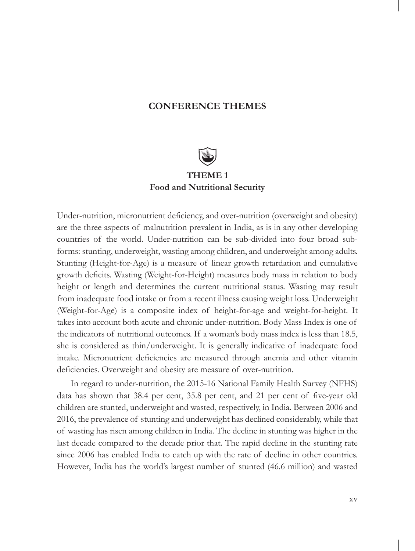## **CONFERENCE THEMES**



Under-nutrition, micronutrient deficiency, and over-nutrition (overweight and obesity) are the three aspects of malnutrition prevalent in India, as is in any other developing countries of the world. Under-nutrition can be sub-divided into four broad subforms: stunting, underweight, wasting among children, and underweight among adults. Stunting (Height-for-Age) is a measure of linear growth retardation and cumulative growth deficits. Wasting (Weight-for-Height) measures body mass in relation to body height or length and determines the current nutritional status. Wasting may result from inadequate food intake or from a recent illness causing weight loss. Underweight (Weight-for-Age) is a composite index of height-for-age and weight-for-height. It takes into account both acute and chronic under-nutrition. Body Mass Index is one of the indicators of nutritional outcomes. If a woman's body mass index is less than 18.5, she is considered as thin/underweight. It is generally indicative of inadequate food intake. Micronutrient deficiencies are measured through anemia and other vitamin deficiencies. Overweight and obesity are measure of over-nutrition.

In regard to under-nutrition, the 2015-16 National Family Health Survey (NFHS) data has shown that 38.4 per cent, 35.8 per cent, and 21 per cent of five-year old children are stunted, underweight and wasted, respectively, in India. Between 2006 and 2016, the prevalence of stunting and underweight has declined considerably, while that of wasting has risen among children in India. The decline in stunting was higher in the last decade compared to the decade prior that. The rapid decline in the stunting rate since 2006 has enabled India to catch up with the rate of decline in other countries. However, India has the world's largest number of stunted (46.6 million) and wasted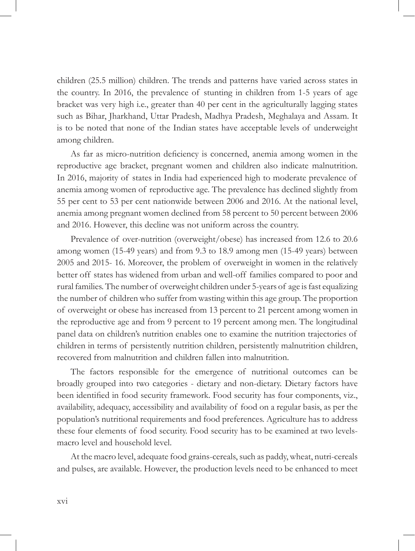children (25.5 million) children. The trends and patterns have varied across states in the country. In 2016, the prevalence of stunting in children from 1-5 years of age bracket was very high i.e., greater than 40 per cent in the agriculturally lagging states such as Bihar, Jharkhand, Uttar Pradesh, Madhya Pradesh, Meghalaya and Assam. It is to be noted that none of the Indian states have acceptable levels of underweight among children.

As far as micro-nutrition deficiency is concerned, anemia among women in the reproductive age bracket, pregnant women and children also indicate malnutrition. In 2016, majority of states in India had experienced high to moderate prevalence of anemia among women of reproductive age. The prevalence has declined slightly from 55 per cent to 53 per cent nationwide between 2006 and 2016. At the national level, anemia among pregnant women declined from 58 percent to 50 percent between 2006 and 2016. However, this decline was not uniform across the country.

Prevalence of over-nutrition (overweight/obese) has increased from 12.6 to 20.6 among women (15-49 years) and from 9.3 to 18.9 among men (15-49 years) between 2005 and 2015- 16. Moreover, the problem of overweight in women in the relatively better off states has widened from urban and well-off families compared to poor and rural families. The number of overweight children under 5-years of age is fast equalizing the number of children who suffer from wasting within this age group. The proportion of overweight or obese has increased from 13 percent to 21 percent among women in the reproductive age and from 9 percent to 19 percent among men. The longitudinal panel data on children's nutrition enables one to examine the nutrition trajectories of children in terms of persistently nutrition children, persistently malnutrition children, recovered from malnutrition and children fallen into malnutrition.

The factors responsible for the emergence of nutritional outcomes can be broadly grouped into two categories - dietary and non-dietary. Dietary factors have been identified in food security framework. Food security has four components, viz., availability, adequacy, accessibility and availability of food on a regular basis, as per the population's nutritional requirements and food preferences. Agriculture has to address these four elements of food security. Food security has to be examined at two levelsmacro level and household level.

At the macro level, adequate food grains-cereals, such as paddy, wheat, nutri-cereals and pulses, are available. However, the production levels need to be enhanced to meet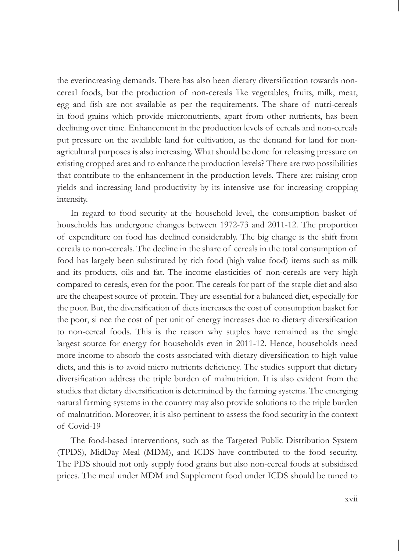the everincreasing demands. There has also been dietary diversification towards noncereal foods, but the production of non-cereals like vegetables, fruits, milk, meat, egg and fish are not available as per the requirements. The share of nutri-cereals in food grains which provide micronutrients, apart from other nutrients, has been declining over time. Enhancement in the production levels of cereals and non-cereals put pressure on the available land for cultivation, as the demand for land for nonagricultural purposes is also increasing. What should be done for releasing pressure on existing cropped area and to enhance the production levels? There are two possibilities that contribute to the enhancement in the production levels. There are: raising crop yields and increasing land productivity by its intensive use for increasing cropping intensity.

In regard to food security at the household level, the consumption basket of households has undergone changes between 1972-73 and 2011-12. The proportion of expenditure on food has declined considerably. The big change is the shift from cereals to non-cereals. The decline in the share of cereals in the total consumption of food has largely been substituted by rich food (high value food) items such as milk and its products, oils and fat. The income elasticities of non-cereals are very high compared to cereals, even for the poor. The cereals for part of the staple diet and also are the cheapest source of protein. They are essential for a balanced diet, especially for the poor. But, the diversification of diets increases the cost of consumption basket for the poor, si nee the cost of per unit of energy increases due to dietary diversification to non-cereal foods. This is the reason why staples have remained as the single largest source for energy for households even in 2011-12. Hence, households need more income to absorb the costs associated with dietary diversification to high value diets, and this is to avoid micro nutrients deficiency. The studies support that dietary diversification address the triple burden of malnutrition. It is also evident from the studies that dietary diversification is determined by the farming systems. The emerging natural farming systems in the country may also provide solutions to the triple burden of malnutrition. Moreover, it is also pertinent to assess the food security in the context of Covid-19

The food-based interventions, such as the Targeted Public Distribution System (TPDS), MidDay Meal (MDM), and ICDS have contributed to the food security. The PDS should not only supply food grains but also non-cereal foods at subsidised prices. The meal under MDM and Supplement food under ICDS should be tuned to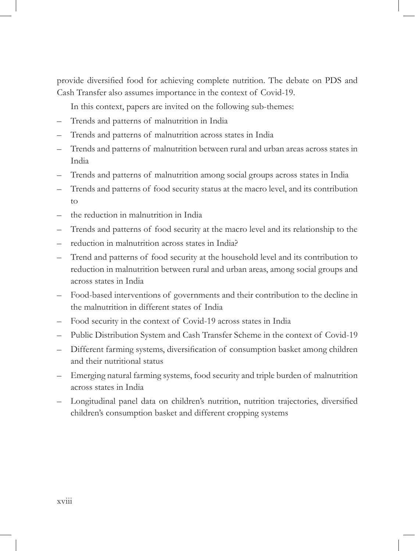provide diversified food for achieving complete nutrition. The debate on PDS and Cash Transfer also assumes importance in the context of Covid-19.

In this context, papers are invited on the following sub-themes:

- Trends and patterns of malnutrition in India
- Trends and patterns of malnutrition across states in India
- Trends and patterns of malnutrition between rural and urban areas across states in India
- Trends and patterns of malnutrition among social groups across states in India
- Trends and patterns of food security status at the macro level, and its contribution to
- the reduction in malnutrition in India
- Trends and patterns of food security at the macro level and its relationship to the
- reduction in malnutrition across states in India?
- Trend and patterns of food security at the household level and its contribution to reduction in malnutrition between rural and urban areas, among social groups and across states in India
- Food-based interventions of governments and their contribution to the decline in the malnutrition in different states of India
- Food security in the context of Covid-19 across states in India
- Public Distribution System and Cash Transfer Scheme in the context of Covid-19
- Different farming systems, diversification of consumption basket among children and their nutritional status
- Emerging natural farming systems, food security and triple burden of malnutrition across states in India
- Longitudinal panel data on children's nutrition, nutrition trajectories, diversified children's consumption basket and different cropping systems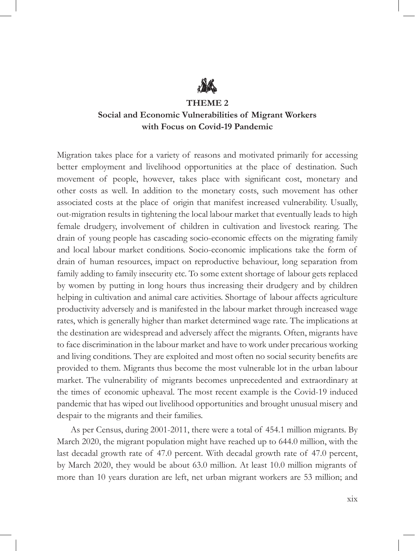

#### **THEME 2**

## **Social and Economic Vulnerabilities of Migrant Workers with Focus on Covid-19 Pandemic**

Migration takes place for a variety of reasons and motivated primarily for accessing better employment and livelihood opportunities at the place of destination. Such movement of people, however, takes place with significant cost, monetary and other costs as well. In addition to the monetary costs, such movement has other associated costs at the place of origin that manifest increased vulnerability. Usually, out-migration results in tightening the local labour market that eventually leads to high female drudgery, involvement of children in cultivation and livestock rearing. The drain of young people has cascading socio-economic effects on the migrating family and local labour market conditions. Socio-economic implications take the form of drain of human resources, impact on reproductive behaviour, long separation from family adding to family insecurity etc. To some extent shortage of labour gets replaced by women by putting in long hours thus increasing their drudgery and by children helping in cultivation and animal care activities. Shortage of labour affects agriculture productivity adversely and is manifested in the labour market through increased wage rates, which is generally higher than market determined wage rate. The implications at the destination are widespread and adversely affect the migrants. Often, migrants have to face discrimination in the labour market and have to work under precarious working and living conditions. They are exploited and most often no social security benefits are provided to them. Migrants thus become the most vulnerable lot in the urban labour market. The vulnerability of migrants becomes unprecedented and extraordinary at the times of economic upheaval. The most recent example is the Covid-19 induced pandemic that has wiped out livelihood opportunities and brought unusual misery and despair to the migrants and their families.

As per Census, during 2001-2011, there were a total of 454.1 million migrants. By March 2020, the migrant population might have reached up to 644.0 million, with the last decadal growth rate of 47.0 percent. With decadal growth rate of 47.0 percent, by March 2020, they would be about 63.0 million. At least 10.0 million migrants of more than 10 years duration are left, net urban migrant workers are 53 million; and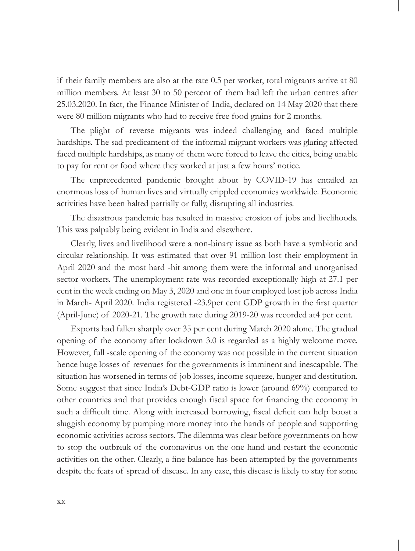if their family members are also at the rate 0.5 per worker, total migrants arrive at 80 million members. At least 30 to 50 percent of them had left the urban centres after 25.03.2020. In fact, the Finance Minister of India, declared on 14 May 2020 that there were 80 million migrants who had to receive free food grains for 2 months.

The plight of reverse migrants was indeed challenging and faced multiple hardships. The sad predicament of the informal migrant workers was glaring affected faced multiple hardships, as many of them were forced to leave the cities, being unable to pay for rent or food where they worked at just a few hours' notice.

The unprecedented pandemic brought about by COVID-19 has entailed an enormous loss of human lives and virtually crippled economies worldwide. Economic activities have been halted partially or fully, disrupting all industries.

The disastrous pandemic has resulted in massive erosion of jobs and livelihoods. This was palpably being evident in India and elsewhere.

Clearly, lives and livelihood were a non-binary issue as both have a symbiotic and circular relationship. It was estimated that over 91 million lost their employment in April 2020 and the most hard -hit among them were the informal and unorganised sector workers. The unemployment rate was recorded exceptionally high at 27.1 per cent in the week ending on May 3, 2020 and one in four employed lost job across India in March- April 2020. India registered -23.9per cent GDP growth in the first quarter (April-June) of 2020-21. The growth rate during 2019-20 was recorded at4 per cent.

Exports had fallen sharply over 35 per cent during March 2020 alone. The gradual opening of the economy after lockdown 3.0 is regarded as a highly welcome move. However, full -scale opening of the economy was not possible in the current situation hence huge losses of revenues for the governments is imminent and inescapable. The situation has worsened in terms of job losses, income squeeze, hunger and destitution. Some suggest that since India's Debt-GDP ratio is lower (around 69%) compared to other countries and that provides enough fiscal space for financing the economy in such a difficult time. Along with increased borrowing, fiscal deficit can help boost a sluggish economy by pumping more money into the hands of people and supporting economic activities across sectors. The dilemma was clear before governments on how to stop the outbreak of the coronavirus on the one hand and restart the economic activities on the other. Clearly, a fine balance has been attempted by the governments despite the fears of spread of disease. In any case, this disease is likely to stay for some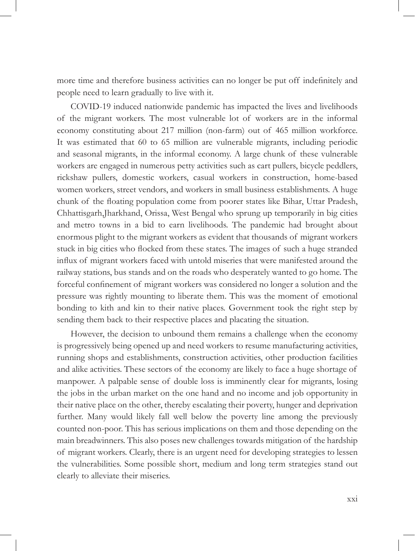more time and therefore business activities can no longer be put off indefinitely and people need to learn gradually to live with it.

COVID-19 induced nationwide pandemic has impacted the lives and livelihoods of the migrant workers. The most vulnerable lot of workers are in the informal economy constituting about 217 million (non-farm) out of 465 million workforce. It was estimated that 60 to 65 million are vulnerable migrants, including periodic and seasonal migrants, in the informal economy. A large chunk of these vulnerable workers are engaged in numerous petty activities such as cart pullers, bicycle peddlers, rickshaw pullers, domestic workers, casual workers in construction, home-based women workers, street vendors, and workers in small business establishments. A huge chunk of the floating population come from poorer states like Bihar, Uttar Pradesh, Chhattisgarh,Jharkhand, Orissa, West Bengal who sprung up temporarily in big cities and metro towns in a bid to earn livelihoods. The pandemic had brought about enormous plight to the migrant workers as evident that thousands of migrant workers stuck in big cities who flocked from these states. The images of such a huge stranded influx of migrant workers faced with untold miseries that were manifested around the railway stations, bus stands and on the roads who desperately wanted to go home. The forceful confinement of migrant workers was considered no longer a solution and the pressure was rightly mounting to liberate them. This was the moment of emotional bonding to kith and kin to their native places. Government took the right step by sending them back to their respective places and placating the situation.

However, the decision to unbound them remains a challenge when the economy is progressively being opened up and need workers to resume manufacturing activities, running shops and establishments, construction activities, other production facilities and alike activities. These sectors of the economy are likely to face a huge shortage of manpower. A palpable sense of double loss is imminently clear for migrants, losing the jobs in the urban market on the one hand and no income and job opportunity in their native place on the other, thereby escalating their poverty, hunger and deprivation further. Many would likely fall well below the poverty line among the previously counted non-poor. This has serious implications on them and those depending on the main breadwinners. This also poses new challenges towards mitigation of the hardship of migrant workers. Clearly, there is an urgent need for developing strategies to lessen the vulnerabilities. Some possible short, medium and long term strategies stand out clearly to alleviate their miseries.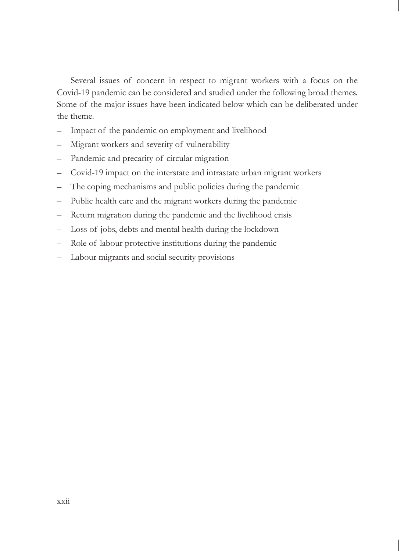Several issues of concern in respect to migrant workers with a focus on the Covid-19 pandemic can be considered and studied under the following broad themes. Some of the major issues have been indicated below which can be deliberated under the theme.

- Impact of the pandemic on employment and livelihood
- Migrant workers and severity of vulnerability
- Pandemic and precarity of circular migration
- Covid-19 impact on the interstate and intrastate urban migrant workers
- The coping mechanisms and public policies during the pandemic
- Public health care and the migrant workers during the pandemic
- Return migration during the pandemic and the livelihood crisis
- Loss of jobs, debts and mental health during the lockdown
- Role of labour protective institutions during the pandemic
- Labour migrants and social security provisions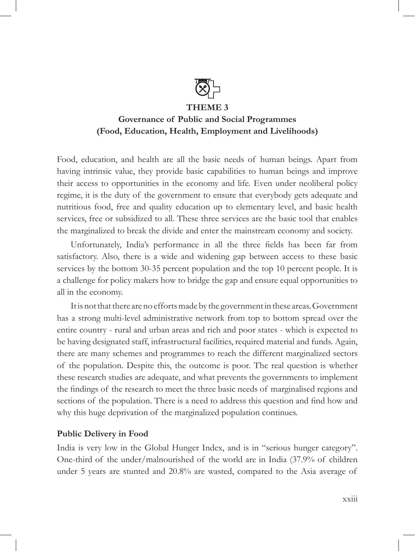

#### **THEME 3**

## **Governance of Public and Social Programmes (Food, Education, Health, Employment and Livelihoods)**

Food, education, and health are all the basic needs of human beings. Apart from having intrinsic value, they provide basic capabilities to human beings and improve their access to opportunities in the economy and life. Even under neoliberal policy regime, it is the duty of the government to ensure that everybody gets adequate and nutritious food, free and quality education up to elementary level, and basic health services, free or subsidized to all. These three services are the basic tool that enables the marginalized to break the divide and enter the mainstream economy and society.

Unfortunately, India's performance in all the three fields has been far from satisfactory. Also, there is a wide and widening gap between access to these basic services by the bottom 30-35 percent population and the top 10 percent people. It is a challenge for policy makers how to bridge the gap and ensure equal opportunities to all in the economy.

It is not that there are no efforts made by the government in these areas. Government has a strong multi-level administrative network from top to bottom spread over the entire country - rural and urban areas and rich and poor states - which is expected to be having designated staff, infrastructural facilities, required material and funds. Again, there are many schemes and programmes to reach the different marginalized sectors of the population. Despite this, the outcome is poor. The real question is whether these research studies are adequate, and what prevents the governments to implement the findings of the research to meet the three basic needs of marginalised regions and sections of the population. There is a need to address this question and find how and why this huge deprivation of the marginalized population continues.

#### **Public Delivery in Food**

India is very low in the Global Hunger Index, and is in "serious hunger category". One-third of the under/malnourished of the world are in India (37.9% of children under 5 years are stunted and 20.8% are wasted, compared to the Asia average of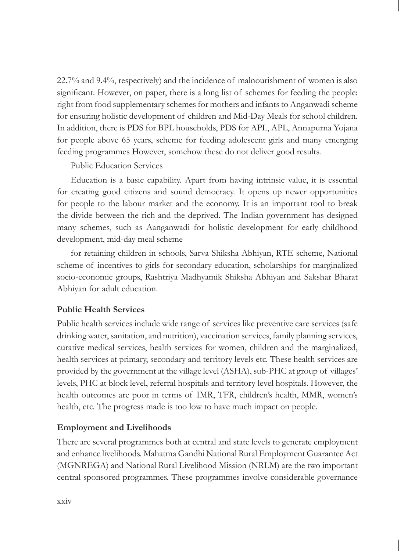22.7% and 9.4%, respectively) and the incidence of malnourishment of women is also significant. However, on paper, there is a long list of schemes for feeding the people: right from food supplementary schemes for mothers and infants to Anganwadi scheme for ensuring holistic development of children and Mid-Day Meals for school children. In addition, there is PDS for BPL households, PDS for APL, APL, Annapurna Yojana for people above 65 years, scheme for feeding adolescent girls and many emerging feeding programmes However, somehow these do not deliver good results.

Public Education Services

Education is a basic capability. Apart from having intrinsic value, it is essential for creating good citizens and sound democracy. It opens up newer opportunities for people to the labour market and the economy. It is an important tool to break the divide between the rich and the deprived. The Indian government has designed many schemes, such as Aanganwadi for holistic development for early childhood development, mid-day meal scheme

for retaining children in schools, Sarva Shiksha Abhiyan, RTE scheme, National scheme of incentives to girls for secondary education, scholarships for marginalized socio-economic groups, Rashtriya Madhyamik Shiksha Abhiyan and Sakshar Bharat Abhiyan for adult education.

#### **Public Health Services**

Public health services include wide range of services like preventive care services (safe drinking water, sanitation, and nutrition), vaccination services, family planning services, curative medical services, health services for women, children and the marginalized, health services at primary, secondary and territory levels etc. These health services are provided by the government at the village level (ASHA), sub-PHC at group of villages' levels, PHC at block level, referral hospitals and territory level hospitals. However, the health outcomes are poor in terms of IMR, TFR, children's health, MMR, women's health, etc. The progress made is too low to have much impact on people.

#### **Employment and Livelihoods**

There are several programmes both at central and state levels to generate employment and enhance livelihoods. Mahatma Gandhi National Rural Employment Guarantee Act (MGNREGA) and National Rural Livelihood Mission (NRLM) are the two important central sponsored programmes. These programmes involve considerable governance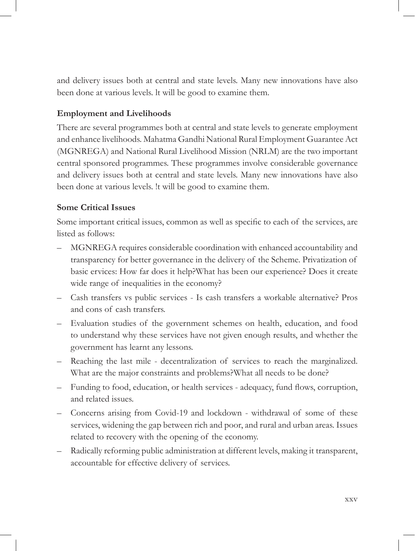and delivery issues both at central and state levels. Many new innovations have also been done at various levels. lt will be good to examine them.

### **Employment and Livelihoods**

There are several programmes both at central and state levels to generate employment and enhance livelihoods. Mahatma Gandhi National Rural Employment Guarantee Act (MGNREGA) and National Rural Livelihood Mission (NRLM) are the two important central sponsored programmes. These programmes involve considerable governance and delivery issues both at central and state levels. Many new innovations have also been done at various levels. !t will be good to examine them.

## **Some Critical Issues**

Some important critical issues, common as well as specific to each of the services, are listed as follows:

- MGNREGA requires considerable coordination with enhanced accountability and transparency for better governance in the delivery of the Scheme. Privatization of basic ervices: How far does it help?What has been our experience? Does it create wide range of inequalities in the economy?
- Cash transfers vs public services Is cash transfers a workable alternative? Pros and cons of cash transfers.
- Evaluation studies of the government schemes on health, education, and food to understand why these services have not given enough results, and whether the government has learnt any lessons.
- Reaching the last mile decentralization of services to reach the marginalized. What are the major constraints and problems?What all needs to be done?
- Funding to food, education, or health services adequacy, fund flows, corruption, and related issues.
- Concerns arising from Covid-19 and lockdown withdrawal of some of these services, widening the gap between rich and poor, and rural and urban areas. Issues related to recovery with the opening of the economy.
- Radically reforming public administration at different levels, making it transparent, accountable for effective delivery of services.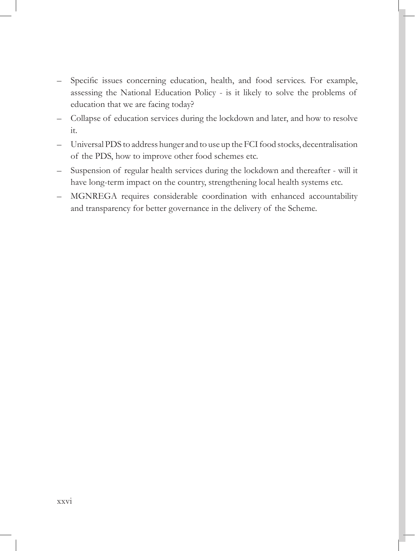- Specific issues concerning education, health, and food services. For example, assessing the National Education Policy - is it likely to solve the problems of education that we are facing today?
- Collapse of education services during the lockdown and later, and how to resolve it.
- Universal PDS to address hunger and to use up the FCI food stocks, decentralisation of the PDS, how to improve other food schemes etc.
- Suspension of regular health services during the lockdown and thereafter will it have long-term impact on the country, strengthening local health systems etc.
- MGNREGA requires considerable coordination with enhanced accountability and transparency for better governance in the delivery of the Scheme.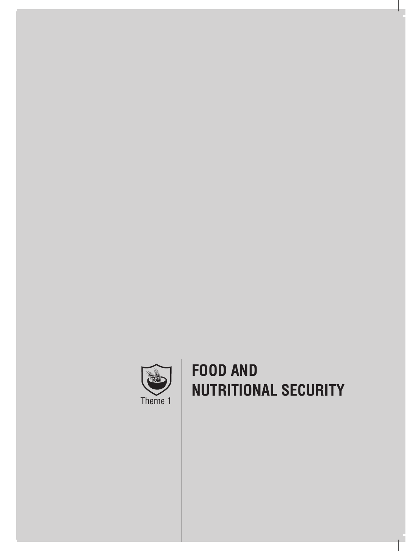

# **FOOD AND NUTRITIONAL SECURITY**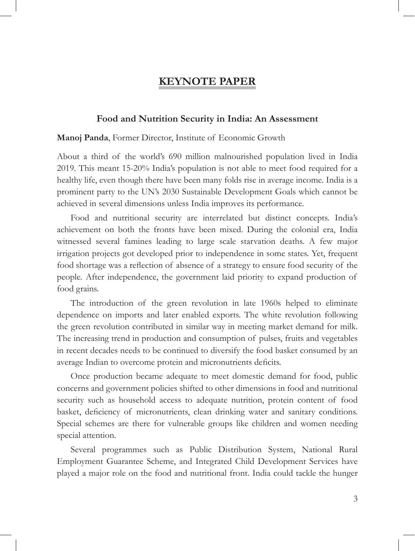## **KEYNOTE PAPER**

#### **Food and Nutrition Security in India: An Assessment**

#### **Manoj Panda**, Former Director, Institute of Economic Growth

About a third of the world's 690 million malnourished population lived in India 2019. This meant 15-20% India's population is not able to meet food required for a healthy life, even though there have been many folds rise in average income. India is a prominent party to the UN's 2030 Sustainable Development Goals which cannot be achieved in several dimensions unless India improves its performance.

Food and nutritional security are interrelated but distinct concepts. India's achievement on both the fronts have been mixed. During the colonial era, India witnessed several famines leading to large scale starvation deaths. A few major irrigation projects got developed prior to independence in some states. Yet, frequent food shortage was a reflection of absence of a strategy to ensure food security of the people. After independence, the government laid priority to expand production of food grains.

The introduction of the green revolution in late 1960s helped to eliminate dependence on imports and later enabled exports. The white revolution following the green revolution contributed in similar way in meeting market demand for milk. The increasing trend in production and consumption of pulses, fruits and vegetables in recent decades needs to be continued to diversify the food basket consumed by an average Indian to overcome protein and micronutrients deficits.

Once production became adequate to meet domestic demand for food, public concerns and government policies shifted to other dimensions in food and nutritional security such as household access to adequate nutrition, protein content of food basket, deficiency of micronutrients, clean drinking water and sanitary conditions. Special schemes are there for vulnerable groups like children and women needing special attention.

Several programmes such as Public Distribution System, National Rural Employment Guarantee Scheme, and Integrated Child Development Services have played a major role on the food and nutritional front. India could tackle the hunger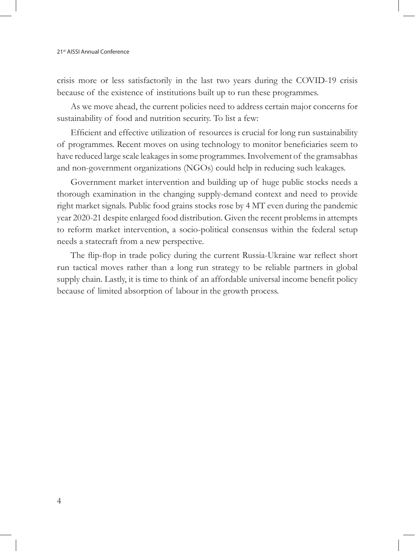crisis more or less satisfactorily in the last two years during the COVID-19 crisis because of the existence of institutions built up to run these programmes.

As we move ahead, the current policies need to address certain major concerns for sustainability of food and nutrition security. To list a few:

Efficient and effective utilization of resources is crucial for long run sustainability of programmes. Recent moves on using technology to monitor beneficiaries seem to have reduced large scale leakages in some programmes. Involvement of the gramsabhas and non-government organizations (NGOs) could help in reducing such leakages.

Government market intervention and building up of huge public stocks needs a thorough examination in the changing supply-demand context and need to provide right market signals. Public food grains stocks rose by 4 MT even during the pandemic year 2020-21 despite enlarged food distribution. Given the recent problems in attempts to reform market intervention, a socio-political consensus within the federal setup needs a statecraft from a new perspective.

The flip-flop in trade policy during the current Russia-Ukraine war reflect short run tactical moves rather than a long run strategy to be reliable partners in global supply chain. Lastly, it is time to think of an affordable universal income benefit policy because of limited absorption of labour in the growth process.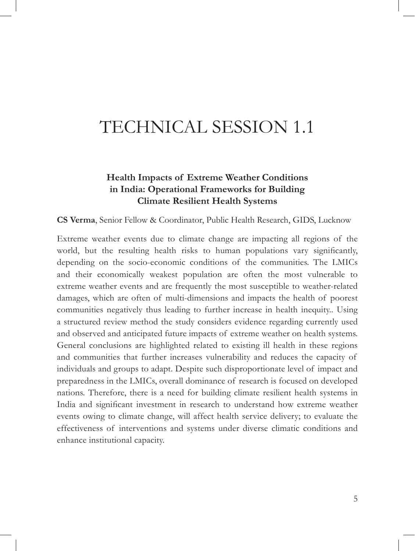# TECHNICAL SESSION 1.1

## **Health Impacts of Extreme Weather Conditions in India: Operational Frameworks for Building Climate Resilient Health Systems**

**CS Verma**, Senior Fellow & Coordinator, Public Health Research, GIDS, Lucknow

Extreme weather events due to climate change are impacting all regions of the world, but the resulting health risks to human populations vary significantly, depending on the socio-economic conditions of the communities. The LMICs and their economically weakest population are often the most vulnerable to extreme weather events and are frequently the most susceptible to weather-related damages, which are often of multi-dimensions and impacts the health of poorest communities negatively thus leading to further increase in health inequity.. Using a structured review method the study considers evidence regarding currently used and observed and anticipated future impacts of extreme weather on health systems. General conclusions are highlighted related to existing ill health in these regions and communities that further increases vulnerability and reduces the capacity of individuals and groups to adapt. Despite such disproportionate level of impact and preparedness in the LMICs, overall dominance of research is focused on developed nations. Therefore, there is a need for building climate resilient health systems in India and significant investment in research to understand how extreme weather events owing to climate change, will affect health service delivery; to evaluate the effectiveness of interventions and systems under diverse climatic conditions and enhance institutional capacity.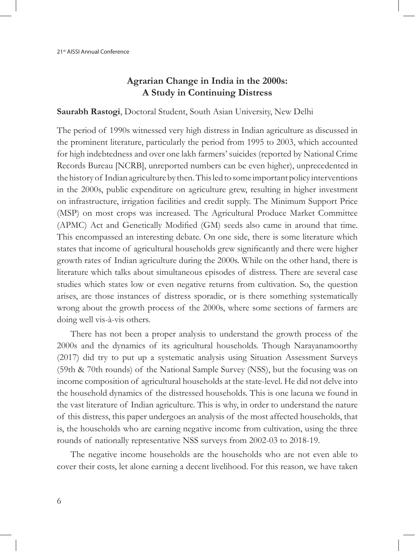## **Agrarian Change in India in the 2000s: A Study in Continuing Distress**

#### **Saurabh Rastogi**, Doctoral Student, South Asian University, New Delhi

The period of 1990s witnessed very high distress in Indian agriculture as discussed in the prominent literature, particularly the period from 1995 to 2003, which accounted for high indebtedness and over one lakh farmers' suicides (reported by National Crime Records Bureau [NCRB], unreported numbers can be even higher), unprecedented in the history of Indian agriculture by then. This led to some important policy interventions in the 2000s, public expenditure on agriculture grew, resulting in higher investment on infrastructure, irrigation facilities and credit supply. The Minimum Support Price (MSP) on most crops was increased. The Agricultural Produce Market Committee (APMC) Act and Genetically Modified (GM) seeds also came in around that time. This encompassed an interesting debate. On one side, there is some literature which states that income of agricultural households grew significantly and there were higher growth rates of Indian agriculture during the 2000s. While on the other hand, there is literature which talks about simultaneous episodes of distress. There are several case studies which states low or even negative returns from cultivation. So, the question arises, are those instances of distress sporadic, or is there something systematically wrong about the growth process of the 2000s, where some sections of farmers are doing well vis-à-vis others.

There has not been a proper analysis to understand the growth process of the 2000s and the dynamics of its agricultural households. Though Narayanamoorthy (2017) did try to put up a systematic analysis using Situation Assessment Surveys (59th & 70th rounds) of the National Sample Survey (NSS), but the focusing was on income composition of agricultural households at the state-level. He did not delve into the household dynamics of the distressed households. This is one lacuna we found in the vast literature of Indian agriculture. This is why, in order to understand the nature of this distress, this paper undergoes an analysis of the most affected households, that is, the households who are earning negative income from cultivation, using the three rounds of nationally representative NSS surveys from 2002-03 to 2018-19.

The negative income households are the households who are not even able to cover their costs, let alone earning a decent livelihood. For this reason, we have taken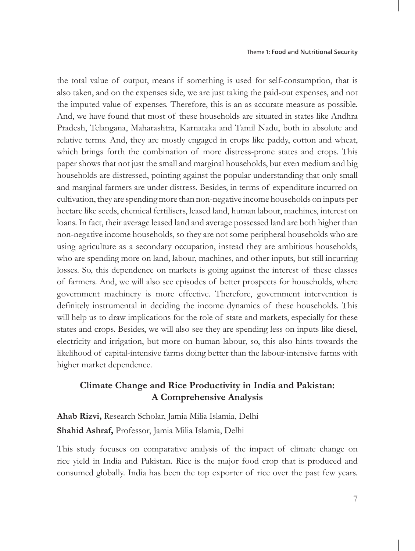the total value of output, means if something is used for self-consumption, that is also taken, and on the expenses side, we are just taking the paid-out expenses, and not the imputed value of expenses. Therefore, this is an as accurate measure as possible. And, we have found that most of these households are situated in states like Andhra Pradesh, Telangana, Maharashtra, Karnataka and Tamil Nadu, both in absolute and relative terms. And, they are mostly engaged in crops like paddy, cotton and wheat, which brings forth the combination of more distress-prone states and crops. This paper shows that not just the small and marginal households, but even medium and big households are distressed, pointing against the popular understanding that only small and marginal farmers are under distress. Besides, in terms of expenditure incurred on cultivation, they are spending more than non-negative income households on inputs per hectare like seeds, chemical fertilisers, leased land, human labour, machines, interest on loans. In fact, their average leased land and average possessed land are both higher than non-negative income households, so they are not some peripheral households who are using agriculture as a secondary occupation, instead they are ambitious households, who are spending more on land, labour, machines, and other inputs, but still incurring losses. So, this dependence on markets is going against the interest of these classes of farmers. And, we will also see episodes of better prospects for households, where government machinery is more effective. Therefore, government intervention is definitely instrumental in deciding the income dynamics of these households. This will help us to draw implications for the role of state and markets, especially for these states and crops. Besides, we will also see they are spending less on inputs like diesel, electricity and irrigation, but more on human labour, so, this also hints towards the likelihood of capital-intensive farms doing better than the labour-intensive farms with higher market dependence.

## **Climate Change and Rice Productivity in India and Pakistan: A Comprehensive Analysis**

**Ahab Rizvi,** Research Scholar, Jamia Milia Islamia, Delhi **Shahid Ashraf,** Professor, Jamia Milia Islamia, Delhi

This study focuses on comparative analysis of the impact of climate change on rice yield in India and Pakistan. Rice is the major food crop that is produced and consumed globally. India has been the top exporter of rice over the past few years.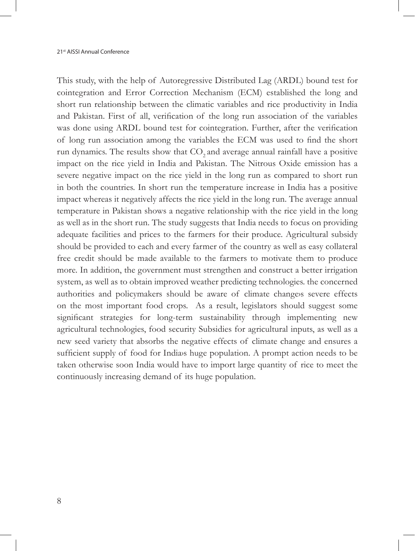This study, with the help of Autoregressive Distributed Lag (ARDL) bound test for cointegration and Error Correction Mechanism (ECM) established the long and short run relationship between the climatic variables and rice productivity in India and Pakistan. First of all, verification of the long run association of the variables was done using ARDL bound test for cointegration. Further, after the verification of long run association among the variables the ECM was used to find the short run dynamics. The results show that CO<sub>2</sub> and average annual rainfall have a positive impact on the rice yield in India and Pakistan. The Nitrous Oxide emission has a severe negative impact on the rice yield in the long run as compared to short run in both the countries. In short run the temperature increase in India has a positive impact whereas it negatively affects the rice yield in the long run. The average annual temperature in Pakistan shows a negative relationship with the rice yield in the long as well as in the short run. The study suggests that India needs to focus on providing adequate facilities and prices to the farmers for their produce. Agricultural subsidy should be provided to each and every farmer of the country as well as easy collateral free credit should be made available to the farmers to motivate them to produce more. In addition, the government must strengthen and construct a better irrigation system, as well as to obtain improved weather predicting technologies. the concerned authorities and policymakers should be aware of climate changes severe effects on the most important food crops. As a result, legislators should suggest some significant strategies for long-term sustainability through implementing new agricultural technologies, food security Subsidies for agricultural inputs, as well as a new seed variety that absorbs the negative effects of climate change and ensures a sufficient supply of food for Indias huge population. A prompt action needs to be taken otherwise soon India would have to import large quantity of rice to meet the continuously increasing demand of its huge population.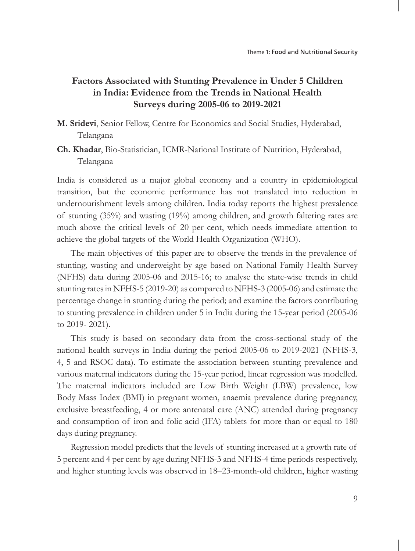## **Factors Associated with Stunting Prevalence in Under 5 Children in India: Evidence from the Trends in National Health Surveys during 2005-06 to 2019-2021**

- **M. Sridevi**, Senior Fellow, Centre for Economics and Social Studies, Hyderabad, Telangana
- **Ch. Khadar**, Bio-Statistician, ICMR-National Institute of Nutrition, Hyderabad, Telangana

India is considered as a major global economy and a country in epidemiological transition, but the economic performance has not translated into reduction in undernourishment levels among children. India today reports the highest prevalence of stunting (35%) and wasting (19%) among children, and growth faltering rates are much above the critical levels of 20 per cent, which needs immediate attention to achieve the global targets of the World Health Organization (WHO).

The main objectives of this paper are to observe the trends in the prevalence of stunting, wasting and underweight by age based on National Family Health Survey (NFHS) data during 2005-06 and 2015-16; to analyse the state-wise trends in child stunting rates in NFHS-5 (2019-20) as compared to NFHS-3 (2005-06) and estimate the percentage change in stunting during the period; and examine the factors contributing to stunting prevalence in children under 5 in India during the 15-year period (2005-06 to 2019- 2021).

This study is based on secondary data from the cross-sectional study of the national health surveys in India during the period 2005-06 to 2019-2021 (NFHS-3, 4, 5 and RSOC data). To estimate the association between stunting prevalence and various maternal indicators during the 15-year period, linear regression was modelled. The maternal indicators included are Low Birth Weight (LBW) prevalence, low Body Mass Index (BMI) in pregnant women, anaemia prevalence during pregnancy, exclusive breastfeeding, 4 or more antenatal care (ANC) attended during pregnancy and consumption of iron and folic acid (IFA) tablets for more than or equal to 180 days during pregnancy.

Regression model predicts that the levels of stunting increased at a growth rate of 5 percent and 4 per cent by age during NFHS-3 and NFHS-4 time periods respectively, and higher stunting levels was observed in 18–23-month-old children, higher wasting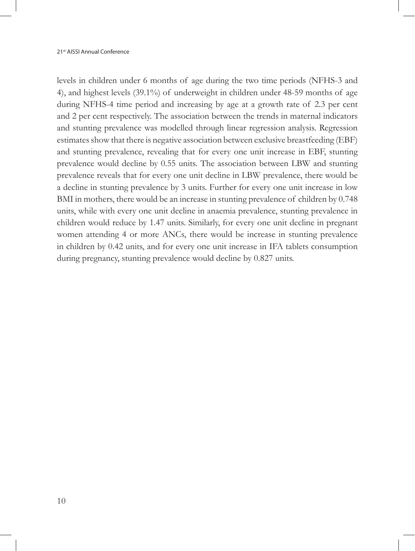levels in children under 6 months of age during the two time periods (NFHS-3 and 4), and highest levels (39.1%) of underweight in children under 48-59 months of age during NFHS-4 time period and increasing by age at a growth rate of 2.3 per cent and 2 per cent respectively. The association between the trends in maternal indicators and stunting prevalence was modelled through linear regression analysis. Regression estimates show that there is negative association between exclusive breastfeeding (EBF) and stunting prevalence, revealing that for every one unit increase in EBF, stunting prevalence would decline by 0.55 units. The association between LBW and stunting prevalence reveals that for every one unit decline in LBW prevalence, there would be a decline in stunting prevalence by 3 units. Further for every one unit increase in low BMI in mothers, there would be an increase in stunting prevalence of children by 0.748 units, while with every one unit decline in anaemia prevalence, stunting prevalence in children would reduce by 1.47 units. Similarly, for every one unit decline in pregnant women attending 4 or more ANCs, there would be increase in stunting prevalence in children by 0.42 units, and for every one unit increase in IFA tablets consumption during pregnancy, stunting prevalence would decline by 0.827 units.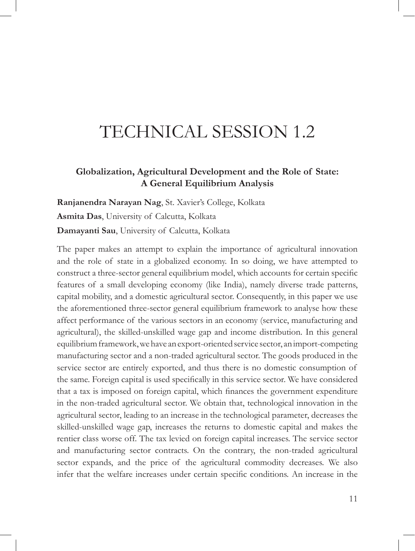## TECHNICAL SESSION 1.2

### **Globalization, Agricultural Development and the Role of State: A General Equilibrium Analysis**

**Ranjanendra Narayan Nag**, St. Xavier's College, Kolkata **Asmita Das**, University of Calcutta, Kolkata **Damayanti Sau**, University of Calcutta, Kolkata

The paper makes an attempt to explain the importance of agricultural innovation and the role of state in a globalized economy. In so doing, we have attempted to construct a three-sector general equilibrium model, which accounts for certain specific features of a small developing economy (like India), namely diverse trade patterns, capital mobility, and a domestic agricultural sector. Consequently, in this paper we use the aforementioned three-sector general equilibrium framework to analyse how these affect performance of the various sectors in an economy (service, manufacturing and agricultural), the skilled-unskilled wage gap and income distribution. In this general equilibrium framework, we have an export-oriented service sector, an import-competing manufacturing sector and a non-traded agricultural sector. The goods produced in the service sector are entirely exported, and thus there is no domestic consumption of the same. Foreign capital is used specifically in this service sector. We have considered that a tax is imposed on foreign capital, which finances the government expenditure in the non-traded agricultural sector. We obtain that, technological innovation in the agricultural sector, leading to an increase in the technological parameter, decreases the skilled-unskilled wage gap, increases the returns to domestic capital and makes the rentier class worse off. The tax levied on foreign capital increases. The service sector and manufacturing sector contracts. On the contrary, the non-traded agricultural sector expands, and the price of the agricultural commodity decreases. We also infer that the welfare increases under certain specific conditions. An increase in the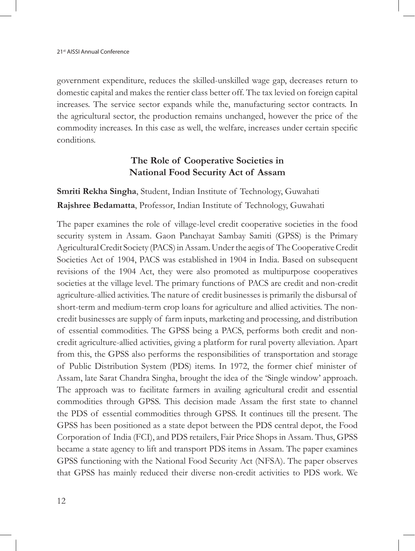government expenditure, reduces the skilled-unskilled wage gap, decreases return to domestic capital and makes the rentier class better off. The tax levied on foreign capital increases. The service sector expands while the, manufacturing sector contracts. In the agricultural sector, the production remains unchanged, however the price of the commodity increases. In this case as well, the welfare, increases under certain specific conditions.

## **The Role of Cooperative Societies in National Food Security Act of Assam**

**Smriti Rekha Singha**, Student, Indian Institute of Technology, Guwahati **Rajshree Bedamatta**, Professor, Indian Institute of Technology, Guwahati

The paper examines the role of village-level credit cooperative societies in the food security system in Assam. Gaon Panchayat Sambay Samiti (GPSS) is the Primary Agricultural Credit Society (PACS) in Assam. Under the aegis of The Cooperative Credit Societies Act of 1904, PACS was established in 1904 in India. Based on subsequent revisions of the 1904 Act, they were also promoted as multipurpose cooperatives societies at the village level. The primary functions of PACS are credit and non-credit agriculture-allied activities. The nature of credit businesses is primarily the disbursal of short-term and medium-term crop loans for agriculture and allied activities. The noncredit businesses are supply of farm inputs, marketing and processing, and distribution of essential commodities. The GPSS being a PACS, performs both credit and noncredit agriculture-allied activities, giving a platform for rural poverty alleviation. Apart from this, the GPSS also performs the responsibilities of transportation and storage of Public Distribution System (PDS) items. In 1972, the former chief minister of Assam, late Sarat Chandra Singha, brought the idea of the 'Single window' approach. The approach was to facilitate farmers in availing agricultural credit and essential commodities through GPSS. This decision made Assam the first state to channel the PDS of essential commodities through GPSS. It continues till the present. The GPSS has been positioned as a state depot between the PDS central depot, the Food Corporation of India (FCI), and PDS retailers, Fair Price Shops in Assam. Thus, GPSS became a state agency to lift and transport PDS items in Assam. The paper examines GPSS functioning with the National Food Security Act (NFSA). The paper observes that GPSS has mainly reduced their diverse non-credit activities to PDS work. We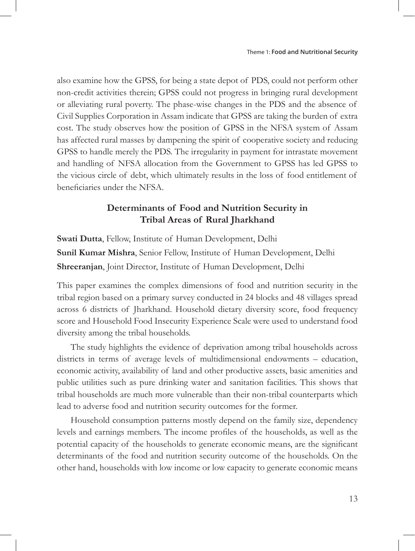also examine how the GPSS, for being a state depot of PDS, could not perform other non-credit activities therein; GPSS could not progress in bringing rural development or alleviating rural poverty. The phase-wise changes in the PDS and the absence of Civil Supplies Corporation in Assam indicate that GPSS are taking the burden of extra cost. The study observes how the position of GPSS in the NFSA system of Assam has affected rural masses by dampening the spirit of cooperative society and reducing GPSS to handle merely the PDS. The irregularity in payment for intrastate movement and handling of NFSA allocation from the Government to GPSS has led GPSS to the vicious circle of debt, which ultimately results in the loss of food entitlement of beneficiaries under the NFSA.

### **Determinants of Food and Nutrition Security in Tribal Areas of Rural Jharkhand**

**Swati Dutta**, Fellow, Institute of Human Development, Delhi **Sunil Kumar Mishra**, Senior Fellow, Institute of Human Development, Delhi **Shreeranjan**, Joint Director, Institute of Human Development, Delhi

This paper examines the complex dimensions of food and nutrition security in the tribal region based on a primary survey conducted in 24 blocks and 48 villages spread across 6 districts of Jharkhand. Household dietary diversity score, food frequency score and Household Food Insecurity Experience Scale were used to understand food diversity among the tribal households.

The study highlights the evidence of deprivation among tribal households across districts in terms of average levels of multidimensional endowments – education, economic activity, availability of land and other productive assets, basic amenities and public utilities such as pure drinking water and sanitation facilities. This shows that tribal households are much more vulnerable than their non-tribal counterparts which lead to adverse food and nutrition security outcomes for the former.

Household consumption patterns mostly depend on the family size, dependency levels and earnings members. The income profiles of the households, as well as the potential capacity of the households to generate economic means, are the significant determinants of the food and nutrition security outcome of the households. On the other hand, households with low income or low capacity to generate economic means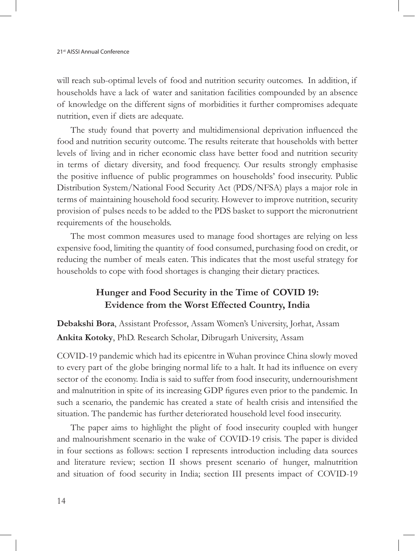will reach sub-optimal levels of food and nutrition security outcomes. In addition, if households have a lack of water and sanitation facilities compounded by an absence of knowledge on the different signs of morbidities it further compromises adequate nutrition, even if diets are adequate.

The study found that poverty and multidimensional deprivation influenced the food and nutrition security outcome. The results reiterate that households with better levels of living and in richer economic class have better food and nutrition security in terms of dietary diversity, and food frequency. Our results strongly emphasise the positive influence of public programmes on households' food insecurity. Public Distribution System/National Food Security Act (PDS/NFSA) plays a major role in terms of maintaining household food security. However to improve nutrition, security provision of pulses needs to be added to the PDS basket to support the micronutrient requirements of the households.

The most common measures used to manage food shortages are relying on less expensive food, limiting the quantity of food consumed, purchasing food on credit, or reducing the number of meals eaten. This indicates that the most useful strategy for households to cope with food shortages is changing their dietary practices.

## **Hunger and Food Security in the Time of COVID 19: Evidence from the Worst Effected Country, India**

**Debakshi Bora**, Assistant Professor, Assam Women's University, Jorhat, Assam **Ankita Kotoky**, PhD. Research Scholar, Dibrugarh University, Assam

COVID-19 pandemic which had its epicentre in Wuhan province China slowly moved to every part of the globe bringing normal life to a halt. It had its influence on every sector of the economy. India is said to suffer from food insecurity, undernourishment and malnutrition in spite of its increasing GDP figures even prior to the pandemic. In such a scenario, the pandemic has created a state of health crisis and intensified the situation. The pandemic has further deteriorated household level food insecurity.

The paper aims to highlight the plight of food insecurity coupled with hunger and malnourishment scenario in the wake of COVID-19 crisis. The paper is divided in four sections as follows: section I represents introduction including data sources and literature review; section II shows present scenario of hunger, malnutrition and situation of food security in India; section III presents impact of COVID-19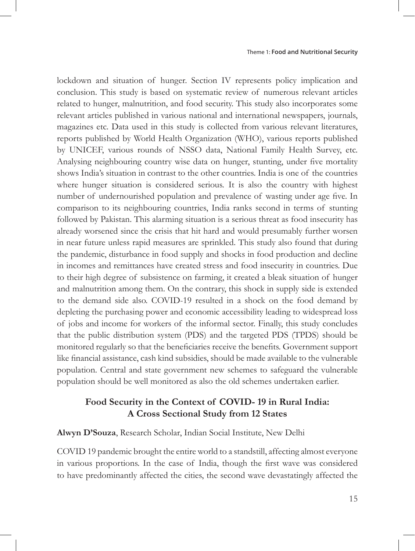lockdown and situation of hunger. Section IV represents policy implication and conclusion. This study is based on systematic review of numerous relevant articles related to hunger, malnutrition, and food security. This study also incorporates some relevant articles published in various national and international newspapers, journals, magazines etc. Data used in this study is collected from various relevant literatures, reports published by World Health Organization (WHO), various reports published by UNICEF, various rounds of NSSO data, National Family Health Survey, etc. Analysing neighbouring country wise data on hunger, stunting, under five mortality shows India's situation in contrast to the other countries. India is one of the countries where hunger situation is considered serious. It is also the country with highest number of undernourished population and prevalence of wasting under age five. In comparison to its neighbouring countries, India ranks second in terms of stunting followed by Pakistan. This alarming situation is a serious threat as food insecurity has already worsened since the crisis that hit hard and would presumably further worsen in near future unless rapid measures are sprinkled. This study also found that during the pandemic, disturbance in food supply and shocks in food production and decline in incomes and remittances have created stress and food insecurity in countries. Due to their high degree of subsistence on farming, it created a bleak situation of hunger and malnutrition among them. On the contrary, this shock in supply side is extended to the demand side also. COVID-19 resulted in a shock on the food demand by depleting the purchasing power and economic accessibility leading to widespread loss of jobs and income for workers of the informal sector. Finally, this study concludes that the public distribution system (PDS) and the targeted PDS (TPDS) should be monitored regularly so that the beneficiaries receive the benefits. Government support like financial assistance, cash kind subsidies, should be made available to the vulnerable population. Central and state government new schemes to safeguard the vulnerable population should be well monitored as also the old schemes undertaken earlier.

#### **Food Security in the Context of COVID- 19 in Rural India: A Cross Sectional Study from 12 States**

#### **Alwyn D'Souza**, Research Scholar, Indian Social Institute, New Delhi

COVID 19 pandemic brought the entire world to a standstill, affecting almost everyone in various proportions. In the case of India, though the first wave was considered to have predominantly affected the cities, the second wave devastatingly affected the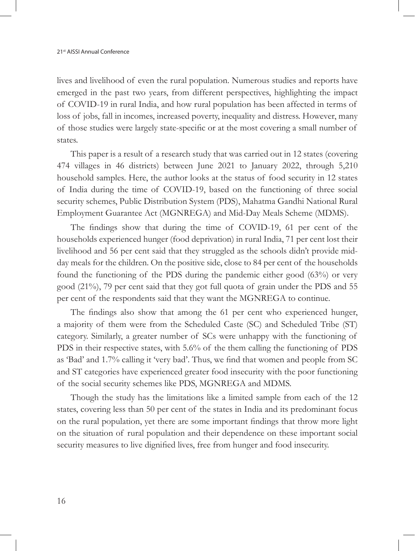lives and livelihood of even the rural population. Numerous studies and reports have emerged in the past two years, from different perspectives, highlighting the impact of COVID-19 in rural India, and how rural population has been affected in terms of loss of jobs, fall in incomes, increased poverty, inequality and distress. However, many of those studies were largely state-specific or at the most covering a small number of states.

This paper is a result of a research study that was carried out in 12 states (covering 474 villages in 46 districts) between June 2021 to January 2022, through 5,210 household samples. Here, the author looks at the status of food security in 12 states of India during the time of COVID-19, based on the functioning of three social security schemes, Public Distribution System (PDS), Mahatma Gandhi National Rural Employment Guarantee Act (MGNREGA) and Mid-Day Meals Scheme (MDMS).

The findings show that during the time of COVID-19, 61 per cent of the households experienced hunger (food deprivation) in rural India, 71 per cent lost their livelihood and 56 per cent said that they struggled as the schools didn't provide midday meals for the children. On the positive side, close to 84 per cent of the households found the functioning of the PDS during the pandemic either good (63%) or very good (21%), 79 per cent said that they got full quota of grain under the PDS and 55 per cent of the respondents said that they want the MGNREGA to continue.

The findings also show that among the 61 per cent who experienced hunger, a majority of them were from the Scheduled Caste (SC) and Scheduled Tribe (ST) category. Similarly, a greater number of SCs were unhappy with the functioning of PDS in their respective states, with 5.6% of the them calling the functioning of PDS as 'Bad' and 1.7% calling it 'very bad'. Thus, we find that women and people from SC and ST categories have experienced greater food insecurity with the poor functioning of the social security schemes like PDS, MGNREGA and MDMS.

Though the study has the limitations like a limited sample from each of the 12 states, covering less than 50 per cent of the states in India and its predominant focus on the rural population, yet there are some important findings that throw more light on the situation of rural population and their dependence on these important social security measures to live dignified lives, free from hunger and food insecurity.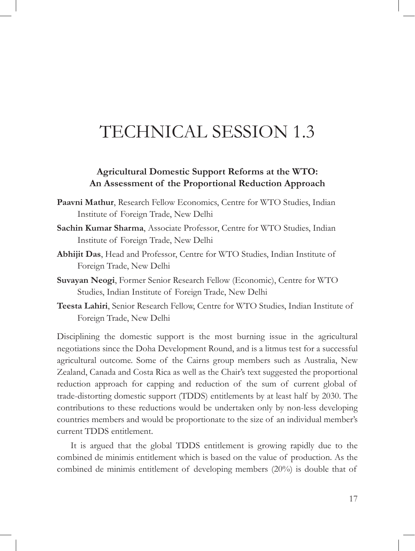# TECHNICAL SESSION 1.3

#### **Agricultural Domestic Support Reforms at the WTO: An Assessment of the Proportional Reduction Approach**

- **Paavni Mathur**, Research Fellow Economics, Centre for WTO Studies, Indian Institute of Foreign Trade, New Delhi
- **Sachin Kumar Sharma**, Associate Professor, Centre for WTO Studies, Indian Institute of Foreign Trade, New Delhi
- **Abhijit Das**, Head and Professor, Centre for WTO Studies, Indian Institute of Foreign Trade, New Delhi
- **Suvayan Neogi**, Former Senior Research Fellow (Economic), Centre for WTO Studies, Indian Institute of Foreign Trade, New Delhi
- **Teesta Lahiri**, Senior Research Fellow, Centre for WTO Studies, Indian Institute of Foreign Trade, New Delhi

Disciplining the domestic support is the most burning issue in the agricultural negotiations since the Doha Development Round, and is a litmus test for a successful agricultural outcome. Some of the Cairns group members such as Australia, New Zealand, Canada and Costa Rica as well as the Chair's text suggested the proportional reduction approach for capping and reduction of the sum of current global of trade-distorting domestic support (TDDS) entitlements by at least half by 2030. The contributions to these reductions would be undertaken only by non-less developing countries members and would be proportionate to the size of an individual member's current TDDS entitlement.

It is argued that the global TDDS entitlement is growing rapidly due to the combined de minimis entitlement which is based on the value of production. As the combined de minimis entitlement of developing members (20%) is double that of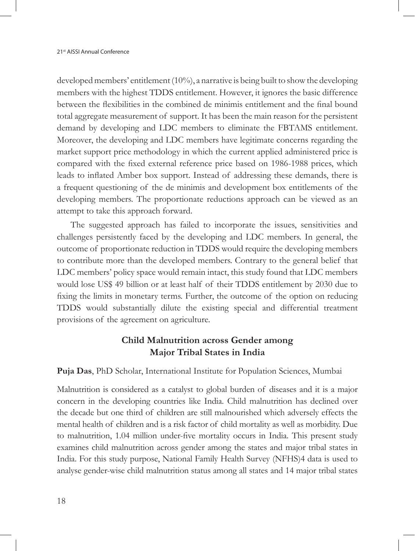developed members' entitlement (10%), a narrative is being built to show the developing members with the highest TDDS entitlement. However, it ignores the basic difference between the flexibilities in the combined de minimis entitlement and the final bound total aggregate measurement of support. It has been the main reason for the persistent demand by developing and LDC members to eliminate the FBTAMS entitlement. Moreover, the developing and LDC members have legitimate concerns regarding the market support price methodology in which the current applied administered price is compared with the fixed external reference price based on 1986-1988 prices, which leads to inflated Amber box support. Instead of addressing these demands, there is a frequent questioning of the de minimis and development box entitlements of the developing members. The proportionate reductions approach can be viewed as an attempt to take this approach forward.

The suggested approach has failed to incorporate the issues, sensitivities and challenges persistently faced by the developing and LDC members. In general, the outcome of proportionate reduction in TDDS would require the developing members to contribute more than the developed members. Contrary to the general belief that LDC members' policy space would remain intact, this study found that LDC members would lose US\$ 49 billion or at least half of their TDDS entitlement by 2030 due to fixing the limits in monetary terms. Further, the outcome of the option on reducing TDDS would substantially dilute the existing special and differential treatment provisions of the agreement on agriculture.

### **Child Malnutrition across Gender among Major Tribal States in India**

**Puja Das**, PhD Scholar, International Institute for Population Sciences, Mumbai

Malnutrition is considered as a catalyst to global burden of diseases and it is a major concern in the developing countries like India. Child malnutrition has declined over the decade but one third of children are still malnourished which adversely effects the mental health of children and is a risk factor of child mortality as well as morbidity. Due to malnutrition, 1.04 million under-five mortality occurs in India. This present study examines child malnutrition across gender among the states and major tribal states in India. For this study purpose, National Family Health Survey (NFHS)4 data is used to analyse gender-wise child malnutrition status among all states and 14 major tribal states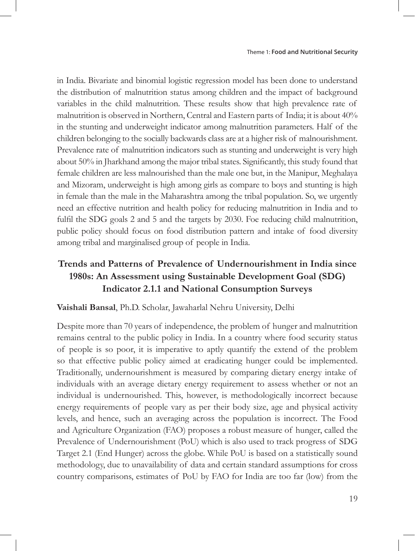in India. Bivariate and binomial logistic regression model has been done to understand the distribution of malnutrition status among children and the impact of background variables in the child malnutrition. These results show that high prevalence rate of malnutrition is observed in Northern, Central and Eastern parts of India; it is about 40% in the stunting and underweight indicator among malnutrition parameters. Half of the children belonging to the socially backwards class are at a higher risk of malnourishment. Prevalence rate of malnutrition indicators such as stunting and underweight is very high about 50% in Jharkhand among the major tribal states. Significantly, this study found that female children are less malnourished than the male one but, in the Manipur, Meghalaya and Mizoram, underweight is high among girls as compare to boys and stunting is high in female than the male in the Maharashtra among the tribal population. So, we urgently need an effective nutrition and health policy for reducing malnutrition in India and to fulfil the SDG goals 2 and 5 and the targets by 2030. Foe reducing child malnutrition, public policy should focus on food distribution pattern and intake of food diversity among tribal and marginalised group of people in India.

## **Trends and Patterns of Prevalence of Undernourishment in India since 1980s: An Assessment using Sustainable Development Goal (SDG) Indicator 2.1.1 and National Consumption Surveys**

#### **Vaishali Bansal**, Ph.D. Scholar, Jawaharlal Nehru University, Delhi

Despite more than 70 years of independence, the problem of hunger and malnutrition remains central to the public policy in India. In a country where food security status of people is so poor, it is imperative to aptly quantify the extend of the problem so that effective public policy aimed at eradicating hunger could be implemented. Traditionally, undernourishment is measured by comparing dietary energy intake of individuals with an average dietary energy requirement to assess whether or not an individual is undernourished. This, however, is methodologically incorrect because energy requirements of people vary as per their body size, age and physical activity levels, and hence, such an averaging across the population is incorrect. The Food and Agriculture Organization (FAO) proposes a robust measure of hunger, called the Prevalence of Undernourishment (PoU) which is also used to track progress of SDG Target 2.1 (End Hunger) across the globe. While PoU is based on a statistically sound methodology, due to unavailability of data and certain standard assumptions for cross country comparisons, estimates of PoU by FAO for India are too far (low) from the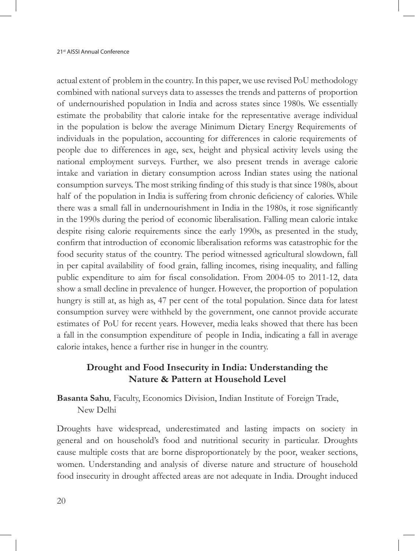actual extent of problem in the country. In this paper, we use revised PoU methodology combined with national surveys data to assesses the trends and patterns of proportion of undernourished population in India and across states since 1980s. We essentially estimate the probability that calorie intake for the representative average individual in the population is below the average Minimum Dietary Energy Requirements of individuals in the population, accounting for differences in calorie requirements of people due to differences in age, sex, height and physical activity levels using the national employment surveys. Further, we also present trends in average calorie intake and variation in dietary consumption across Indian states using the national consumption surveys. The most striking finding of this study is that since 1980s, about half of the population in India is suffering from chronic deficiency of calories. While there was a small fall in undernourishment in India in the 1980s, it rose significantly in the 1990s during the period of economic liberalisation. Falling mean calorie intake despite rising calorie requirements since the early 1990s, as presented in the study, confirm that introduction of economic liberalisation reforms was catastrophic for the food security status of the country. The period witnessed agricultural slowdown, fall in per capital availability of food grain, falling incomes, rising inequality, and falling public expenditure to aim for fiscal consolidation. From 2004-05 to 2011-12, data show a small decline in prevalence of hunger. However, the proportion of population hungry is still at, as high as, 47 per cent of the total population. Since data for latest consumption survey were withheld by the government, one cannot provide accurate estimates of PoU for recent years. However, media leaks showed that there has been a fall in the consumption expenditure of people in India, indicating a fall in average calorie intakes, hence a further rise in hunger in the country.

#### **Drought and Food Insecurity in India: Understanding the Nature & Pattern at Household Level**

**Basanta Sahu***,* Faculty, Economics Division, Indian Institute of Foreign Trade, New Delhi

Droughts have widespread, underestimated and lasting impacts on society in general and on household's food and nutritional security in particular. Droughts cause multiple costs that are borne disproportionately by the poor, weaker sections, women. Understanding and analysis of diverse nature and structure of household food insecurity in drought affected areas are not adequate in India. Drought induced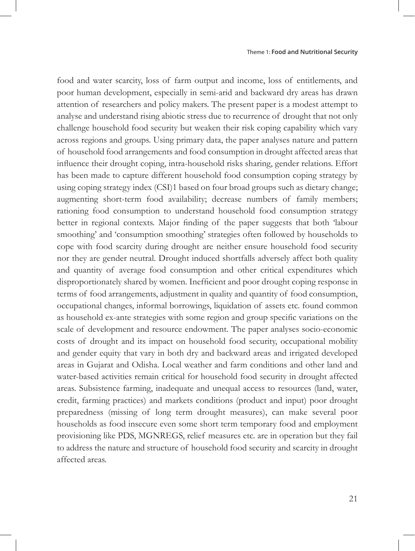food and water scarcity, loss of farm output and income, loss of entitlements, and poor human development, especially in semi-arid and backward dry areas has drawn attention of researchers and policy makers. The present paper is a modest attempt to analyse and understand rising abiotic stress due to recurrence of drought that not only challenge household food security but weaken their risk coping capability which vary across regions and groups. Using primary data, the paper analyses nature and pattern of household food arrangements and food consumption in drought affected areas that influence their drought coping, intra-household risks sharing, gender relations. Effort has been made to capture different household food consumption coping strategy by using coping strategy index (CSI)1 based on four broad groups such as dietary change; augmenting short-term food availability; decrease numbers of family members; rationing food consumption to understand household food consumption strategy better in regional contexts. Major finding of the paper suggests that both 'labour smoothing' and 'consumption smoothing' strategies often followed by households to cope with food scarcity during drought are neither ensure household food security nor they are gender neutral. Drought induced shortfalls adversely affect both quality and quantity of average food consumption and other critical expenditures which disproportionately shared by women. Inefficient and poor drought coping response in terms of food arrangements, adjustment in quality and quantity of food consumption, occupational changes, informal borrowings, liquidation of assets etc. found common as household ex-ante strategies with some region and group specific variations on the scale of development and resource endowment. The paper analyses socio-economic costs of drought and its impact on household food security, occupational mobility and gender equity that vary in both dry and backward areas and irrigated developed areas in Gujarat and Odisha. Local weather and farm conditions and other land and water-based activities remain critical for household food security in drought affected areas. Subsistence farming, inadequate and unequal access to resources (land, water, credit, farming practices) and markets conditions (product and input) poor drought preparedness (missing of long term drought measures), can make several poor households as food insecure even some short term temporary food and employment provisioning like PDS, MGNREGS, relief measures etc. are in operation but they fail to address the nature and structure of household food security and scarcity in drought affected areas.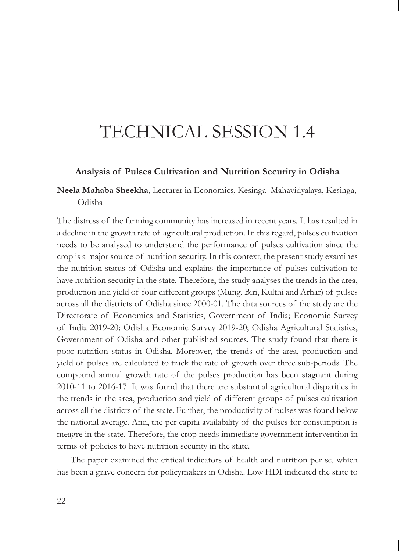# TECHNICAL SESSION 1.4

#### **Analysis of Pulses Cultivation and Nutrition Security in Odisha**

#### **Neela Mahaba Sheekha**, Lecturer in Economics, Kesinga Mahavidyalaya, Kesinga, Odisha

The distress of the farming community has increased in recent years. It has resulted in a decline in the growth rate of agricultural production. In this regard, pulses cultivation needs to be analysed to understand the performance of pulses cultivation since the crop is a major source of nutrition security. In this context, the present study examines the nutrition status of Odisha and explains the importance of pulses cultivation to have nutrition security in the state. Therefore, the study analyses the trends in the area, production and yield of four different groups (Mung, Biri, Kulthi and Arhar) of pulses across all the districts of Odisha since 2000-01. The data sources of the study are the Directorate of Economics and Statistics, Government of India; Economic Survey of India 2019-20; Odisha Economic Survey 2019-20; Odisha Agricultural Statistics, Government of Odisha and other published sources. The study found that there is poor nutrition status in Odisha. Moreover, the trends of the area, production and yield of pulses are calculated to track the rate of growth over three sub-periods. The compound annual growth rate of the pulses production has been stagnant during 2010-11 to 2016-17. It was found that there are substantial agricultural disparities in the trends in the area, production and yield of different groups of pulses cultivation across all the districts of the state. Further, the productivity of pulses was found below the national average. And, the per capita availability of the pulses for consumption is meagre in the state. Therefore, the crop needs immediate government intervention in terms of policies to have nutrition security in the state.

The paper examined the critical indicators of health and nutrition per se, which has been a grave concern for policymakers in Odisha. Low HDI indicated the state to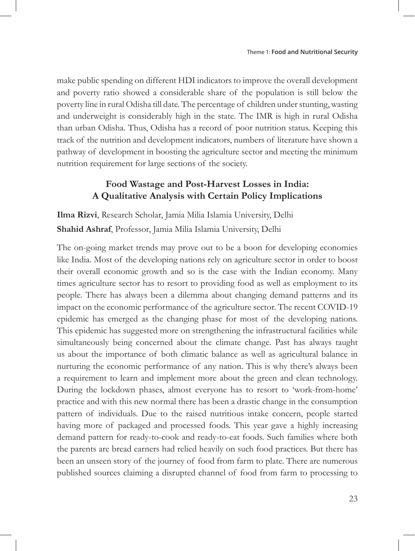make public spending on different HDI indicators to improve the overall development and poverty ratio showed a considerable share of the population is still below the poverty line in rural Odisha till date. The percentage of children under stunting, wasting and underweight is considerably high in the state. The IMR is high in rural Odisha than urban Odisha. Thus, Odisha has a record of poor nutrition status. Keeping this track of the nutrition and development indicators, numbers of literature have shown a pathway of development in boosting the agriculture sector and meeting the minimum nutrition requirement for large sections of the society.

### **Food Wastage and Post-Harvest Losses in India: A Qualitative Analysis with Certain Policy Implications**

**Ilma Rizvi**, Research Scholar, Jamia Milia Islamia University, Delhi **Shahid Ashraf**, Professor, Jamia Milia Islamia University, Delhi

The on-going market trends may prove out to be a boon for developing economies like India. Most of the developing nations rely on agriculture sector in order to boost their overall economic growth and so is the case with the Indian economy. Many times agriculture sector has to resort to providing food as well as employment to its people. There has always been a dilemma about changing demand patterns and its impact on the economic performance of the agriculture sector. The recent COVID-19 epidemic has emerged as the changing phase for most of the developing nations. This epidemic has suggested more on strengthening the infrastructural facilities while simultaneously being concerned about the climate change. Past has always taught us about the importance of both climatic balance as well as agricultural balance in nurturing the economic performance of any nation. This is why there's always been a requirement to learn and implement more about the green and clean technology. During the lockdown phases, almost everyone has to resort to 'work-from-home' practice and with this new normal there has been a drastic change in the consumption pattern of individuals. Due to the raised nutritious intake concern, people started having more of packaged and processed foods. This year gave a highly increasing demand pattern for ready-to-cook and ready-to-eat foods. Such families where both the parents are bread earners had relied heavily on such food practices. But there has been an unseen story of the journey of food from farm to plate. There are numerous published sources claiming a disrupted channel of food from farm to processing to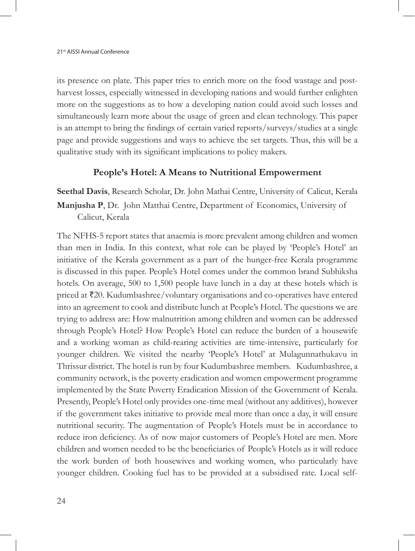its presence on plate. This paper tries to enrich more on the food wastage and postharvest losses, especially witnessed in developing nations and would further enlighten more on the suggestions as to how a developing nation could avoid such losses and simultaneously learn more about the usage of green and clean technology. This paper is an attempt to bring the findings of certain varied reports/surveys/studies at a single page and provide suggestions and ways to achieve the set targets. Thus, this will be a qualitative study with its significant implications to policy makers.

#### **People's Hotel: A Means to Nutritional Empowerment**

**Seethal Davis**, Research Scholar, Dr. John Mathai Centre, University of Calicut, Kerala **Manjusha P**, Dr. John Matthai Centre, Department of Economics, University of Calicut, Kerala

The NFHS-5 report states that anaemia is more prevalent among children and women than men in India. In this context, what role can be played by 'People's Hotel' an initiative of the Kerala government as a part of the hunger-free Kerala programme is discussed in this paper. People's Hotel comes under the common brand Subhiksha hotels. On average, 500 to 1,500 people have lunch in a day at these hotels which is priced at ₹20. Kudumbashree/voluntary organisations and co-operatives have entered into an agreement to cook and distribute lunch at People's Hotel. The questions we are trying to address are: How malnutrition among children and women can be addressed through People's Hotel? How People's Hotel can reduce the burden of a housewife and a working woman as child-rearing activities are time-intensive, particularly for younger children. We visited the nearby 'People's Hotel' at Mulagunnathukavu in Thrissur district. The hotel is run by four Kudumbashree members. Kudumbashree, a community network, is the poverty eradication and women empowerment programme implemented by the State Poverty Eradication Mission of the Government of Kerala. Presently, People's Hotel only provides one-time meal (without any additives), however if the government takes initiative to provide meal more than once a day, it will ensure nutritional security. The augmentation of People's Hotels must be in accordance to reduce iron deficiency. As of now major customers of People's Hotel are men. More children and women needed to be the beneficiaries of People's Hotels as it will reduce the work burden of both housewives and working women, who particularly have younger children. Cooking fuel has to be provided at a subsidised rate. Local self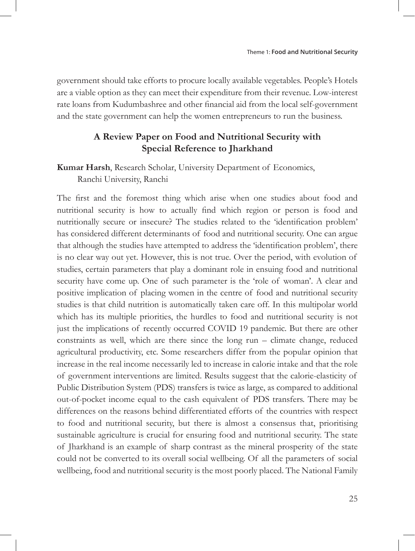government should take efforts to procure locally available vegetables. People's Hotels are a viable option as they can meet their expenditure from their revenue. Low-interest rate loans from Kudumbashree and other financial aid from the local self-government and the state government can help the women entrepreneurs to run the business.

#### **A Review Paper on Food and Nutritional Security with Special Reference to Jharkhand**

## **Kumar Harsh**, Research Scholar, University Department of Economics, Ranchi University, Ranchi

The first and the foremost thing which arise when one studies about food and nutritional security is how to actually find which region or person is food and nutritionally secure or insecure? The studies related to the 'identification problem' has considered different determinants of food and nutritional security. One can argue that although the studies have attempted to address the 'identification problem', there is no clear way out yet. However, this is not true. Over the period, with evolution of studies, certain parameters that play a dominant role in ensuing food and nutritional security have come up. One of such parameter is the 'role of woman'. A clear and positive implication of placing women in the centre of food and nutritional security studies is that child nutrition is automatically taken care off. In this multipolar world which has its multiple priorities, the hurdles to food and nutritional security is not just the implications of recently occurred COVID 19 pandemic. But there are other constraints as well, which are there since the long run – climate change, reduced agricultural productivity, etc. Some researchers differ from the popular opinion that increase in the real income necessarily led to increase in calorie intake and that the role of government interventions are limited. Results suggest that the calorie-elasticity of Public Distribution System (PDS) transfers is twice as large, as compared to additional out-of-pocket income equal to the cash equivalent of PDS transfers. There may be differences on the reasons behind differentiated efforts of the countries with respect to food and nutritional security, but there is almost a consensus that, prioritising sustainable agriculture is crucial for ensuring food and nutritional security. The state of Jharkhand is an example of sharp contrast as the mineral prosperity of the state could not be converted to its overall social wellbeing. Of all the parameters of social wellbeing, food and nutritional security is the most poorly placed. The National Family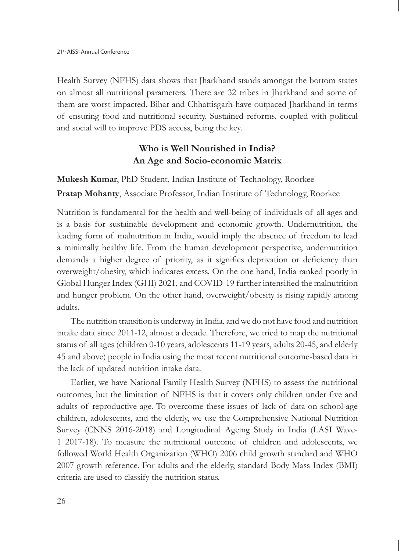Health Survey (NFHS) data shows that Jharkhand stands amongst the bottom states on almost all nutritional parameters. There are 32 tribes in Jharkhand and some of them are worst impacted. Bihar and Chhattisgarh have outpaced Jharkhand in terms of ensuring food and nutritional security. Sustained reforms, coupled with political and social will to improve PDS access, being the key.

## **Who is Well Nourished in India? An Age and Socio-economic Matrix**

**Mukesh Kumar**, PhD Student, Indian Institute of Technology, Roorkee **Pratap Mohanty**, Associate Professor, Indian Institute of Technology, Roorkee

Nutrition is fundamental for the health and well-being of individuals of all ages and is a basis for sustainable development and economic growth. Undernutrition, the leading form of malnutrition in India, would imply the absence of freedom to lead a minimally healthy life. From the human development perspective, undernutrition demands a higher degree of priority, as it signifies deprivation or deficiency than overweight/obesity, which indicates excess. On the one hand, India ranked poorly in Global Hunger Index (GHI) 2021, and COVID-19 further intensified the malnutrition and hunger problem. On the other hand, overweight/obesity is rising rapidly among adults.

The nutrition transition is underway in India, and we do not have food and nutrition intake data since 2011-12, almost a decade. Therefore, we tried to map the nutritional status of all ages (children 0-10 years, adolescents 11-19 years, adults 20-45, and elderly 45 and above) people in India using the most recent nutritional outcome-based data in the lack of updated nutrition intake data.

Earlier, we have National Family Health Survey (NFHS) to assess the nutritional outcomes, but the limitation of NFHS is that it covers only children under five and adults of reproductive age. To overcome these issues of lack of data on school-age children, adolescents, and the elderly, we use the Comprehensive National Nutrition Survey (CNNS 2016-2018) and Longitudinal Ageing Study in India (LASI Wave-1 2017-18). To measure the nutritional outcome of children and adolescents, we followed World Health Organization (WHO) 2006 child growth standard and WHO 2007 growth reference. For adults and the elderly, standard Body Mass Index (BMI) criteria are used to classify the nutrition status.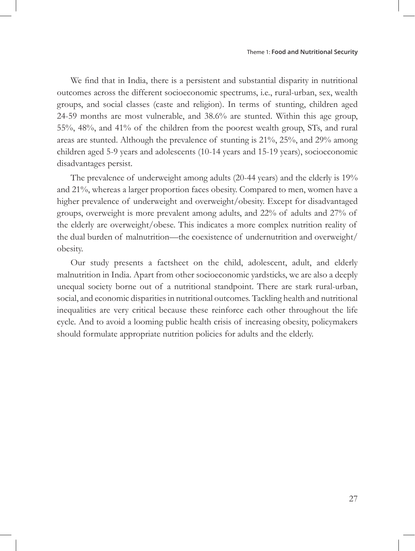We find that in India, there is a persistent and substantial disparity in nutritional outcomes across the different socioeconomic spectrums, i.e., rural-urban, sex, wealth groups, and social classes (caste and religion). In terms of stunting, children aged 24-59 months are most vulnerable, and 38.6% are stunted. Within this age group, 55%, 48%, and 41% of the children from the poorest wealth group, STs, and rural areas are stunted. Although the prevalence of stunting is 21%, 25%, and 29% among children aged 5-9 years and adolescents (10-14 years and 15-19 years), socioeconomic disadvantages persist.

The prevalence of underweight among adults (20-44 years) and the elderly is 19% and 21%, whereas a larger proportion faces obesity. Compared to men, women have a higher prevalence of underweight and overweight/obesity. Except for disadvantaged groups, overweight is more prevalent among adults, and 22% of adults and 27% of the elderly are overweight/obese. This indicates a more complex nutrition reality of the dual burden of malnutrition—the coexistence of undernutrition and overweight/ obesity.

Our study presents a factsheet on the child, adolescent, adult, and elderly malnutrition in India. Apart from other socioeconomic yardsticks, we are also a deeply unequal society borne out of a nutritional standpoint. There are stark rural-urban, social, and economic disparities in nutritional outcomes. Tackling health and nutritional inequalities are very critical because these reinforce each other throughout the life cycle. And to avoid a looming public health crisis of increasing obesity, policymakers should formulate appropriate nutrition policies for adults and the elderly.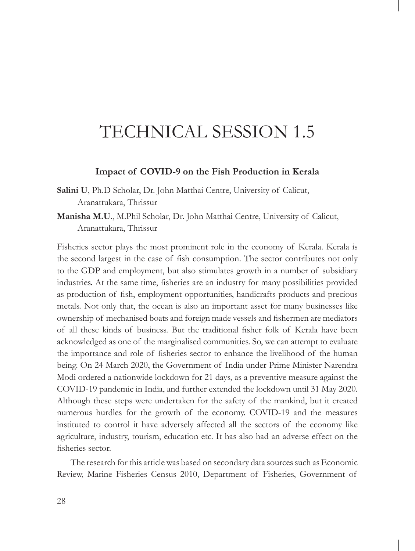# TECHNICAL SESSION 1.5

#### **Impact of COVID-9 on the Fish Production in Kerala**

**Salini U**, Ph.D Scholar, Dr. John Matthai Centre, University of Calicut, Aranattukara, Thrissur

**Manisha M.U**., M.Phil Scholar, Dr. John Matthai Centre, University of Calicut, Aranattukara, Thrissur

Fisheries sector plays the most prominent role in the economy of Kerala. Kerala is the second largest in the case of fish consumption. The sector contributes not only to the GDP and employment, but also stimulates growth in a number of subsidiary industries. At the same time, fisheries are an industry for many possibilities provided as production of fish, employment opportunities, handicrafts products and precious metals. Not only that, the ocean is also an important asset for many businesses like ownership of mechanised boats and foreign made vessels and fishermen are mediators of all these kinds of business. But the traditional fisher folk of Kerala have been acknowledged as one of the marginalised communities. So, we can attempt to evaluate the importance and role of fisheries sector to enhance the livelihood of the human being. On 24 March 2020, the Government of India under Prime Minister Narendra Modi ordered a nationwide lockdown for 21 days, as a preventive measure against the COVID-19 pandemic in India, and further extended the lockdown until 31 May 2020. Although these steps were undertaken for the safety of the mankind, but it created numerous hurdles for the growth of the economy. COVID-19 and the measures instituted to control it have adversely affected all the sectors of the economy like agriculture, industry, tourism, education etc. It has also had an adverse effect on the fisheries sector.

The research for this article was based on secondary data sources such as Economic Review, Marine Fisheries Census 2010, Department of Fisheries, Government of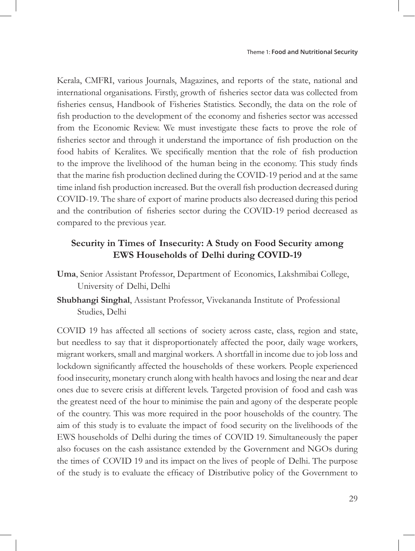Kerala, CMFRI, various Journals, Magazines, and reports of the state, national and international organisations. Firstly, growth of fisheries sector data was collected from fisheries census, Handbook of Fisheries Statistics. Secondly, the data on the role of fish production to the development of the economy and fisheries sector was accessed from the Economic Review. We must investigate these facts to prove the role of fisheries sector and through it understand the importance of fish production on the food habits of Keralites. We specifically mention that the role of fish production to the improve the livelihood of the human being in the economy. This study finds that the marine fish production declined during the COVID-19 period and at the same time inland fish production increased. But the overall fish production decreased during COVID-19. The share of export of marine products also decreased during this period and the contribution of fisheries sector during the COVID-19 period decreased as compared to the previous year.

### **Security in Times of Insecurity: A Study on Food Security among EWS Households of Delhi during COVID-19**

- **Uma**, Senior Assistant Professor, Department of Economics, Lakshmibai College, University of Delhi, Delhi
- **Shubhangi Singhal**, Assistant Professor, Vivekananda Institute of Professional Studies, Delhi

COVID 19 has affected all sections of society across caste, class, region and state, but needless to say that it disproportionately affected the poor, daily wage workers, migrant workers, small and marginal workers. A shortfall in income due to job loss and lockdown significantly affected the households of these workers. People experienced food insecurity, monetary crunch along with health havocs and losing the near and dear ones due to severe crisis at different levels. Targeted provision of food and cash was the greatest need of the hour to minimise the pain and agony of the desperate people of the country. This was more required in the poor households of the country. The aim of this study is to evaluate the impact of food security on the livelihoods of the EWS households of Delhi during the times of COVID 19. Simultaneously the paper also focuses on the cash assistance extended by the Government and NGOs during the times of COVID 19 and its impact on the lives of people of Delhi. The purpose of the study is to evaluate the efficacy of Distributive policy of the Government to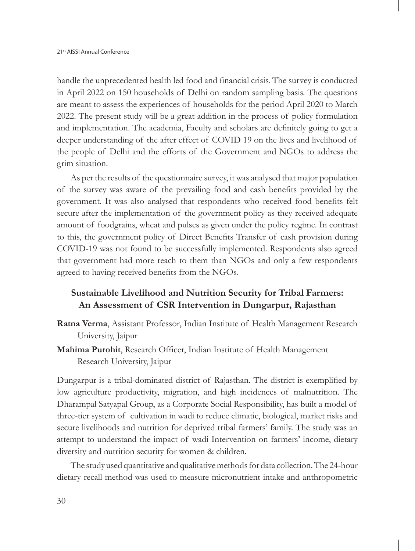handle the unprecedented health led food and financial crisis. The survey is conducted in April 2022 on 150 households of Delhi on random sampling basis. The questions are meant to assess the experiences of households for the period April 2020 to March 2022. The present study will be a great addition in the process of policy formulation and implementation. The academia, Faculty and scholars are definitely going to get a deeper understanding of the after effect of COVID 19 on the lives and livelihood of the people of Delhi and the efforts of the Government and NGOs to address the grim situation.

As per the results of the questionnaire survey, it was analysed that major population of the survey was aware of the prevailing food and cash benefits provided by the government. It was also analysed that respondents who received food benefits felt secure after the implementation of the government policy as they received adequate amount of foodgrains, wheat and pulses as given under the policy regime. In contrast to this, the government policy of Direct Benefits Transfer of cash provision during COVID-19 was not found to be successfully implemented. Respondents also agreed that government had more reach to them than NGOs and only a few respondents agreed to having received benefits from the NGOs.

#### **Sustainable Livelihood and Nutrition Security for Tribal Farmers: An Assessment of CSR Intervention in Dungarpur, Rajasthan**

- **Ratna Verma**, Assistant Professor, Indian Institute of Health Management Research University, Jaipur
- **Mahima Purohit**, Research Officer, Indian Institute of Health Management Research University, Jaipur

Dungarpur is a tribal-dominated district of Rajasthan. The district is exemplified by low agriculture productivity, migration, and high incidences of malnutrition. The Dharampal Satyapal Group, as a Corporate Social Responsibility, has built a model of three-tier system of cultivation in wadi to reduce climatic, biological, market risks and secure livelihoods and nutrition for deprived tribal farmers' family. The study was an attempt to understand the impact of wadi Intervention on farmers' income, dietary diversity and nutrition security for women & children.

The study used quantitative and qualitative methods for data collection. The 24-hour dietary recall method was used to measure micronutrient intake and anthropometric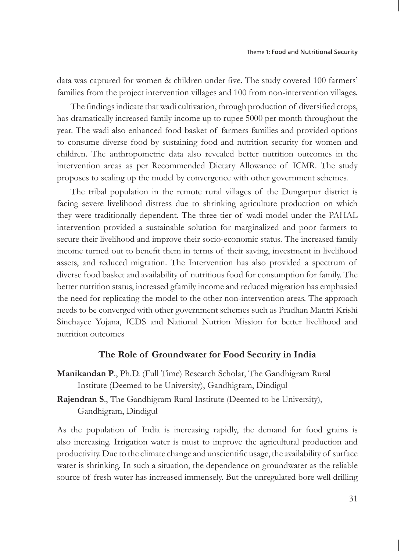data was captured for women & children under five. The study covered 100 farmers' families from the project intervention villages and 100 from non-intervention villages.

The findings indicate that wadi cultivation, through production of diversified crops, has dramatically increased family income up to rupee 5000 per month throughout the year. The wadi also enhanced food basket of farmers families and provided options to consume diverse food by sustaining food and nutrition security for women and children. The anthropometric data also revealed better nutrition outcomes in the intervention areas as per Recommended Dietary Allowance of ICMR. The study proposes to scaling up the model by convergence with other government schemes.

The tribal population in the remote rural villages of the Dungarpur district is facing severe livelihood distress due to shrinking agriculture production on which they were traditionally dependent. The three tier of wadi model under the PAHAL intervention provided a sustainable solution for marginalized and poor farmers to secure their livelihood and improve their socio-economic status. The increased family income turned out to benefit them in terms of their saving, investment in livelihood assets, and reduced migration. The Intervention has also provided a spectrum of diverse food basket and availability of nutritious food for consumption for family. The better nutrition status, increased gfamily income and reduced migration has emphasied the need for replicating the model to the other non-intervention areas. The approach needs to be converged with other government schemes such as Pradhan Mantri Krishi Sinchayee Yojana, ICDS and National Nutrion Mission for better livelihood and nutrition outcomes

#### **The Role of Groundwater for Food Security in India**

**Manikandan P**., Ph.D. (Full Time) Research Scholar, The Gandhigram Rural Institute (Deemed to be University), Gandhigram, Dindigul

**Rajendran S**., The Gandhigram Rural Institute (Deemed to be University), Gandhigram, Dindigul

As the population of India is increasing rapidly, the demand for food grains is also increasing. Irrigation water is must to improve the agricultural production and productivity. Due to the climate change and unscientific usage, the availability of surface water is shrinking. In such a situation, the dependence on groundwater as the reliable source of fresh water has increased immensely. But the unregulated bore well drilling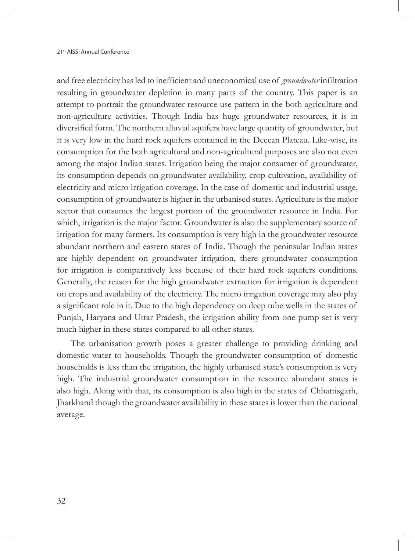and free electricity has led to inefficient and uneconomical use of *groundwater* infiltration resulting in groundwater depletion in many parts of the country. This paper is an attempt to portrait the groundwater resource use pattern in the both agriculture and non-agriculture activities. Though India has huge groundwater resources, it is in diversified form. The northern alluvial aquifers have large quantity of groundwater, but it is very low in the hard rock aquifers contained in the Deccan Plateau. Like-wise, its consumption for the both agricultural and non-agricultural purposes are also not even among the major Indian states. Irrigation being the major consumer of groundwater, its consumption depends on groundwater availability, crop cultivation, availability of electricity and micro irrigation coverage. In the case of domestic and industrial usage, consumption of groundwater is higher in the urbanised states. Agriculture is the major sector that consumes the largest portion of the groundwater resource in India. For which, irrigation is the major factor. Groundwater is also the supplementary source of irrigation for many farmers. Its consumption is very high in the groundwater resource abundant northern and eastern states of India. Though the peninsular Indian states are highly dependent on groundwater irrigation, there groundwater consumption for irrigation is comparatively less because of their hard rock aquifers conditions. Generally, the reason for the high groundwater extraction for irrigation is dependent on crops and availability of the electricity. The micro irrigation coverage may also play a significant role in it. Due to the high dependency on deep tube wells in the states of Punjab, Haryana and Uttar Pradesh, the irrigation ability from one pump set is very much higher in these states compared to all other states.

The urbanisation growth poses a greater challenge to providing drinking and domestic water to households. Though the groundwater consumption of domestic households is less than the irrigation, the highly urbanised state's consumption is very high. The industrial groundwater consumption in the resource abundant states is also high. Along with that, its consumption is also high in the states of Chhattisgarh, Jharkhand though the groundwater availability in these states is lower than the national average.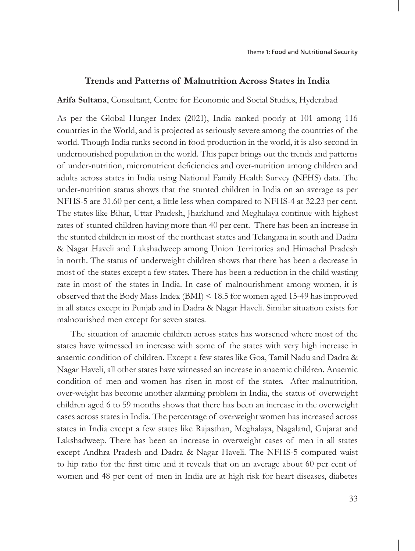#### **Trends and Patterns of Malnutrition Across States in India**

**Arifa Sultana**, Consultant, Centre for Economic and Social Studies, Hyderabad

As per the Global Hunger Index (2021), India ranked poorly at 101 among 116 countries in the World, and is projected as seriously severe among the countries of the world. Though India ranks second in food production in the world, it is also second in undernourished population in the world. This paper brings out the trends and patterns of under-nutrition, micronutrient deficiencies and over-nutrition among children and adults across states in India using National Family Health Survey (NFHS) data. The under-nutrition status shows that the stunted children in India on an average as per NFHS-5 are 31.60 per cent, a little less when compared to NFHS-4 at 32.23 per cent. The states like Bihar, Uttar Pradesh, Jharkhand and Meghalaya continue with highest rates of stunted children having more than 40 per cent. There has been an increase in the stunted children in most of the northeast states and Telangana in south and Dadra & Nagar Haveli and Lakshadweep among Union Territories and Himachal Pradesh in north. The status of underweight children shows that there has been a decrease in most of the states except a few states. There has been a reduction in the child wasting rate in most of the states in India. In case of malnourishment among women, it is observed that the Body Mass Index (BMI) < 18.5 for women aged 15-49 has improved in all states except in Punjab and in Dadra & Nagar Haveli. Similar situation exists for malnourished men except for seven states.

The situation of anaemic children across states has worsened where most of the states have witnessed an increase with some of the states with very high increase in anaemic condition of children. Except a few states like Goa, Tamil Nadu and Dadra & Nagar Haveli, all other states have witnessed an increase in anaemic children. Anaemic condition of men and women has risen in most of the states. After malnutrition, over-weight has become another alarming problem in India, the status of overweight children aged 6 to 59 months shows that there has been an increase in the overweight cases across states in India. The percentage of overweight women has increased across states in India except a few states like Rajasthan, Meghalaya, Nagaland, Gujarat and Lakshadweep. There has been an increase in overweight cases of men in all states except Andhra Pradesh and Dadra & Nagar Haveli. The NFHS-5 computed waist to hip ratio for the first time and it reveals that on an average about 60 per cent of women and 48 per cent of men in India are at high risk for heart diseases, diabetes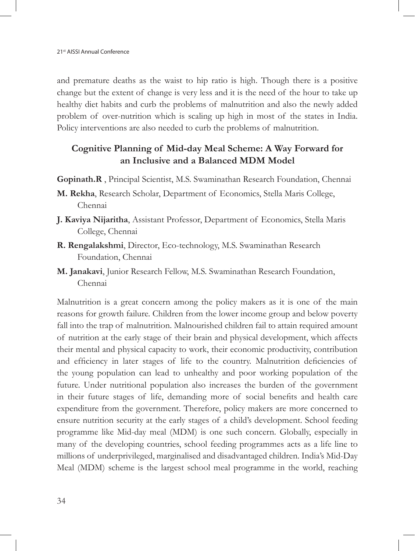and premature deaths as the waist to hip ratio is high. Though there is a positive change but the extent of change is very less and it is the need of the hour to take up healthy diet habits and curb the problems of malnutrition and also the newly added problem of over-nutrition which is scaling up high in most of the states in India. Policy interventions are also needed to curb the problems of malnutrition.

## **Cognitive Planning of Mid-day Meal Scheme: A Way Forward for an Inclusive and a Balanced MDM Model**

- **Gopinath.R** , Principal Scientist, M.S. Swaminathan Research Foundation, Chennai
- **M. Rekha**, Research Scholar, Department of Economics, Stella Maris College, Chennai
- **J. Kaviya Nijaritha**, Assistant Professor, Department of Economics, Stella Maris College, Chennai
- **R. Rengalakshmi**, Director, Eco-technology, M.S. Swaminathan Research Foundation, Chennai
- **M. Janakavi**, Junior Research Fellow, M.S. Swaminathan Research Foundation, Chennai

Malnutrition is a great concern among the policy makers as it is one of the main reasons for growth failure. Children from the lower income group and below poverty fall into the trap of malnutrition. Malnourished children fail to attain required amount of nutrition at the early stage of their brain and physical development, which affects their mental and physical capacity to work, their economic productivity, contribution and efficiency in later stages of life to the country. Malnutrition deficiencies of the young population can lead to unhealthy and poor working population of the future. Under nutritional population also increases the burden of the government in their future stages of life, demanding more of social benefits and health care expenditure from the government. Therefore, policy makers are more concerned to ensure nutrition security at the early stages of a child's development. School feeding programme like Mid-day meal (MDM) is one such concern. Globally, especially in many of the developing countries, school feeding programmes acts as a life line to millions of underprivileged, marginalised and disadvantaged children. India's Mid-Day Meal (MDM) scheme is the largest school meal programme in the world, reaching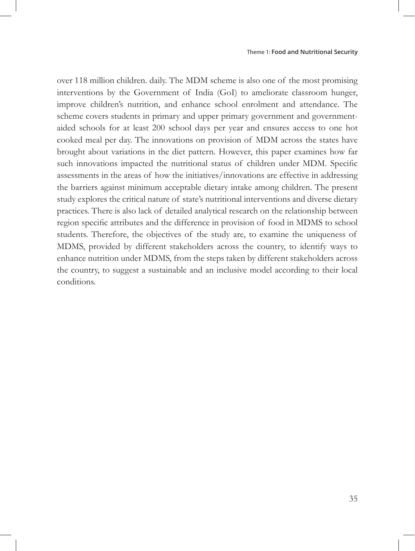over 118 million children. daily. The MDM scheme is also one of the most promising interventions by the Government of India (GoI) to ameliorate classroom hunger, improve children's nutrition, and enhance school enrolment and attendance. The scheme covers students in primary and upper primary government and governmentaided schools for at least 200 school days per year and ensures access to one hot cooked meal per day. The innovations on provision of MDM across the states have brought about variations in the diet pattern. However, this paper examines how far such innovations impacted the nutritional status of children under MDM. Specific assessments in the areas of how the initiatives/innovations are effective in addressing the barriers against minimum acceptable dietary intake among children. The present study explores the critical nature of state's nutritional interventions and diverse dietary practices. There is also lack of detailed analytical research on the relationship between region specific attributes and the difference in provision of food in MDMS to school students. Therefore, the objectives of the study are, to examine the uniqueness of MDMS, provided by different stakeholders across the country, to identify ways to enhance nutrition under MDMS, from the steps taken by different stakeholders across the country, to suggest a sustainable and an inclusive model according to their local conditions.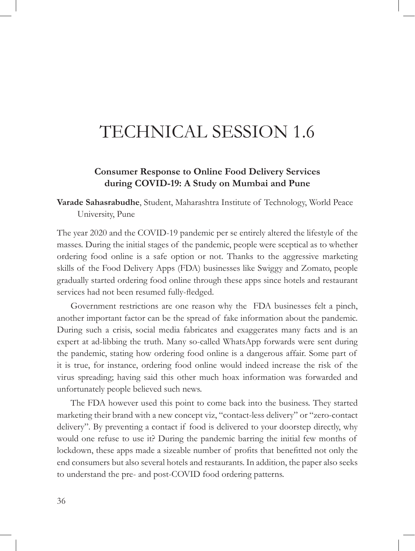# TECHNICAL SESSION 1.6

#### **Consumer Response to Online Food Delivery Services during COVID-19: A Study on Mumbai and Pune**

**Varade Sahasrabudhe**, Student, Maharashtra Institute of Technology, World Peace University, Pune

The year 2020 and the COVID-19 pandemic per se entirely altered the lifestyle of the masses. During the initial stages of the pandemic, people were sceptical as to whether ordering food online is a safe option or not. Thanks to the aggressive marketing skills of the Food Delivery Apps (FDA) businesses like Swiggy and Zomato, people gradually started ordering food online through these apps since hotels and restaurant services had not been resumed fully-fledged.

Government restrictions are one reason why the FDA businesses felt a pinch, another important factor can be the spread of fake information about the pandemic. During such a crisis, social media fabricates and exaggerates many facts and is an expert at ad-libbing the truth. Many so-called WhatsApp forwards were sent during the pandemic, stating how ordering food online is a dangerous affair. Some part of it is true, for instance, ordering food online would indeed increase the risk of the virus spreading; having said this other much hoax information was forwarded and unfortunately people believed such news.

The FDA however used this point to come back into the business. They started marketing their brand with a new concept viz, "contact-less delivery" or "zero-contact delivery". By preventing a contact if food is delivered to your doorstep directly, why would one refuse to use it? During the pandemic barring the initial few months of lockdown, these apps made a sizeable number of profits that benefitted not only the end consumers but also several hotels and restaurants. In addition, the paper also seeks to understand the pre- and post-COVID food ordering patterns.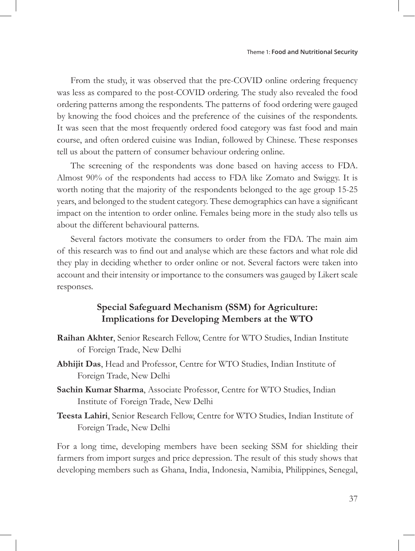From the study, it was observed that the pre-COVID online ordering frequency was less as compared to the post-COVID ordering. The study also revealed the food ordering patterns among the respondents. The patterns of food ordering were gauged by knowing the food choices and the preference of the cuisines of the respondents. It was seen that the most frequently ordered food category was fast food and main course, and often ordered cuisine was Indian, followed by Chinese. These responses tell us about the pattern of consumer behaviour ordering online.

The screening of the respondents was done based on having access to FDA. Almost 90% of the respondents had access to FDA like Zomato and Swiggy. It is worth noting that the majority of the respondents belonged to the age group 15-25 years, and belonged to the student category. These demographics can have a significant impact on the intention to order online. Females being more in the study also tells us about the different behavioural patterns.

Several factors motivate the consumers to order from the FDA. The main aim of this research was to find out and analyse which are these factors and what role did they play in deciding whether to order online or not. Several factors were taken into account and their intensity or importance to the consumers was gauged by Likert scale responses.

#### **Special Safeguard Mechanism (SSM) for Agriculture: Implications for Developing Members at the WTO**

- **Raihan Akhter**, Senior Research Fellow, Centre for WTO Studies, Indian Institute of Foreign Trade, New Delhi
- **Abhijit Das**, Head and Professor, Centre for WTO Studies, Indian Institute of Foreign Trade, New Delhi
- **Sachin Kumar Sharma**, Associate Professor, Centre for WTO Studies, Indian Institute of Foreign Trade, New Delhi
- **Teesta Lahiri**, Senior Research Fellow, Centre for WTO Studies, Indian Institute of Foreign Trade, New Delhi

For a long time, developing members have been seeking SSM for shielding their farmers from import surges and price depression. The result of this study shows that developing members such as Ghana, India, Indonesia, Namibia, Philippines, Senegal,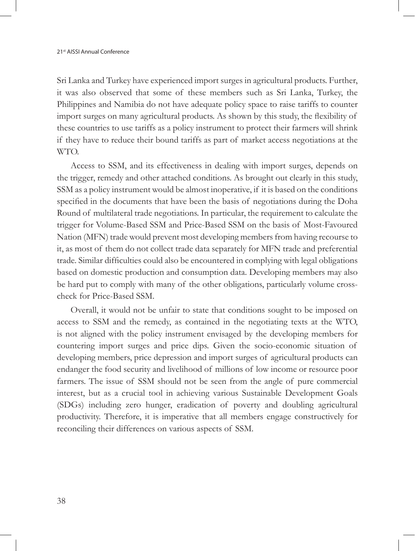Sri Lanka and Turkey have experienced import surges in agricultural products. Further, it was also observed that some of these members such as Sri Lanka, Turkey, the Philippines and Namibia do not have adequate policy space to raise tariffs to counter import surges on many agricultural products. As shown by this study, the flexibility of these countries to use tariffs as a policy instrument to protect their farmers will shrink if they have to reduce their bound tariffs as part of market access negotiations at the WTO.

Access to SSM, and its effectiveness in dealing with import surges, depends on the trigger, remedy and other attached conditions. As brought out clearly in this study, SSM as a policy instrument would be almost inoperative, if it is based on the conditions specified in the documents that have been the basis of negotiations during the Doha Round of multilateral trade negotiations. In particular, the requirement to calculate the trigger for Volume-Based SSM and Price-Based SSM on the basis of Most-Favoured Nation (MFN) trade would prevent most developing members from having recourse to it, as most of them do not collect trade data separately for MFN trade and preferential trade. Similar difficulties could also be encountered in complying with legal obligations based on domestic production and consumption data. Developing members may also be hard put to comply with many of the other obligations, particularly volume crosscheck for Price-Based SSM.

Overall, it would not be unfair to state that conditions sought to be imposed on access to SSM and the remedy, as contained in the negotiating texts at the WTO, is not aligned with the policy instrument envisaged by the developing members for countering import surges and price dips. Given the socio-economic situation of developing members, price depression and import surges of agricultural products can endanger the food security and livelihood of millions of low income or resource poor farmers. The issue of SSM should not be seen from the angle of pure commercial interest, but as a crucial tool in achieving various Sustainable Development Goals (SDGs) including zero hunger, eradication of poverty and doubling agricultural productivity. Therefore, it is imperative that all members engage constructively for reconciling their differences on various aspects of SSM.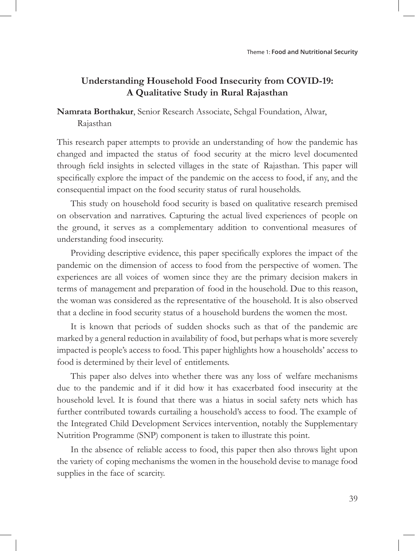## **Understanding Household Food Insecurity from COVID-19: A Qualitative Study in Rural Rajasthan**

**Namrata Borthakur**, Senior Research Associate, Sehgal Foundation, Alwar,

Rajasthan

This research paper attempts to provide an understanding of how the pandemic has changed and impacted the status of food security at the micro level documented through field insights in selected villages in the state of Rajasthan. This paper will specifically explore the impact of the pandemic on the access to food, if any, and the consequential impact on the food security status of rural households.

This study on household food security is based on qualitative research premised on observation and narratives. Capturing the actual lived experiences of people on the ground, it serves as a complementary addition to conventional measures of understanding food insecurity.

Providing descriptive evidence, this paper specifically explores the impact of the pandemic on the dimension of access to food from the perspective of women. The experiences are all voices of women since they are the primary decision makers in terms of management and preparation of food in the household. Due to this reason, the woman was considered as the representative of the household. It is also observed that a decline in food security status of a household burdens the women the most.

It is known that periods of sudden shocks such as that of the pandemic are marked by a general reduction in availability of food, but perhaps what is more severely impacted is people's access to food. This paper highlights how a households' access to food is determined by their level of entitlements.

This paper also delves into whether there was any loss of welfare mechanisms due to the pandemic and if it did how it has exacerbated food insecurity at the household level. It is found that there was a hiatus in social safety nets which has further contributed towards curtailing a household's access to food. The example of the Integrated Child Development Services intervention, notably the Supplementary Nutrition Programme (SNP) component is taken to illustrate this point.

In the absence of reliable access to food, this paper then also throws light upon the variety of coping mechanisms the women in the household devise to manage food supplies in the face of scarcity.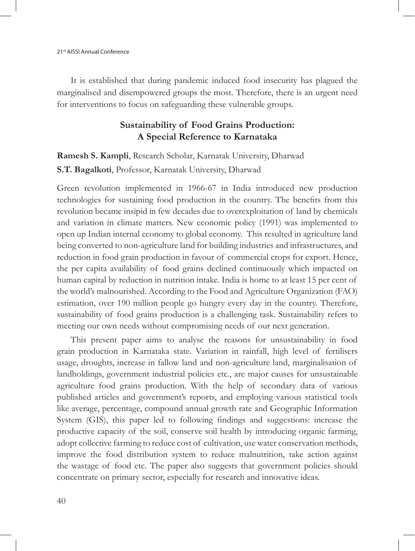It is established that during pandemic induced food insecurity has plagued the marginalised and disempowered groups the most. Therefore, there is an urgent need for interventions to focus on safeguarding these vulnerable groups.

#### **Sustainability of Food Grains Production: A Special Reference to Karnataka**

**Ramesh S. Kampli**, Research Scholar, Karnatak University, Dharwad

#### **S.T. Bagalkoti**, Professor, Karnatak University, Dharwad

Green revolution implemented in 1966-67 in India introduced new production technologies for sustaining food production in the country. The benefits from this revolution became insipid in few decades due to overexploitation of land by chemicals and variation in climate matters. New economic policy (1991) was implemented to open up Indian internal economy to global economy. This resulted in agriculture land being converted to non-agriculture land for building industries and infrastructures, and reduction in food grain production in favour of commercial crops for export. Hence, the per capita availability of food grains declined continuously which impacted on human capital by reduction in nutrition intake. India is home to at least 15 per cent of the world's malnourished. According to the Food and Agriculture Organization (FAO) estimation, over 190 million people go hungry every day in the country. Therefore, sustainability of food grains production is a challenging task. Sustainability refers to meeting our own needs without compromising needs of our next generation.

This present paper aims to analyse the reasons for unsustainability in food grain production in Karnataka state. Variation in rainfall, high level of fertilisers usage, droughts, increase in fallow land and non-agriculture land, marginalisation of landholdings, government industrial policies etc., are major causes for unsustainable agriculture food grains production. With the help of secondary data of various published articles and government's reports, and employing various statistical tools like average, percentage, compound annual growth rate and Geographic Information System (GIS), this paper led to following findings and suggestions: increase the productive capacity of the soil, conserve soil health by introducing organic farming, adopt collective farming to reduce cost of cultivation, use water conservation methods, improve the food distribution system to reduce malnutrition, take action against the wastage of food etc. The paper also suggests that government policies should concentrate on primary sector, especially for research and innovative ideas.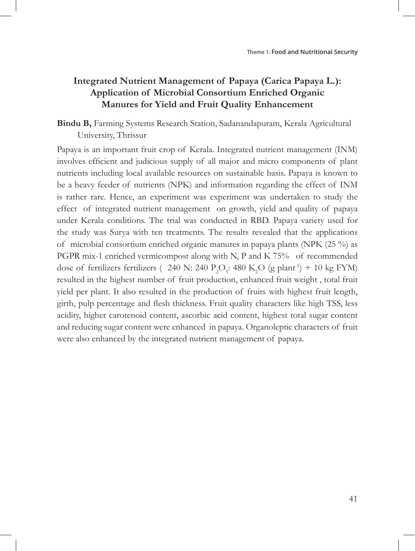## **Integrated Nutrient Management of Papaya (Carica Papaya L.): Application of Microbial Consortium Enriched Organic Manures for Yield and Fruit Quality Enhancement**

**Bindu B,** Farming Systems Research Station, Sadanandapuram, Kerala Agricultural University, Thrissur

Papaya is an important fruit crop of Kerala. Integrated nutrient management (INM) involves efficient and judicious supply of all major and micro components of plant nutrients including local available resources on sustainable basis. Papaya is known to be a heavy feeder of nutrients (NPK) and information regarding the effect of INM is rather rare. Hence, an experiment was experiment was undertaken to study the effect of integrated nutrient management on growth, yield and quality of papaya under Kerala conditions. The trial was conducted in RBD. Papaya variety used for the study was Surya with ten treatments. The results revealed that the applications of microbial consortium enriched organic manures in papaya plants (NPK (25 %) as PGPR mix-1 enriched vermicompost along with N, P and K 75% of recommended dose of fertilizers fertilizers ( 240 N: 240  $P_2O_5$ : 480 K<sub>2</sub>O (g plant<sup>-1</sup>) + 10 kg FYM) resulted in the highest number of fruit production, enhanced fruit weight , total fruit yield per plant. It also resulted in the production of fruits with highest fruit length, girth, pulp percentage and flesh thickness. Fruit quality characters like high TSS, less acidity, higher carotenoid content, ascorbic acid content, highest total sugar content and reducing sugar content were enhanced in papaya. Organoleptic characters of fruit were also enhanced by the integrated nutrient management of papaya.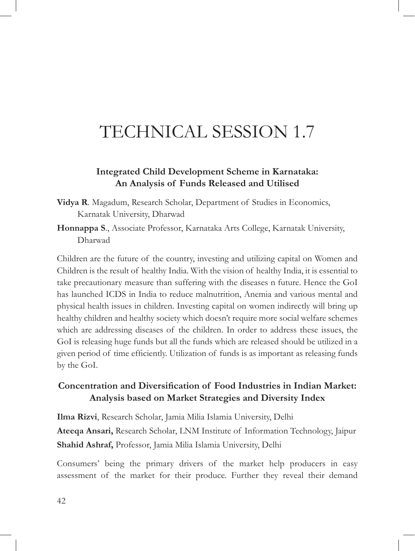# TECHNICAL SESSION 1.7

#### **Integrated Child Development Scheme in Karnataka: An Analysis of Funds Released and Utilised**

- **Vidya R**. Magadum, Research Scholar, Department of Studies in Economics, Karnatak University, Dharwad
- **Honnappa S**., Associate Professor, Karnataka Arts College, Karnatak University, Dharwad

Children are the future of the country, investing and utilizing capital on Women and Children is the result of healthy India. With the vision of healthy India, it is essential to take precautionary measure than suffering with the diseases n future. Hence the GoI has launched ICDS in India to reduce malnutrition, Anemia and various mental and physical health issues in children. Investing capital on women indirectly will bring up healthy children and healthy society which doesn't require more social welfare schemes which are addressing diseases of the children. In order to address these issues, the GoI is releasing huge funds but all the funds which are released should be utilized in a given period of time efficiently. Utilization of funds is as important as releasing funds by the GoI.

## **Concentration and Diversification of Food Industries in Indian Market: Analysis based on Market Strategies and Diversity Index**

**Ilma Rizvi**, Research Scholar, Jamia Milia Islamia University, Delhi **Ateeqa Ansari,** Research Scholar, LNM Institute of Information Technology, Jaipur **Shahid Ashraf,** Professor, Jamia Milia Islamia University, Delhi

Consumers' being the primary drivers of the market help producers in easy assessment of the market for their produce. Further they reveal their demand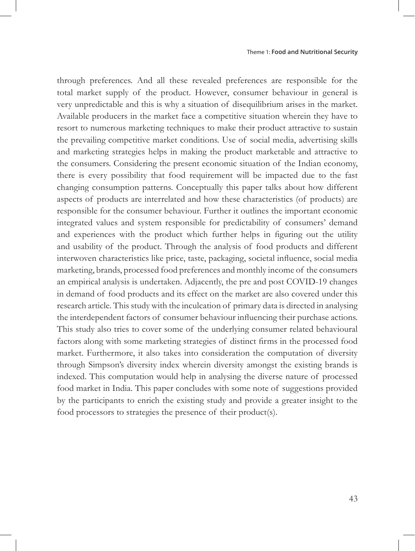through preferences. And all these revealed preferences are responsible for the total market supply of the product. However, consumer behaviour in general is very unpredictable and this is why a situation of disequilibrium arises in the market. Available producers in the market face a competitive situation wherein they have to resort to numerous marketing techniques to make their product attractive to sustain the prevailing competitive market conditions. Use of social media, advertising skills and marketing strategies helps in making the product marketable and attractive to the consumers. Considering the present economic situation of the Indian economy, there is every possibility that food requirement will be impacted due to the fast changing consumption patterns. Conceptually this paper talks about how different aspects of products are interrelated and how these characteristics (of products) are responsible for the consumer behaviour. Further it outlines the important economic integrated values and system responsible for predictability of consumers' demand and experiences with the product which further helps in figuring out the utility and usability of the product. Through the analysis of food products and different interwoven characteristics like price, taste, packaging, societal influence, social media marketing, brands, processed food preferences and monthly income of the consumers an empirical analysis is undertaken. Adjacently, the pre and post COVID-19 changes in demand of food products and its effect on the market are also covered under this research article. This study with the inculcation of primary data is directed in analysing the interdependent factors of consumer behaviour influencing their purchase actions. This study also tries to cover some of the underlying consumer related behavioural factors along with some marketing strategies of distinct firms in the processed food market. Furthermore, it also takes into consideration the computation of diversity through Simpson's diversity index wherein diversity amongst the existing brands is indexed. This computation would help in analysing the diverse nature of processed food market in India. This paper concludes with some note of suggestions provided by the participants to enrich the existing study and provide a greater insight to the food processors to strategies the presence of their product(s).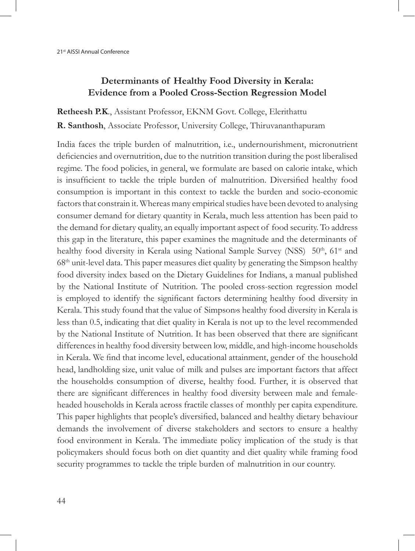## **Determinants of Healthy Food Diversity in Kerala: Evidence from a Pooled Cross-Section Regression Model**

**Retheesh P.K**., Assistant Professor, EKNM Govt. College, Elerithattu **R. Santhosh**, Associate Professor, University College, Thiruvananthapuram

India faces the triple burden of malnutrition, i.e., undernourishment, micronutrient deficiencies and overnutrition, due to the nutrition transition during the post liberalised regime. The food policies, in general, we formulate are based on calorie intake, which is insufficient to tackle the triple burden of malnutrition. Diversified healthy food consumption is important in this context to tackle the burden and socio-economic factors that constrain it. Whereas many empirical studies have been devoted to analysing consumer demand for dietary quantity in Kerala, much less attention has been paid to the demand for dietary quality, an equally important aspect of food security. To address this gap in the literature, this paper examines the magnitude and the determinants of healthy food diversity in Kerala using National Sample Survey (NSS) 50<sup>th</sup>, 61<sup>st</sup> and  $68<sup>th</sup>$  unit-level data. This paper measures diet quality by generating the Simpson healthy food diversity index based on the Dietary Guidelines for Indians, a manual published by the National Institute of Nutrition. The pooled cross-section regression model is employed to identify the significant factors determining healthy food diversity in Kerala. This study found that the value of Simpson's healthy food diversity in Kerala is less than 0.5, indicating that diet quality in Kerala is not up to the level recommended by the National Institute of Nutrition. It has been observed that there are significant differences in healthy food diversity between low, middle, and high-income households in Kerala. We find that income level, educational attainment, gender of the household head, landholding size, unit value of milk and pulses are important factors that affect the household›s consumption of diverse, healthy food. Further, it is observed that there are significant differences in healthy food diversity between male and femaleheaded households in Kerala across fractile classes of monthly per capita expenditure. This paper highlights that people's diversified, balanced and healthy dietary behaviour demands the involvement of diverse stakeholders and sectors to ensure a healthy food environment in Kerala. The immediate policy implication of the study is that policymakers should focus both on diet quantity and diet quality while framing food security programmes to tackle the triple burden of malnutrition in our country.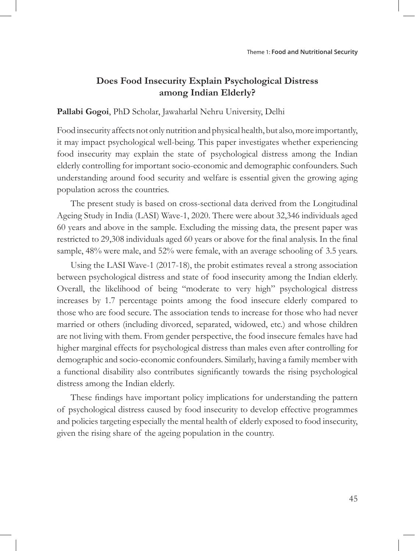## **Does Food Insecurity Explain Psychological Distress among Indian Elderly?**

**Pallabi Gogoi**, PhD Scholar, Jawaharlal Nehru University, Delhi

Food insecurity affects not only nutrition and physical health, but also, more importantly, it may impact psychological well-being. This paper investigates whether experiencing food insecurity may explain the state of psychological distress among the Indian elderly controlling for important socio-economic and demographic confounders. Such understanding around food security and welfare is essential given the growing aging population across the countries.

The present study is based on cross-sectional data derived from the Longitudinal Ageing Study in India (LASI) Wave-1, 2020. There were about 32,346 individuals aged 60 years and above in the sample. Excluding the missing data, the present paper was restricted to 29,308 individuals aged 60 years or above for the final analysis. In the final sample, 48% were male, and 52% were female, with an average schooling of 3.5 years.

Using the LASI Wave-1 (2017-18), the probit estimates reveal a strong association between psychological distress and state of food insecurity among the Indian elderly. Overall, the likelihood of being "moderate to very high" psychological distress increases by 1.7 percentage points among the food insecure elderly compared to those who are food secure. The association tends to increase for those who had never married or others (including divorced, separated, widowed, etc.) and whose children are not living with them. From gender perspective, the food insecure females have had higher marginal effects for psychological distress than males even after controlling for demographic and socio-economic confounders. Similarly, having a family member with a functional disability also contributes significantly towards the rising psychological distress among the Indian elderly.

These findings have important policy implications for understanding the pattern of psychological distress caused by food insecurity to develop effective programmes and policies targeting especially the mental health of elderly exposed to food insecurity, given the rising share of the ageing population in the country.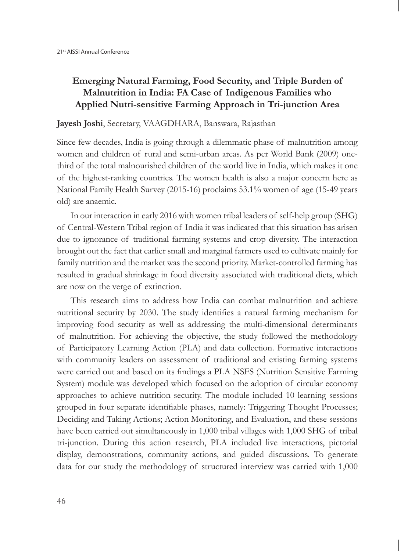## **Emerging Natural Farming, Food Security, and Triple Burden of Malnutrition in India: FA Case of Indigenous Families who Applied Nutri-sensitive Farming Approach in Tri-junction Area**

#### **Jayesh Joshi**, Secretary, VAAGDHARA, Banswara, Rajasthan

Since few decades, India is going through a dilemmatic phase of malnutrition among women and children of rural and semi-urban areas. As per World Bank (2009) onethird of the total malnourished children of the world live in India, which makes it one of the highest-ranking countries. The women health is also a major concern here as National Family Health Survey (2015-16) proclaims 53.1% women of age (15-49 years old) are anaemic.

In our interaction in early 2016 with women tribal leaders of self-help group (SHG) of Central-Western Tribal region of India it was indicated that this situation has arisen due to ignorance of traditional farming systems and crop diversity. The interaction brought out the fact that earlier small and marginal farmers used to cultivate mainly for family nutrition and the market was the second priority. Market-controlled farming has resulted in gradual shrinkage in food diversity associated with traditional diets, which are now on the verge of extinction.

This research aims to address how India can combat malnutrition and achieve nutritional security by 2030. The study identifies a natural farming mechanism for improving food security as well as addressing the multi-dimensional determinants of malnutrition. For achieving the objective, the study followed the methodology of Participatory Learning Action (PLA) and data collection. Formative interactions with community leaders on assessment of traditional and existing farming systems were carried out and based on its findings a PLA NSFS (Nutrition Sensitive Farming System) module was developed which focused on the adoption of circular economy approaches to achieve nutrition security. The module included 10 learning sessions grouped in four separate identifiable phases, namely: Triggering Thought Processes; Deciding and Taking Actions; Action Monitoring, and Evaluation, and these sessions have been carried out simultaneously in 1,000 tribal villages with 1,000 SHG of tribal tri-junction. During this action research, PLA included live interactions, pictorial display, demonstrations, community actions, and guided discussions. To generate data for our study the methodology of structured interview was carried with 1,000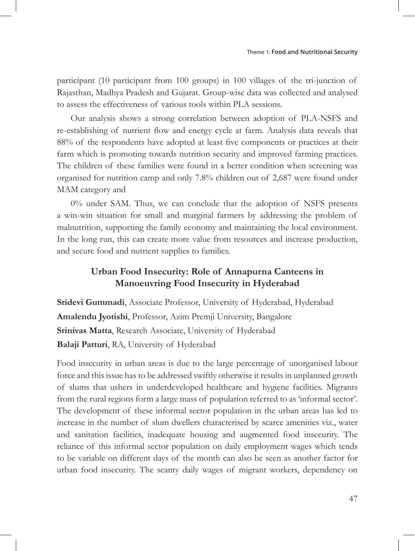participant (10 participant from 100 groups) in 100 villages of the tri-junction of Rajasthan, Madhya Pradesh and Gujarat. Group-wise data was collected and analysed to assess the effectiveness of various tools within PLA sessions.

Our analysis shows a strong correlation between adoption of PLA-NSFS and re-establishing of nutrient flow and energy cycle at farm. Analysis data reveals that 88% of the respondents have adopted at least five components or practices at their farm which is promoting towards nutrition security and improved farming practices. The children of these families were found in a better condition when screening was organised for nutrition camp and only 7.8% children out of 2,687 were found under MAM category and

0% under SAM. Thus, we can conclude that the adoption of NSFS presents a win-win situation for small and marginal farmers by addressing the problem of malnutrition, supporting the family economy and maintaining the local environment. In the long run, this can create more value from resources and increase production, and secure food and nutrient supplies to families.

### **Urban Food Insecurity: Role of Annapurna Canteens in Manoeuvring Food Insecurity in Hyderabad**

**Sridevi Gummadi**, Associate Professor, University of Hyderabad, Hyderabad **Amalendu Jyotishi**, Professor, Azim Premji University, Bangalore **Srinivas Matta**, Research Associate, University of Hyderabad **Balaji Patturi**, RA, University of Hyderabad

Food insecurity in urban areas is due to the large percentage of unorganised labour force and this issue has to be addressed swiftly otherwise it results in unplanned growth of slums that ushers in underdeveloped healthcare and hygiene facilities. Migrants from the rural regions form a large mass of population referred to as 'informal sector'. The development of these informal sector population in the urban areas has led to increase in the number of slum dwellers characterised by scarce amenities viz., water and sanitation facilities, inadequate housing and augmented food insecurity. The reliance of this informal sector population on daily employment wages which tends to be variable on different days of the month can also be seen as another factor for urban food insecurity. The scanty daily wages of migrant workers, dependency on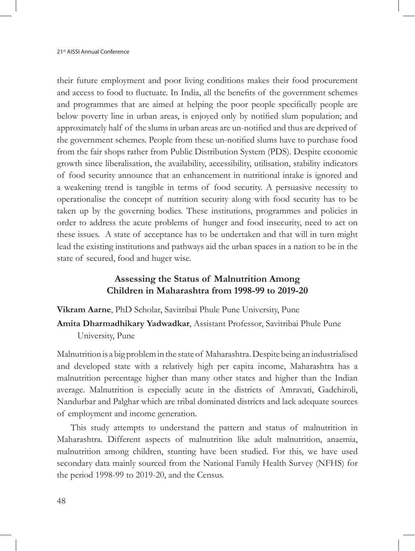their future employment and poor living conditions makes their food procurement and access to food to fluctuate. In India, all the benefits of the government schemes and programmes that are aimed at helping the poor people specifically people are below poverty line in urban areas, is enjoyed only by notified slum population; and approximately half of the slums in urban areas are un-notified and thus are deprived of the government schemes. People from these un-notified slums have to purchase food from the fair shops rather from Public Distribution System (PDS). Despite economic growth since liberalisation, the availability, accessibility, utilisation, stability indicators of food security announce that an enhancement in nutritional intake is ignored and a weakening trend is tangible in terms of food security. A persuasive necessity to operationalise the concept of nutrition security along with food security has to be taken up by the governing bodies. These institutions, programmes and policies in order to address the acute problems of hunger and food insecurity, need to act on these issues. A state of acceptance has to be undertaken and that will in turn might lead the existing institutions and pathways aid the urban spaces in a nation to be in the state of secured, food and huger wise.

#### **Assessing the Status of Malnutrition Among Children in Maharashtra from 1998-99 to 2019-20**

**Vikram Aarne**, PhD Scholar, Savitribai Phule Pune University, Pune

**Amita Dharmadhikary Yadwadkar**, Assistant Professor, Savitribai Phule Pune University, Pune

Malnutrition is a big problem in the state of Maharashtra. Despite being an industrialised and developed state with a relatively high per capita income, Maharashtra has a malnutrition percentage higher than many other states and higher than the Indian average. Malnutrition is especially acute in the districts of Amravati, Gadchiroli, Nandurbar and Palghar which are tribal dominated districts and lack adequate sources of employment and income generation.

This study attempts to understand the pattern and status of malnutrition in Maharashtra. Different aspects of malnutrition like adult malnutrition, anaemia, malnutrition among children, stunting have been studied. For this, we have used secondary data mainly sourced from the National Family Health Survey (NFHS) for the period 1998-99 to 2019-20, and the Census.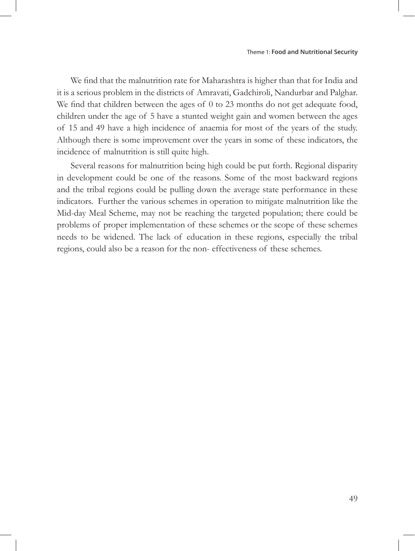We find that the malnutrition rate for Maharashtra is higher than that for India and it is a serious problem in the districts of Amravati, Gadchiroli, Nandurbar and Palghar. We find that children between the ages of 0 to 23 months do not get adequate food, children under the age of 5 have a stunted weight gain and women between the ages of 15 and 49 have a high incidence of anaemia for most of the years of the study. Although there is some improvement over the years in some of these indicators, the incidence of malnutrition is still quite high.

Several reasons for malnutrition being high could be put forth. Regional disparity in development could be one of the reasons. Some of the most backward regions and the tribal regions could be pulling down the average state performance in these indicators. Further the various schemes in operation to mitigate malnutrition like the Mid-day Meal Scheme, may not be reaching the targeted population; there could be problems of proper implementation of these schemes or the scope of these schemes needs to be widened. The lack of education in these regions, especially the tribal regions, could also be a reason for the non- effectiveness of these schemes.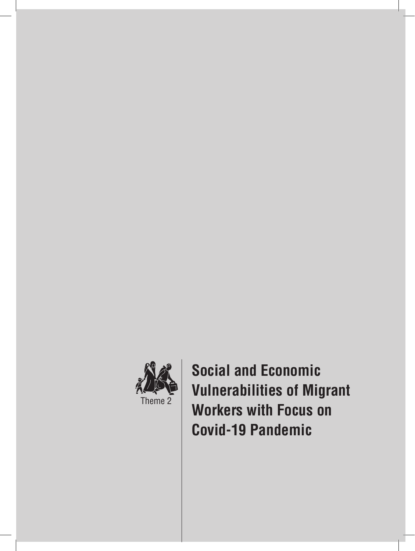

**Social and Economic Vulnerabilities of Migrant Workers with Focus on Covid-19 Pandemic**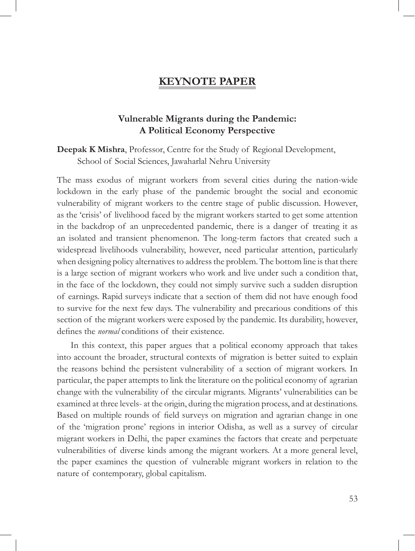### **KEYNOTE PAPER**

#### **Vulnerable Migrants during the Pandemic: A Political Economy Perspective**

**Deepak K Mishra**, Professor, Centre for the Study of Regional Development, School of Social Sciences, Jawaharlal Nehru University

The mass exodus of migrant workers from several cities during the nation-wide lockdown in the early phase of the pandemic brought the social and economic vulnerability of migrant workers to the centre stage of public discussion. However, as the 'crisis' of livelihood faced by the migrant workers started to get some attention in the backdrop of an unprecedented pandemic, there is a danger of treating it as an isolated and transient phenomenon. The long-term factors that created such a widespread livelihoods vulnerability, however, need particular attention, particularly when designing policy alternatives to address the problem. The bottom line is that there is a large section of migrant workers who work and live under such a condition that, in the face of the lockdown, they could not simply survive such a sudden disruption of earnings. Rapid surveys indicate that a section of them did not have enough food to survive for the next few days. The vulnerability and precarious conditions of this section of the migrant workers were exposed by the pandemic. Its durability, however, defines the *normal* conditions of their existence.

In this context, this paper argues that a political economy approach that takes into account the broader, structural contexts of migration is better suited to explain the reasons behind the persistent vulnerability of a section of migrant workers. In particular, the paper attempts to link the literature on the political economy of agrarian change with the vulnerability of the circular migrants. Migrants' vulnerabilities can be examined at three levels- at the origin, during the migration process, and at destinations. Based on multiple rounds of field surveys on migration and agrarian change in one of the 'migration prone' regions in interior Odisha, as well as a survey of circular migrant workers in Delhi, the paper examines the factors that create and perpetuate vulnerabilities of diverse kinds among the migrant workers. At a more general level, the paper examines the question of vulnerable migrant workers in relation to the nature of contemporary, global capitalism.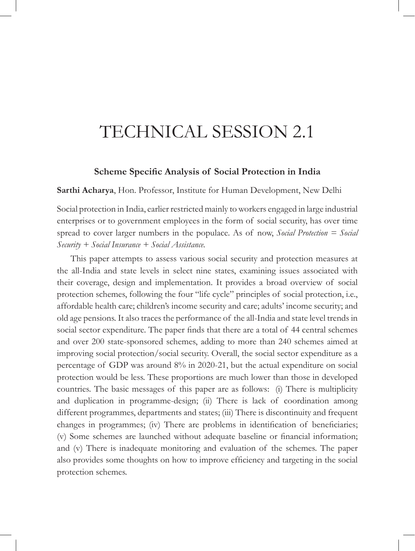# TECHNICAL SESSION 2.1

#### **Scheme Specific Analysis of Social Protection in India**

**Sarthi Acharya**, Hon. Professor, Institute for Human Development, New Delhi

Social protection in India, earlier restricted mainly to workers engaged in large industrial enterprises or to government employees in the form of social security, has over time spread to cover larger numbers in the populace. As of now, *Social Protection = Social Security + Social Insurance + Social Assistance.*

This paper attempts to assess various social security and protection measures at the all-India and state levels in select nine states, examining issues associated with their coverage, design and implementation. It provides a broad overview of social protection schemes, following the four "life cycle" principles of social protection, i.e., affordable health care; children's income security and care; adults' income security; and old age pensions. It also traces the performance of the all-India and state level trends in social sector expenditure. The paper finds that there are a total of 44 central schemes and over 200 state-sponsored schemes, adding to more than 240 schemes aimed at improving social protection/social security. Overall, the social sector expenditure as a percentage of GDP was around 8% in 2020-21, but the actual expenditure on social protection would be less. These proportions are much lower than those in developed countries. The basic messages of this paper are as follows: (i) There is multiplicity and duplication in programme-design; (ii) There is lack of coordination among different programmes, departments and states; (iii) There is discontinuity and frequent changes in programmes; (iv) There are problems in identification of beneficiaries; (v) Some schemes are launched without adequate baseline or financial information; and (v) There is inadequate monitoring and evaluation of the schemes. The paper also provides some thoughts on how to improve efficiency and targeting in the social protection schemes.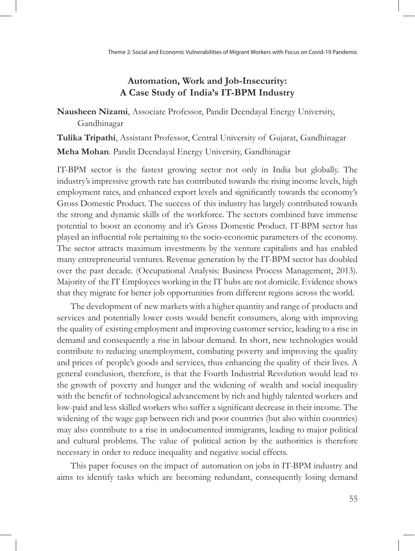## **Automation, Work and Job-Insecurity: A Case Study of India's IT-BPM Industry**

**Nausheen Nizami**, Associate Professor, Pandit Deendayal Energy University, Gandhinagar

**Tulika Tripathi**, Assistant Professor, Central University of Gujarat, Gandhinagar **Meha Mohan**. Pandit Deendayal Energy University, Gandhinagar

IT-BPM sector is the fastest growing sector not only in India but globally. The industry's impressive growth rate has contributed towards the rising income levels, high employment rates, and enhanced export levels and significantly towards the economy's Gross Domestic Product. The success of this industry has largely contributed towards the strong and dynamic skills of the workforce. The sectors combined have immense potential to boost an economy and it's Gross Domestic Product. IT-BPM sector has played an influential role pertaining to the socio-economic parameters of the economy. The sector attracts maximum investments by the venture capitalists and has enabled many entrepreneurial ventures. Revenue generation by the IT-BPM sector has doubled over the past decade. (Occupational Analysis: Business Process Management, 2013). Majority of the IT Employees working in the IT hubs are not domicile. Evidence shows that they migrate for better job opportunities from different regions across the world.

The development of new markets with a higher quantity and range of products and services and potentially lower costs would benefit consumers, along with improving the quality of existing employment and improving customer service, leading to a rise in demand and consequently a rise in labour demand. In short, new technologies would contribute to reducing unemployment, combating poverty and improving the quality and prices of people's goods and services, thus enhancing the quality of their lives. A general conclusion, therefore, is that the Fourth Industrial Revolution would lead to the growth of poverty and hunger and the widening of wealth and social inequality with the benefit of technological advancement by rich and highly talented workers and low-paid and less skilled workers who suffer a significant decrease in their income. The widening of the wage gap between rich and poor countries (but also within countries) may also contribute to a rise in undocumented immigrants, leading to major political and cultural problems. The value of political action by the authorities is therefore necessary in order to reduce inequality and negative social effects.

This paper focuses on the impact of automation on jobs in IT-BPM industry and aims to identify tasks which are becoming redundant, consequently losing demand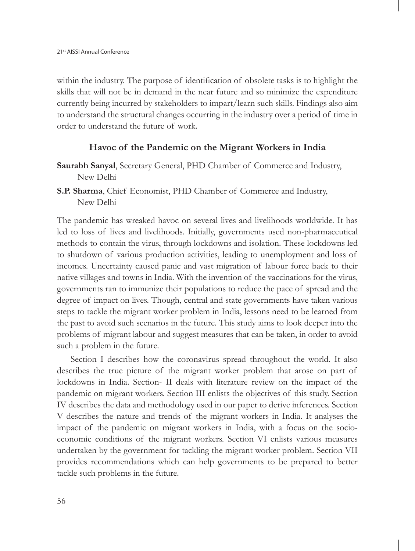within the industry. The purpose of identification of obsolete tasks is to highlight the skills that will not be in demand in the near future and so minimize the expenditure currently being incurred by stakeholders to impart/learn such skills. Findings also aim to understand the structural changes occurring in the industry over a period of time in order to understand the future of work.

#### **Havoc of the Pandemic on the Migrant Workers in India**

- **Saurabh Sanyal**, Secretary General, PHD Chamber of Commerce and Industry, New Delhi
- **S.P. Sharma**, Chief Economist, PHD Chamber of Commerce and Industry, New Delhi

The pandemic has wreaked havoc on several lives and livelihoods worldwide. It has led to loss of lives and livelihoods. Initially, governments used non-pharmaceutical methods to contain the virus, through lockdowns and isolation. These lockdowns led to shutdown of various production activities, leading to unemployment and loss of incomes. Uncertainty caused panic and vast migration of labour force back to their native villages and towns in India. With the invention of the vaccinations for the virus, governments ran to immunize their populations to reduce the pace of spread and the degree of impact on lives. Though, central and state governments have taken various steps to tackle the migrant worker problem in India, lessons need to be learned from the past to avoid such scenarios in the future. This study aims to look deeper into the problems of migrant labour and suggest measures that can be taken, in order to avoid such a problem in the future.

Section I describes how the coronavirus spread throughout the world. It also describes the true picture of the migrant worker problem that arose on part of lockdowns in India. Section- II deals with literature review on the impact of the pandemic on migrant workers. Section III enlists the objectives of this study. Section IV describes the data and methodology used in our paper to derive inferences. Section V describes the nature and trends of the migrant workers in India. It analyses the impact of the pandemic on migrant workers in India, with a focus on the socioeconomic conditions of the migrant workers. Section VI enlists various measures undertaken by the government for tackling the migrant worker problem. Section VII provides recommendations which can help governments to be prepared to better tackle such problems in the future.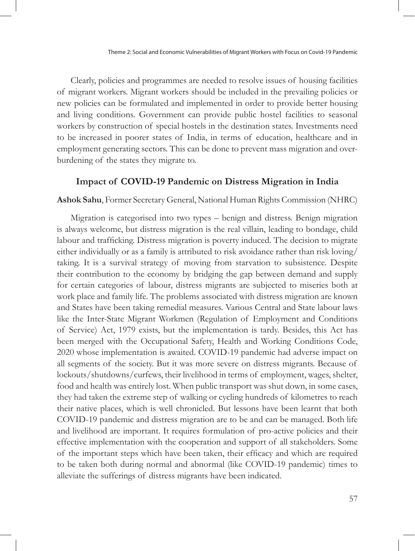Clearly, policies and programmes are needed to resolve issues of housing facilities of migrant workers. Migrant workers should be included in the prevailing policies or new policies can be formulated and implemented in order to provide better housing and living conditions. Government can provide public hostel facilities to seasonal workers by construction of special hostels in the destination states. Investments need to be increased in poorer states of India, in terms of education, healthcare and in employment generating sectors. This can be done to prevent mass migration and overburdening of the states they migrate to.

#### **Impact of COVID-19 Pandemic on Distress Migration in India**

#### **Ashok Sahu**, Former Secretary General, National Human Rights Commission (NHRC)

Migration is categorised into two types – benign and distress. Benign migration is always welcome, but distress migration is the real villain, leading to bondage, child labour and trafficking. Distress migration is poverty induced. The decision to migrate either individually or as a family is attributed to risk avoidance rather than risk loving/ taking. It is a survival strategy of moving from starvation to subsistence. Despite their contribution to the economy by bridging the gap between demand and supply for certain categories of labour, distress migrants are subjected to miseries both at work place and family life. The problems associated with distress migration are known and States have been taking remedial measures. Various Central and State labour laws like the Inter-State Migrant Workmen (Regulation of Employment and Conditions of Service) Act, 1979 exists, but the implementation is tardy. Besides, this Act has been merged with the Occupational Safety, Health and Working Conditions Code, 2020 whose implementation is awaited. COVID-19 pandemic had adverse impact on all segments of the society. But it was more severe on distress migrants. Because of lockouts/shutdowns/curfews, their livelihood in terms of employment, wages, shelter, food and health was entirely lost. When public transport was shut down, in some cases, they had taken the extreme step of walking or cycling hundreds of kilometres to reach their native places, which is well chronicled. But lessons have been learnt that both COVID-19 pandemic and distress migration are to be and can be managed. Both life and livelihood are important. It requires formulation of pro-active policies and their effective implementation with the cooperation and support of all stakeholders. Some of the important steps which have been taken, their efficacy and which are required to be taken both during normal and abnormal (like COVID-19 pandemic) times to alleviate the sufferings of distress migrants have been indicated.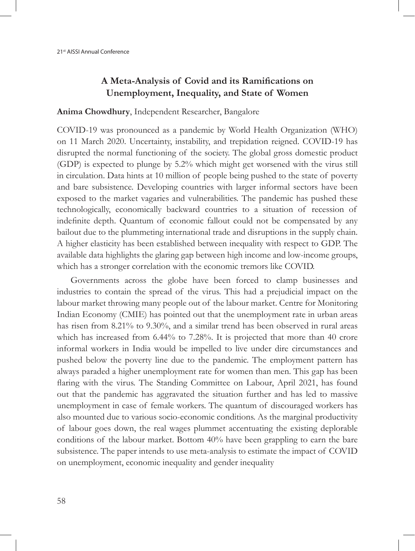## **A Meta-Analysis of Covid and its Ramifications on Unemployment, Inequality, and State of Women**

#### **Anima Chowdhury**, Independent Researcher, Bangalore

COVID-19 was pronounced as a pandemic by World Health Organization (WHO) on 11 March 2020. Uncertainty, instability, and trepidation reigned. COVID-19 has disrupted the normal functioning of the society. The global gross domestic product (GDP) is expected to plunge by 5.2% which might get worsened with the virus still in circulation. Data hints at 10 million of people being pushed to the state of poverty and bare subsistence. Developing countries with larger informal sectors have been exposed to the market vagaries and vulnerabilities. The pandemic has pushed these technologically, economically backward countries to a situation of recession of indefinite depth. Quantum of economic fallout could not be compensated by any bailout due to the plummeting international trade and disruptions in the supply chain. A higher elasticity has been established between inequality with respect to GDP. The available data highlights the glaring gap between high income and low-income groups, which has a stronger correlation with the economic tremors like COVID.

Governments across the globe have been forced to clamp businesses and industries to contain the spread of the virus. This had a prejudicial impact on the labour market throwing many people out of the labour market. Centre for Monitoring Indian Economy (CMIE) has pointed out that the unemployment rate in urban areas has risen from 8.21% to 9.30%, and a similar trend has been observed in rural areas which has increased from 6.44% to 7.28%. It is projected that more than 40 crore informal workers in India would be impelled to live under dire circumstances and pushed below the poverty line due to the pandemic. The employment pattern has always paraded a higher unemployment rate for women than men. This gap has been flaring with the virus. The Standing Committee on Labour, April 2021, has found out that the pandemic has aggravated the situation further and has led to massive unemployment in case of female workers. The quantum of discouraged workers has also mounted due to various socio-economic conditions. As the marginal productivity of labour goes down, the real wages plummet accentuating the existing deplorable conditions of the labour market. Bottom 40% have been grappling to earn the bare subsistence. The paper intends to use meta-analysis to estimate the impact of COVID on unemployment, economic inequality and gender inequality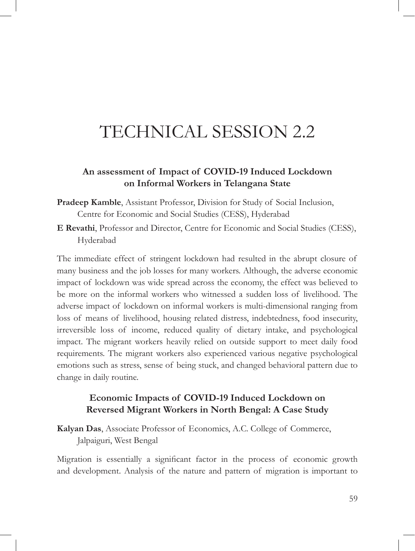# TECHNICAL SESSION 2.2

#### **An assessment of Impact of COVID-19 Induced Lockdown on Informal Workers in Telangana State**

- **Pradeep Kamble**, Assistant Professor, Division for Study of Social Inclusion, Centre for Economic and Social Studies (CESS), Hyderabad
- **E Revathi**, Professor and Director, Centre for Economic and Social Studies (CESS), Hyderabad

The immediate effect of stringent lockdown had resulted in the abrupt closure of many business and the job losses for many workers. Although, the adverse economic impact of lockdown was wide spread across the economy, the effect was believed to be more on the informal workers who witnessed a sudden loss of livelihood. The adverse impact of lockdown on informal workers is multi-dimensional ranging from loss of means of livelihood, housing related distress, indebtedness, food insecurity, irreversible loss of income, reduced quality of dietary intake, and psychological impact. The migrant workers heavily relied on outside support to meet daily food requirements. The migrant workers also experienced various negative psychological emotions such as stress, sense of being stuck, and changed behavioral pattern due to change in daily routine.

## **Economic Impacts of COVID-19 Induced Lockdown on Reversed Migrant Workers in North Bengal: A Case Study**

**Kalyan Das**, Associate Professor of Economics, A.C. College of Commerce, Jalpaiguri, West Bengal

Migration is essentially a significant factor in the process of economic growth and development. Analysis of the nature and pattern of migration is important to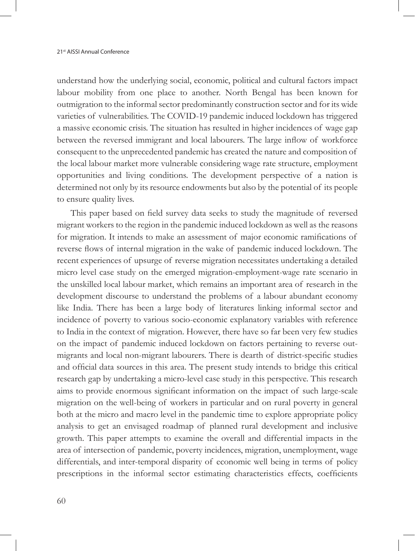understand how the underlying social, economic, political and cultural factors impact labour mobility from one place to another. North Bengal has been known for outmigration to the informal sector predominantly construction sector and for its wide varieties of vulnerabilities. The COVID-19 pandemic induced lockdown has triggered a massive economic crisis. The situation has resulted in higher incidences of wage gap between the reversed immigrant and local labourers. The large inflow of workforce consequent to the unprecedented pandemic has created the nature and composition of the local labour market more vulnerable considering wage rate structure, employment opportunities and living conditions. The development perspective of a nation is determined not only by its resource endowments but also by the potential of its people to ensure quality lives.

This paper based on field survey data seeks to study the magnitude of reversed migrant workers to the region in the pandemic induced lockdown as well as the reasons for migration. It intends to make an assessment of major economic ramifications of reverse flows of internal migration in the wake of pandemic induced lockdown. The recent experiences of upsurge of reverse migration necessitates undertaking a detailed micro level case study on the emerged migration-employment-wage rate scenario in the unskilled local labour market, which remains an important area of research in the development discourse to understand the problems of a labour abundant economy like India. There has been a large body of literatures linking informal sector and incidence of poverty to various socio-economic explanatory variables with reference to India in the context of migration. However, there have so far been very few studies on the impact of pandemic induced lockdown on factors pertaining to reverse outmigrants and local non-migrant labourers. There is dearth of district-specific studies and official data sources in this area. The present study intends to bridge this critical research gap by undertaking a micro-level case study in this perspective. This research aims to provide enormous significant information on the impact of such large-scale migration on the well-being of workers in particular and on rural poverty in general both at the micro and macro level in the pandemic time to explore appropriate policy analysis to get an envisaged roadmap of planned rural development and inclusive growth. This paper attempts to examine the overall and differential impacts in the area of intersection of pandemic, poverty incidences, migration, unemployment, wage differentials, and inter-temporal disparity of economic well being in terms of policy prescriptions in the informal sector estimating characteristics effects, coefficients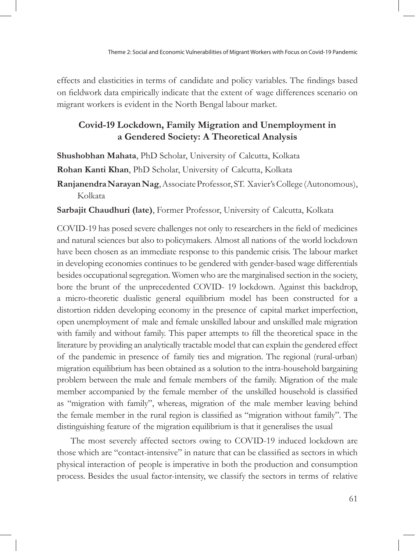effects and elasticities in terms of candidate and policy variables. The findings based on fieldwork data empirically indicate that the extent of wage differences scenario on migrant workers is evident in the North Bengal labour market.

### **Covid-19 Lockdown, Family Migration and Unemployment in a Gendered Society: A Theoretical Analysis**

**Shushobhan Mahata**, PhD Scholar, University of Calcutta, Kolkata

**Rohan Kanti Khan**, PhD Scholar, University of Calcutta, Kolkata

**Ranjanendra Narayan Nag**, Associate Professor, ST. Xavier's College (Autonomous), Kolkata

**Sarbajit Chaudhuri (late)**, Former Professor, University of Calcutta, Kolkata

COVID-19 has posed severe challenges not only to researchers in the field of medicines and natural sciences but also to policymakers. Almost all nations of the world lockdown have been chosen as an immediate response to this pandemic crisis. The labour market in developing economies continues to be gendered with gender-based wage differentials besides occupational segregation. Women who are the marginalised section in the society, bore the brunt of the unprecedented COVID- 19 lockdown. Against this backdrop, a micro-theoretic dualistic general equilibrium model has been constructed for a distortion ridden developing economy in the presence of capital market imperfection, open unemployment of male and female unskilled labour and unskilled male migration with family and without family. This paper attempts to fill the theoretical space in the literature by providing an analytically tractable model that can explain the gendered effect of the pandemic in presence of family ties and migration. The regional (rural-urban) migration equilibrium has been obtained as a solution to the intra-household bargaining problem between the male and female members of the family. Migration of the male member accompanied by the female member of the unskilled household is classified as "migration with family", whereas, migration of the male member leaving behind the female member in the rural region is classified as "migration without family". The distinguishing feature of the migration equilibrium is that it generalises the usual

The most severely affected sectors owing to COVID-19 induced lockdown are those which are "contact-intensive" in nature that can be classified as sectors in which physical interaction of people is imperative in both the production and consumption process. Besides the usual factor-intensity, we classify the sectors in terms of relative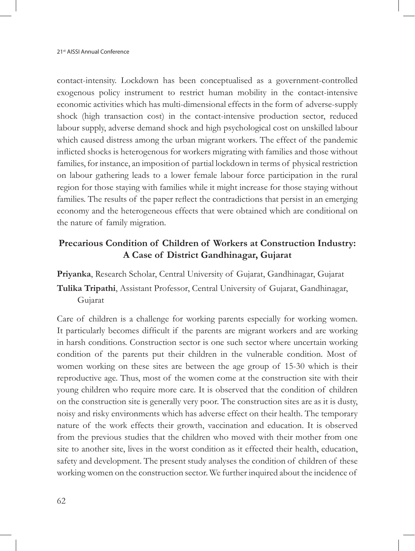contact-intensity. Lockdown has been conceptualised as a government-controlled exogenous policy instrument to restrict human mobility in the contact-intensive economic activities which has multi-dimensional effects in the form of adverse-supply shock (high transaction cost) in the contact-intensive production sector, reduced labour supply, adverse demand shock and high psychological cost on unskilled labour which caused distress among the urban migrant workers. The effect of the pandemic inflicted shocks is heterogenous for workers migrating with families and those without families, for instance, an imposition of partial lockdown in terms of physical restriction on labour gathering leads to a lower female labour force participation in the rural region for those staying with families while it might increase for those staying without families. The results of the paper reflect the contradictions that persist in an emerging economy and the heterogeneous effects that were obtained which are conditional on the nature of family migration.

## **Precarious Condition of Children of Workers at Construction Industry: A Case of District Gandhinagar, Gujarat**

## **Priyanka**, Research Scholar, Central University of Gujarat, Gandhinagar, Gujarat **Tulika Tripathi**, Assistant Professor, Central University of Gujarat, Gandhinagar, Gujarat

Care of children is a challenge for working parents especially for working women. It particularly becomes difficult if the parents are migrant workers and are working in harsh conditions. Construction sector is one such sector where uncertain working condition of the parents put their children in the vulnerable condition. Most of women working on these sites are between the age group of 15-30 which is their reproductive age. Thus, most of the women come at the construction site with their young children who require more care. It is observed that the condition of children on the construction site is generally very poor. The construction sites are as it is dusty, noisy and risky environments which has adverse effect on their health. The temporary nature of the work effects their growth, vaccination and education. It is observed from the previous studies that the children who moved with their mother from one site to another site, lives in the worst condition as it effected their health, education, safety and development. The present study analyses the condition of children of these working women on the construction sector. We further inquired about the incidence of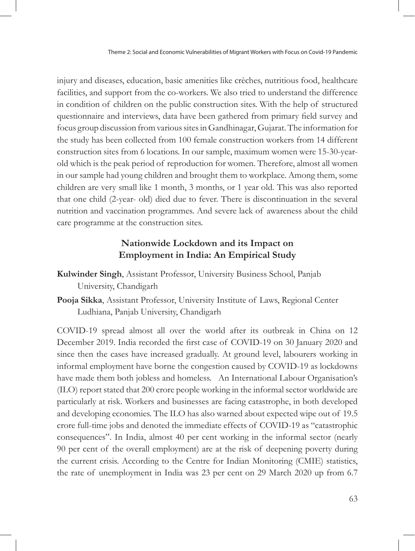injury and diseases, education, basic amenities like crèches, nutritious food, healthcare facilities, and support from the co-workers. We also tried to understand the difference in condition of children on the public construction sites. With the help of structured questionnaire and interviews, data have been gathered from primary field survey and focus group discussion from various sites in Gandhinagar, Gujarat. The information for the study has been collected from 100 female construction workers from 14 different construction sites from 6 locations. In our sample, maximum women were 15-30-yearold which is the peak period of reproduction for women. Therefore, almost all women in our sample had young children and brought them to workplace. Among them, some children are very small like 1 month, 3 months, or 1 year old. This was also reported that one child (2-year- old) died due to fever. There is discontinuation in the several nutrition and vaccination programmes. And severe lack of awareness about the child care programme at the construction sites.

### **Nationwide Lockdown and its Impact on Employment in India: An Empirical Study**

- **Kulwinder Singh**, Assistant Professor, University Business School, Panjab University, Chandigarh
- **Pooja Sikka**, Assistant Professor, University Institute of Laws, Regional Center Ludhiana, Panjab University, Chandigarh

COVID-19 spread almost all over the world after its outbreak in China on 12 December 2019. India recorded the first case of COVID-19 on 30 January 2020 and since then the cases have increased gradually. At ground level, labourers working in informal employment have borne the congestion caused by COVID-19 as lockdowns have made them both jobless and homeless. An International Labour Organisation's (ILO) report stated that 200 crore people working in the informal sector worldwide are particularly at risk. Workers and businesses are facing catastrophe, in both developed and developing economies. The ILO has also warned about expected wipe out of 19.5 crore full-time jobs and denoted the immediate effects of COVID-19 as "catastrophic consequences". In India, almost 40 per cent working in the informal sector (nearly 90 per cent of the overall employment) are at the risk of deepening poverty during the current crisis. According to the Centre for Indian Monitoring (CMIE) statistics, the rate of unemployment in India was 23 per cent on 29 March 2020 up from 6.7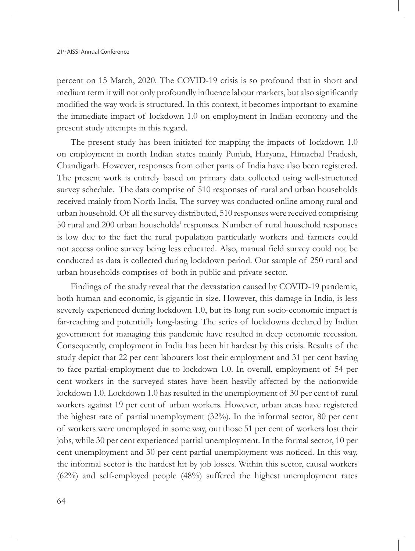percent on 15 March, 2020. The COVID-19 crisis is so profound that in short and medium term it will not only profoundly influence labour markets, but also significantly modified the way work is structured. In this context, it becomes important to examine the immediate impact of lockdown 1.0 on employment in Indian economy and the present study attempts in this regard.

The present study has been initiated for mapping the impacts of lockdown 1.0 on employment in north Indian states mainly Punjab, Haryana, Himachal Pradesh, Chandigarh. However, responses from other parts of India have also been registered. The present work is entirely based on primary data collected using well-structured survey schedule. The data comprise of 510 responses of rural and urban households received mainly from North India. The survey was conducted online among rural and urban household. Of all the survey distributed, 510 responses were received comprising 50 rural and 200 urban households' responses. Number of rural household responses is low due to the fact the rural population particularly workers and farmers could not access online survey being less educated. Also, manual field survey could not be conducted as data is collected during lockdown period. Our sample of 250 rural and urban households comprises of both in public and private sector.

Findings of the study reveal that the devastation caused by COVID-19 pandemic, both human and economic, is gigantic in size. However, this damage in India, is less severely experienced during lockdown 1.0, but its long run socio-economic impact is far-reaching and potentially long-lasting. The series of lockdowns declared by Indian government for managing this pandemic have resulted in deep economic recession. Consequently, employment in India has been hit hardest by this crisis. Results of the study depict that 22 per cent labourers lost their employment and 31 per cent having to face partial-employment due to lockdown 1.0. In overall, employment of 54 per cent workers in the surveyed states have been heavily affected by the nationwide lockdown 1.0. Lockdown 1.0 has resulted in the unemployment of 30 per cent of rural workers against 19 per cent of urban workers. However, urban areas have registered the highest rate of partial unemployment (32%). In the informal sector, 80 per cent of workers were unemployed in some way, out those 51 per cent of workers lost their jobs, while 30 per cent experienced partial unemployment. In the formal sector, 10 per cent unemployment and 30 per cent partial unemployment was noticed. In this way, the informal sector is the hardest hit by job losses. Within this sector, causal workers (62%) and self-employed people (48%) suffered the highest unemployment rates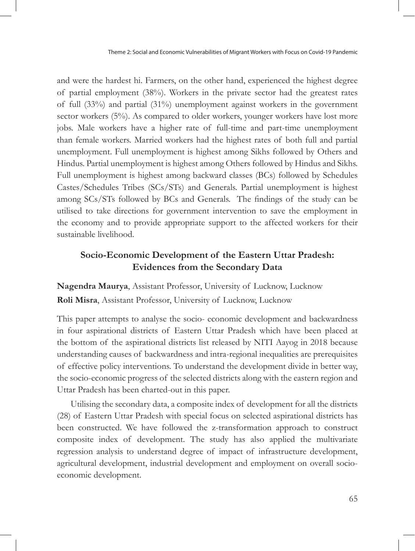Theme 2: Social and Economic Vulnerabilities of Migrant Workers with Focus on Covid-19 Pandemic

and were the hardest hi. Farmers, on the other hand, experienced the highest degree of partial employment (38%). Workers in the private sector had the greatest rates of full (33%) and partial (31%) unemployment against workers in the government sector workers (5%). As compared to older workers, younger workers have lost more jobs. Male workers have a higher rate of full-time and part-time unemployment than female workers. Married workers had the highest rates of both full and partial unemployment. Full unemployment is highest among Sikhs followed by Others and Hindus. Partial unemployment is highest among Others followed by Hindus and Sikhs. Full unemployment is highest among backward classes (BCs) followed by Schedules Castes/Schedules Tribes (SCs/STs) and Generals. Partial unemployment is highest among SCs/STs followed by BCs and Generals. The findings of the study can be utilised to take directions for government intervention to save the employment in the economy and to provide appropriate support to the affected workers for their sustainable livelihood.

#### **Socio-Economic Development of the Eastern Uttar Pradesh: Evidences from the Secondary Data**

**Nagendra Maurya**, Assistant Professor, University of Lucknow, Lucknow **Roli Misra**, Assistant Professor, University of Lucknow, Lucknow

This paper attempts to analyse the socio- economic development and backwardness in four aspirational districts of Eastern Uttar Pradesh which have been placed at the bottom of the aspirational districts list released by NITI Aayog in 2018 because understanding causes of backwardness and intra-regional inequalities are prerequisites of effective policy interventions. To understand the development divide in better way, the socio-economic progress of the selected districts along with the eastern region and Uttar Pradesh has been charted-out in this paper.

Utilising the secondary data, a composite index of development for all the districts (28) of Eastern Uttar Pradesh with special focus on selected aspirational districts has been constructed. We have followed the z-transformation approach to construct composite index of development. The study has also applied the multivariate regression analysis to understand degree of impact of infrastructure development, agricultural development, industrial development and employment on overall socioeconomic development.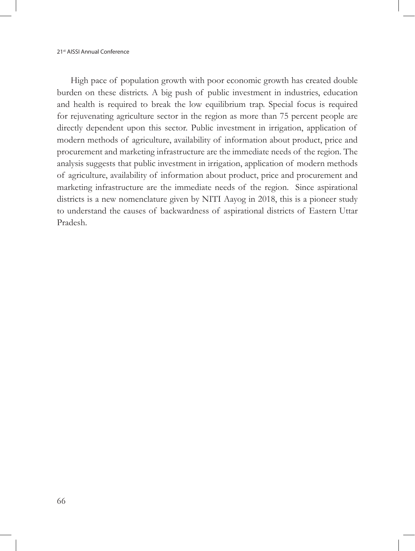High pace of population growth with poor economic growth has created double burden on these districts. A big push of public investment in industries, education and health is required to break the low equilibrium trap. Special focus is required for rejuvenating agriculture sector in the region as more than 75 percent people are directly dependent upon this sector. Public investment in irrigation, application of modern methods of agriculture, availability of information about product, price and procurement and marketing infrastructure are the immediate needs of the region. The analysis suggests that public investment in irrigation, application of modern methods of agriculture, availability of information about product, price and procurement and marketing infrastructure are the immediate needs of the region. Since aspirational districts is a new nomenclature given by NITI Aayog in 2018, this is a pioneer study to understand the causes of backwardness of aspirational districts of Eastern Uttar Pradesh.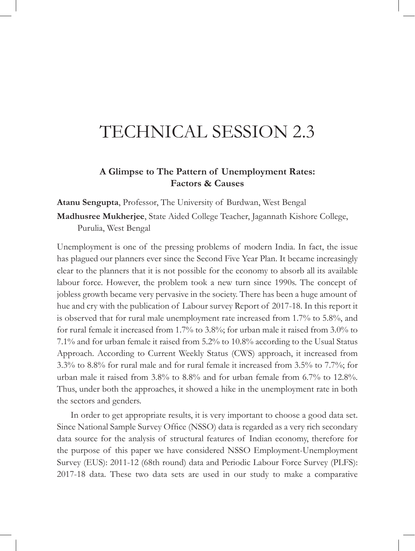# TECHNICAL SESSION 2.3

#### **A Glimpse to The Pattern of Unemployment Rates: Factors & Causes**

**Atanu Sengupta**, Professor, The University of Burdwan, West Bengal

**Madhusree Mukherjee**, State Aided College Teacher, Jagannath Kishore College, Purulia, West Bengal

Unemployment is one of the pressing problems of modern India. In fact, the issue has plagued our planners ever since the Second Five Year Plan. It became increasingly clear to the planners that it is not possible for the economy to absorb all its available labour force. However, the problem took a new turn since 1990s. The concept of jobless growth became very pervasive in the society. There has been a huge amount of hue and cry with the publication of Labour survey Report of 2017-18. In this report it is observed that for rural male unemployment rate increased from 1.7% to 5.8%, and for rural female it increased from 1.7% to 3.8%; for urban male it raised from 3.0% to 7.1% and for urban female it raised from 5.2% to 10.8% according to the Usual Status Approach. According to Current Weekly Status (CWS) approach, it increased from 3.3% to 8.8% for rural male and for rural female it increased from 3.5% to 7.7%; for urban male it raised from 3.8% to 8.8% and for urban female from 6.7% to 12.8%. Thus, under both the approaches, it showed a hike in the unemployment rate in both the sectors and genders.

In order to get appropriate results, it is very important to choose a good data set. Since National Sample Survey Office (NSSO) data is regarded as a very rich secondary data source for the analysis of structural features of Indian economy, therefore for the purpose of this paper we have considered NSSO Employment-Unemployment Survey (EUS): 2011-12 (68th round) data and Periodic Labour Force Survey (PLFS): 2017-18 data. These two data sets are used in our study to make a comparative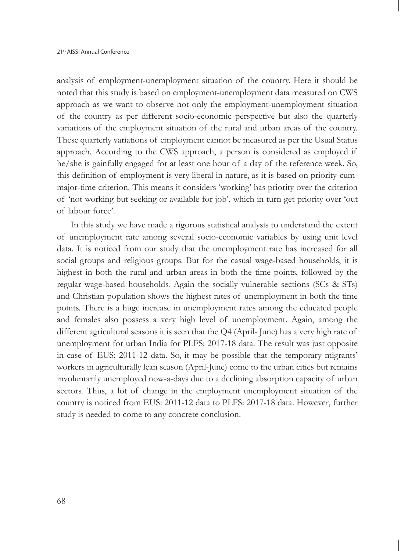analysis of employment-unemployment situation of the country. Here it should be noted that this study is based on employment-unemployment data measured on CWS approach as we want to observe not only the employment-unemployment situation of the country as per different socio-economic perspective but also the quarterly variations of the employment situation of the rural and urban areas of the country. These quarterly variations of employment cannot be measured as per the Usual Status approach. According to the CWS approach, a person is considered as employed if he/she is gainfully engaged for at least one hour of a day of the reference week. So, this definition of employment is very liberal in nature, as it is based on priority-cummajor-time criterion. This means it considers 'working' has priority over the criterion of 'not working but seeking or available for job', which in turn get priority over 'out of labour force'.

In this study we have made a rigorous statistical analysis to understand the extent of unemployment rate among several socio-economic variables by using unit level data. It is noticed from our study that the unemployment rate has increased for all social groups and religious groups. But for the casual wage-based households, it is highest in both the rural and urban areas in both the time points, followed by the regular wage-based households. Again the socially vulnerable sections (SCs & STs) and Christian population shows the highest rates of unemployment in both the time points. There is a huge increase in unemployment rates among the educated people and females also possess a very high level of unemployment. Again, among the different agricultural seasons it is seen that the Q4 (April- June) has a very high rate of unemployment for urban India for PLFS: 2017-18 data. The result was just opposite in case of EUS: 2011-12 data. So, it may be possible that the temporary migrants' workers in agriculturally lean season (April-June) come to the urban cities but remains involuntarily unemployed now-a-days due to a declining absorption capacity of urban sectors. Thus, a lot of change in the employment unemployment situation of the country is noticed from EUS: 2011-12 data to PLFS: 2017-18 data. However, further study is needed to come to any concrete conclusion.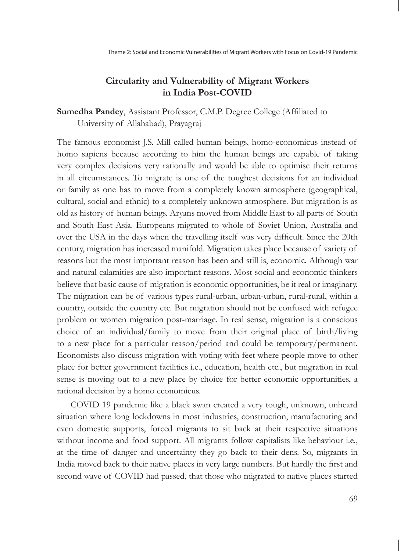## **Circularity and Vulnerability of Migrant Workers in India Post-COVID**

**Sumedha Pandey**, Assistant Professor, C.M.P. Degree College (Affiliated to University of Allahabad), Prayagraj

The famous economist J.S. Mill called human beings, homo-economicus instead of homo sapiens because according to him the human beings are capable of taking very complex decisions very rationally and would be able to optimise their returns in all circumstances. To migrate is one of the toughest decisions for an individual or family as one has to move from a completely known atmosphere (geographical, cultural, social and ethnic) to a completely unknown atmosphere. But migration is as old as history of human beings. Aryans moved from Middle East to all parts of South and South East Asia. Europeans migrated to whole of Soviet Union, Australia and over the USA in the days when the travelling itself was very difficult. Since the 20th century, migration has increased manifold. Migration takes place because of variety of reasons but the most important reason has been and still is, economic. Although war and natural calamities are also important reasons. Most social and economic thinkers believe that basic cause of migration is economic opportunities, be it real or imaginary. The migration can be of various types rural-urban, urban-urban, rural-rural, within a country, outside the country etc. But migration should not be confused with refugee problem or women migration post-marriage. In real sense, migration is a conscious choice of an individual/family to move from their original place of birth/living to a new place for a particular reason/period and could be temporary/permanent. Economists also discuss migration with voting with feet where people move to other place for better government facilities i.e., education, health etc., but migration in real sense is moving out to a new place by choice for better economic opportunities, a rational decision by a homo economicus.

COVID 19 pandemic like a black swan created a very tough, unknown, unheard situation where long lockdowns in most industries, construction, manufacturing and even domestic supports, forced migrants to sit back at their respective situations without income and food support. All migrants follow capitalists like behaviour i.e., at the time of danger and uncertainty they go back to their dens. So, migrants in India moved back to their native places in very large numbers. But hardly the first and second wave of COVID had passed, that those who migrated to native places started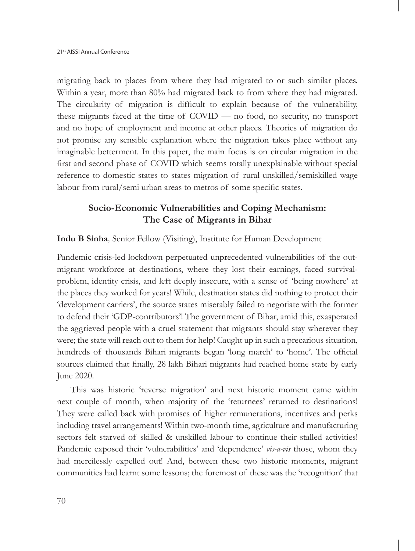migrating back to places from where they had migrated to or such similar places. Within a year, more than 80% had migrated back to from where they had migrated. The circularity of migration is difficult to explain because of the vulnerability, these migrants faced at the time of COVID — no food, no security, no transport and no hope of employment and income at other places. Theories of migration do not promise any sensible explanation where the migration takes place without any imaginable betterment. In this paper, the main focus is on circular migration in the first and second phase of COVID which seems totally unexplainable without special reference to domestic states to states migration of rural unskilled/semiskilled wage labour from rural/semi urban areas to metros of some specific states.

### **Socio-Economic Vulnerabilities and Coping Mechanism: The Case of Migrants in Bihar**

**Indu B Sinha***,* Senior Fellow (Visiting), Institute for Human Development

Pandemic crisis-led lockdown perpetuated unprecedented vulnerabilities of the outmigrant workforce at destinations, where they lost their earnings, faced survivalproblem, identity crisis, and left deeply insecure, with a sense of 'being nowhere' at the places they worked for years! While, destination states did nothing to protect their 'development carriers', the source states miserably failed to negotiate with the former to defend their 'GDP-contributors'! The government of Bihar, amid this, exasperated the aggrieved people with a cruel statement that migrants should stay wherever they were; the state will reach out to them for help! Caught up in such a precarious situation, hundreds of thousands Bihari migrants began 'long march' to 'home'. The official sources claimed that finally, 28 lakh Bihari migrants had reached home state by early June 2020.

This was historic 'reverse migration' and next historic moment came within next couple of month, when majority of the 'returnees' returned to destinations! They were called back with promises of higher remunerations, incentives and perks including travel arrangements! Within two-month time, agriculture and manufacturing sectors felt starved of skilled & unskilled labour to continue their stalled activities! Pandemic exposed their 'vulnerabilities' and 'dependence' *vis-a-vis* those, whom they had mercilessly expelled out! And, between these two historic moments, migrant communities had learnt some lessons; the foremost of these was the 'recognition' that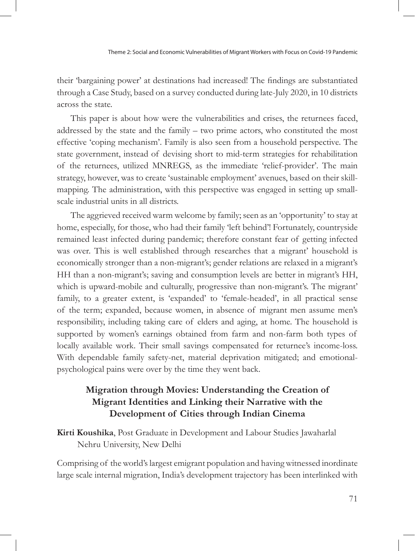their 'bargaining power' at destinations had increased! The findings are substantiated through a Case Study, based on a survey conducted during late-July 2020, in 10 districts across the state.

This paper is about how were the vulnerabilities and crises, the returnees faced, addressed by the state and the family – two prime actors, who constituted the most effective 'coping mechanism'. Family is also seen from a household perspective. The state government, instead of devising short to mid-term strategies for rehabilitation of the returnees, utilized MNREGS, as the immediate 'relief-provider'. The main strategy, however, was to create 'sustainable employment' avenues, based on their skillmapping. The administration, with this perspective was engaged in setting up smallscale industrial units in all districts.

The aggrieved received warm welcome by family; seen as an 'opportunity' to stay at home, especially, for those, who had their family 'left behind'! Fortunately, countryside remained least infected during pandemic; therefore constant fear of getting infected was over. This is well established through researches that a migrant' household is economically stronger than a non-migrant's; gender relations are relaxed in a migrant's HH than a non-migrant's; saving and consumption levels are better in migrant's HH, which is upward-mobile and culturally, progressive than non-migrant's. The migrant' family, to a greater extent, is 'expanded' to 'female-headed', in all practical sense of the term; expanded, because women, in absence of migrant men assume men's responsibility, including taking care of elders and aging, at home. The household is supported by women's earnings obtained from farm and non-farm both types of locally available work. Their small savings compensated for returnee's income-loss. With dependable family safety-net, material deprivation mitigated; and emotionalpsychological pains were over by the time they went back.

## **Migration through Movies: Understanding the Creation of Migrant Identities and Linking their Narrative with the Development of Cities through Indian Cinema**

**Kirti Koushika**, Post Graduate in Development and Labour Studies Jawaharlal Nehru University, New Delhi

Comprising of the world's largest emigrant population and having witnessed inordinate large scale internal migration, India's development trajectory has been interlinked with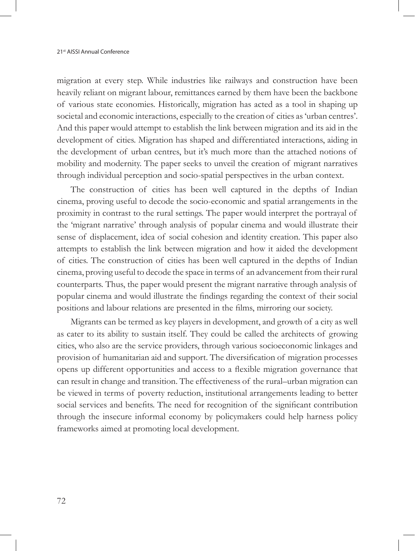migration at every step. While industries like railways and construction have been heavily reliant on migrant labour, remittances earned by them have been the backbone of various state economies. Historically, migration has acted as a tool in shaping up societal and economic interactions, especially to the creation of cities as 'urban centres'. And this paper would attempt to establish the link between migration and its aid in the development of cities. Migration has shaped and differentiated interactions, aiding in the development of urban centres, but it's much more than the attached notions of mobility and modernity. The paper seeks to unveil the creation of migrant narratives through individual perception and socio-spatial perspectives in the urban context.

The construction of cities has been well captured in the depths of Indian cinema, proving useful to decode the socio-economic and spatial arrangements in the proximity in contrast to the rural settings. The paper would interpret the portrayal of the 'migrant narrative' through analysis of popular cinema and would illustrate their sense of displacement, idea of social cohesion and identity creation. This paper also attempts to establish the link between migration and how it aided the development of cities. The construction of cities has been well captured in the depths of Indian cinema, proving useful to decode the space in terms of an advancement from their rural counterparts. Thus, the paper would present the migrant narrative through analysis of popular cinema and would illustrate the findings regarding the context of their social positions and labour relations are presented in the films, mirroring our society.

Migrants can be termed as key players in development, and growth of a city as well as cater to its ability to sustain itself. They could be called the architects of growing cities, who also are the service providers, through various socioeconomic linkages and provision of humanitarian aid and support. The diversification of migration processes opens up different opportunities and access to a flexible migration governance that can result in change and transition. The effectiveness of the rural–urban migration can be viewed in terms of poverty reduction, institutional arrangements leading to better social services and benefits. The need for recognition of the significant contribution through the insecure informal economy by policymakers could help harness policy frameworks aimed at promoting local development.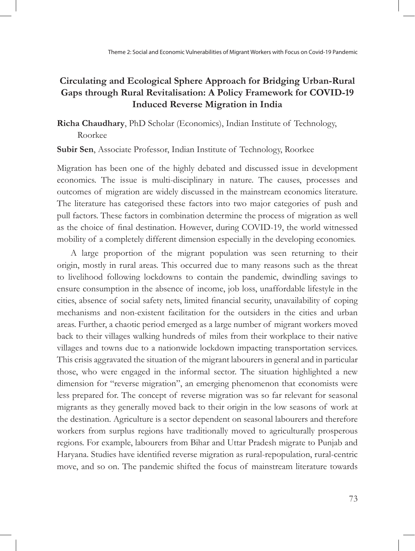## **Circulating and Ecological Sphere Approach for Bridging Urban-Rural Gaps through Rural Revitalisation: A Policy Framework for COVID-19 Induced Reverse Migration in India**

**Richa Chaudhary**, PhD Scholar (Economics), Indian Institute of Technology, Roorkee

**Subir Sen**, Associate Professor, Indian Institute of Technology, Roorkee

Migration has been one of the highly debated and discussed issue in development economics. The issue is multi-disciplinary in nature. The causes, processes and outcomes of migration are widely discussed in the mainstream economics literature. The literature has categorised these factors into two major categories of push and pull factors. These factors in combination determine the process of migration as well as the choice of final destination. However, during COVID-19, the world witnessed mobility of a completely different dimension especially in the developing economies.

A large proportion of the migrant population was seen returning to their origin, mostly in rural areas. This occurred due to many reasons such as the threat to livelihood following lockdowns to contain the pandemic, dwindling savings to ensure consumption in the absence of income, job loss, unaffordable lifestyle in the cities, absence of social safety nets, limited financial security, unavailability of coping mechanisms and non-existent facilitation for the outsiders in the cities and urban areas. Further, a chaotic period emerged as a large number of migrant workers moved back to their villages walking hundreds of miles from their workplace to their native villages and towns due to a nationwide lockdown impacting transportation services. This crisis aggravated the situation of the migrant labourers in general and in particular those, who were engaged in the informal sector. The situation highlighted a new dimension for "reverse migration", an emerging phenomenon that economists were less prepared for. The concept of reverse migration was so far relevant for seasonal migrants as they generally moved back to their origin in the low seasons of work at the destination. Agriculture is a sector dependent on seasonal labourers and therefore workers from surplus regions have traditionally moved to agriculturally prosperous regions. For example, labourers from Bihar and Uttar Pradesh migrate to Punjab and Haryana. Studies have identified reverse migration as rural-repopulation, rural-centric move, and so on. The pandemic shifted the focus of mainstream literature towards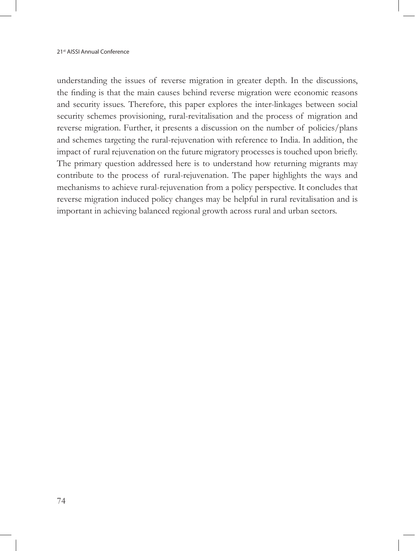understanding the issues of reverse migration in greater depth. In the discussions, the finding is that the main causes behind reverse migration were economic reasons and security issues. Therefore, this paper explores the inter-linkages between social security schemes provisioning, rural-revitalisation and the process of migration and reverse migration. Further, it presents a discussion on the number of policies/plans and schemes targeting the rural-rejuvenation with reference to India. In addition, the impact of rural rejuvenation on the future migratory processes is touched upon briefly. The primary question addressed here is to understand how returning migrants may contribute to the process of rural-rejuvenation. The paper highlights the ways and mechanisms to achieve rural-rejuvenation from a policy perspective. It concludes that reverse migration induced policy changes may be helpful in rural revitalisation and is important in achieving balanced regional growth across rural and urban sectors.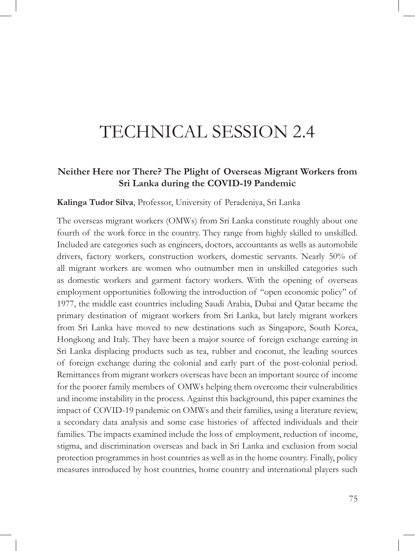# TECHNICAL SESSION 2.4

#### **Neither Here nor There? The Plight of Overseas Migrant Workers from Sri Lanka during the COVID-19 Pandemic**

#### **Kalinga Tudor Silva**, Professor, University of Peradeniya, Sri Lanka

The overseas migrant workers (OMWs) from Sri Lanka constitute roughly about one fourth of the work force in the country. They range from highly skilled to unskilled. Included are categories such as engineers, doctors, accountants as wells as automobile drivers, factory workers, construction workers, domestic servants. Nearly 50% of all migrant workers are women who outnumber men in unskilled categories such as domestic workers and garment factory workers. With the opening of overseas employment opportunities following the introduction of "open economic policy" of 1977, the middle east countries including Saudi Arabia, Dubai and Qatar became the primary destination of migrant workers from Sri Lanka, but lately migrant workers from Sri Lanka have moved to new destinations such as Singapore, South Korea, Hongkong and Italy. They have been a major source of foreign exchange earning in Sri Lanka displacing products such as tea, rubber and coconut, the leading sources of foreign exchange during the colonial and early part of the post-colonial period. Remittances from migrant workers overseas have been an important source of income for the poorer family members of OMWs helping them overcome their vulnerabilities and income instability in the process. Against this background, this paper examines the impact of COVID-19 pandemic on OMWs and their families, using a literature review, a secondary data analysis and some case histories of affected individuals and their families. The impacts examined include the loss of employment, reduction of income, stigma, and discrimination overseas and back in Sri Lanka and exclusion from social protection programmes in host countries as well as in the home country. Finally, policy measures introduced by host countries, home country and international players such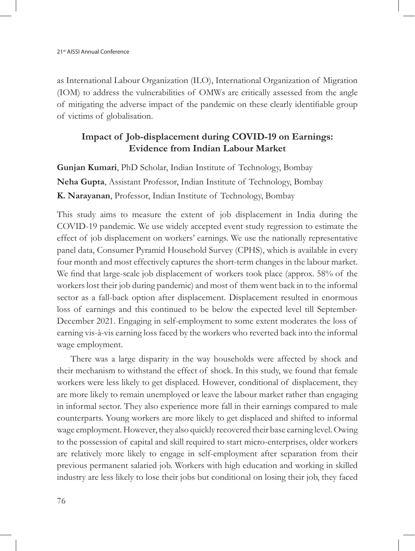as International Labour Organization (ILO), International Organization of Migration (IOM) to address the vulnerabilities of OMWs are critically assessed from the angle of mitigating the adverse impact of the pandemic on these clearly identifiable group of victims of globalisation.

### **Impact of Job-displacement during COVID-19 on Earnings: Evidence from Indian Labour Market**

**Gunjan Kumari**, PhD Scholar, Indian Institute of Technology, Bombay **Neha Gupta**, Assistant Professor, Indian Institute of Technology, Bombay **K. Narayanan**, Professor, Indian Institute of Technology, Bombay

This study aims to measure the extent of job displacement in India during the COVID-19 pandemic. We use widely accepted event study regression to estimate the effect of job displacement on workers' earnings. We use the nationally representative panel data, Consumer Pyramid Household Survey (CPHS), which is available in every four month and most effectively captures the short-term changes in the labour market. We find that large-scale job displacement of workers took place (approx. 58% of the workers lost their job during pandemic) and most of them went back in to the informal sector as a fall-back option after displacement. Displacement resulted in enormous loss of earnings and this continued to be below the expected level till September-December 2021. Engaging in self-employment to some extent moderates the loss of earning vis-à-vis earning loss faced by the workers who reverted back into the informal wage employment.

There was a large disparity in the way households were affected by shock and their mechanism to withstand the effect of shock. In this study, we found that female workers were less likely to get displaced. However, conditional of displacement, they are more likely to remain unemployed or leave the labour market rather than engaging in informal sector. They also experience more fall in their earnings compared to male counterparts. Young workers are more likely to get displaced and shifted to informal wage employment. However, they also quickly recovered their base earning level. Owing to the possession of capital and skill required to start micro-enterprises, older workers are relatively more likely to engage in self-employment after separation from their previous permanent salaried job. Workers with high education and working in skilled industry are less likely to lose their jobs but conditional on losing their job, they faced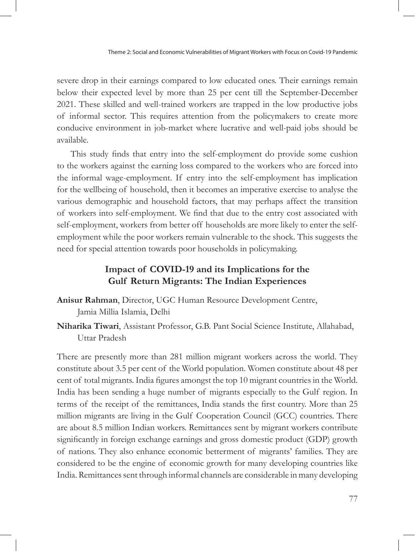severe drop in their earnings compared to low educated ones. Their earnings remain below their expected level by more than 25 per cent till the September-December 2021. These skilled and well-trained workers are trapped in the low productive jobs of informal sector. This requires attention from the policymakers to create more conducive environment in job-market where lucrative and well-paid jobs should be available.

This study finds that entry into the self-employment do provide some cushion to the workers against the earning loss compared to the workers who are forced into the informal wage-employment. If entry into the self-employment has implication for the wellbeing of household, then it becomes an imperative exercise to analyse the various demographic and household factors, that may perhaps affect the transition of workers into self-employment. We find that due to the entry cost associated with self-employment, workers from better off households are more likely to enter the selfemployment while the poor workers remain vulnerable to the shock. This suggests the need for special attention towards poor households in policymaking.

#### **Impact of COVID-19 and its Implications for the Gulf Return Migrants: The Indian Experiences**

- **Anisur Rahman**, Director, UGC Human Resource Development Centre, Jamia Millia Islamia, Delhi
- **Niharika Tiwari**, Assistant Professor, G.B. Pant Social Science Institute, Allahabad, Uttar Pradesh

There are presently more than 281 million migrant workers across the world. They constitute about 3.5 per cent of the World population. Women constitute about 48 per cent of total migrants. India figures amongst the top 10 migrant countries in the World. India has been sending a huge number of migrants especially to the Gulf region. In terms of the receipt of the remittances, India stands the first country. More than 25 million migrants are living in the Gulf Cooperation Council (GCC) countries. There are about 8.5 million Indian workers. Remittances sent by migrant workers contribute significantly in foreign exchange earnings and gross domestic product (GDP) growth of nations. They also enhance economic betterment of migrants' families. They are considered to be the engine of economic growth for many developing countries like India. Remittances sent through informal channels are considerable in many developing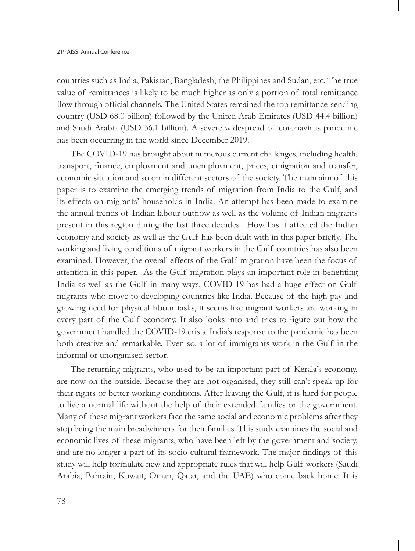countries such as India, Pakistan, Bangladesh, the Philippines and Sudan, etc. The true value of remittances is likely to be much higher as only a portion of total remittance flow through official channels. The United States remained the top remittance-sending country (USD 68.0 billion) followed by the United Arab Emirates (USD 44.4 billion) and Saudi Arabia (USD 36.1 billion). A severe widespread of coronavirus pandemic has been occurring in the world since December 2019.

The COVID-19 has brought about numerous current challenges, including health, transport, finance, employment and unemployment, prices, emigration and transfer, economic situation and so on in different sectors of the society. The main aim of this paper is to examine the emerging trends of migration from India to the Gulf, and its effects on migrants' households in India. An attempt has been made to examine the annual trends of Indian labour outflow as well as the volume of Indian migrants present in this region during the last three decades. How has it affected the Indian economy and society as well as the Gulf has been dealt with in this paper briefly. The working and living conditions of migrant workers in the Gulf countries has also been examined. However, the overall effects of the Gulf migration have been the focus of attention in this paper. As the Gulf migration plays an important role in benefiting India as well as the Gulf in many ways, COVID-19 has had a huge effect on Gulf migrants who move to developing countries like India. Because of the high pay and growing need for physical labour tasks, it seems like migrant workers are working in every part of the Gulf economy. It also looks into and tries to figure out how the government handled the COVID-19 crisis. India's response to the pandemic has been both creative and remarkable. Even so, a lot of immigrants work in the Gulf in the informal or unorganised sector.

The returning migrants, who used to be an important part of Kerala's economy, are now on the outside. Because they are not organised, they still can't speak up for their rights or better working conditions. After leaving the Gulf, it is hard for people to live a normal life without the help of their extended families or the government. Many of these migrant workers face the same social and economic problems after they stop being the main breadwinners for their families. This study examines the social and economic lives of these migrants, who have been left by the government and society, and are no longer a part of its socio-cultural framework. The major findings of this study will help formulate new and appropriate rules that will help Gulf workers (Saudi Arabia, Bahrain, Kuwait, Oman, Qatar, and the UAE) who come back home. It is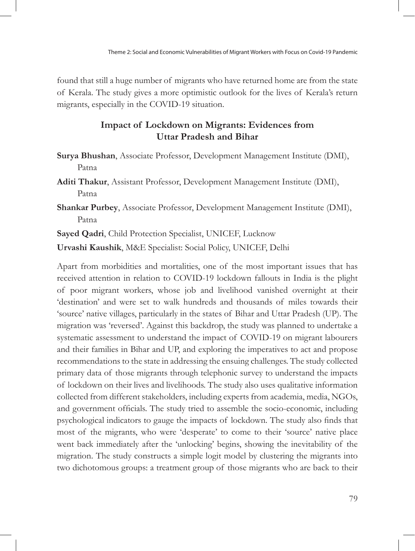found that still a huge number of migrants who have returned home are from the state of Kerala. The study gives a more optimistic outlook for the lives of Kerala's return migrants, especially in the COVID-19 situation.

#### **Impact of Lockdown on Migrants: Evidences from Uttar Pradesh and Bihar**

- **Surya Bhushan**, Associate Professor, Development Management Institute (DMI), Patna
- **Aditi Thakur**, Assistant Professor, Development Management Institute (DMI), Patna
- **Shankar Purbey**, Associate Professor, Development Management Institute (DMI), Patna

**Sayed Qadri**, Child Protection Specialist, UNICEF, Lucknow

**Urvashi Kaushik**, M&E Specialist: Social Policy, UNICEF, Delhi

Apart from morbidities and mortalities, one of the most important issues that has received attention in relation to COVID-19 lockdown fallouts in India is the plight of poor migrant workers, whose job and livelihood vanished overnight at their 'destination' and were set to walk hundreds and thousands of miles towards their 'source' native villages, particularly in the states of Bihar and Uttar Pradesh (UP). The migration was 'reversed'. Against this backdrop, the study was planned to undertake a systematic assessment to understand the impact of COVID-19 on migrant labourers and their families in Bihar and UP, and exploring the imperatives to act and propose recommendations to the state in addressing the ensuing challenges. The study collected primary data of those migrants through telephonic survey to understand the impacts of lockdown on their lives and livelihoods. The study also uses qualitative information collected from different stakeholders, including experts from academia, media, NGOs, and government officials. The study tried to assemble the socio-economic, including psychological indicators to gauge the impacts of lockdown. The study also finds that most of the migrants, who were 'desperate' to come to their 'source' native place went back immediately after the 'unlocking' begins, showing the inevitability of the migration. The study constructs a simple logit model by clustering the migrants into two dichotomous groups: a treatment group of those migrants who are back to their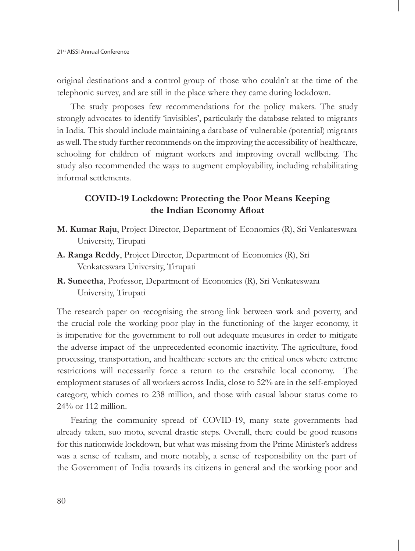original destinations and a control group of those who couldn't at the time of the telephonic survey, and are still in the place where they came during lockdown.

The study proposes few recommendations for the policy makers. The study strongly advocates to identify 'invisibles', particularly the database related to migrants in India. This should include maintaining a database of vulnerable (potential) migrants as well. The study further recommends on the improving the accessibility of healthcare, schooling for children of migrant workers and improving overall wellbeing. The study also recommended the ways to augment employability, including rehabilitating informal settlements.

#### **COVID-19 Lockdown: Protecting the Poor Means Keeping the Indian Economy Afloat**

- **M. Kumar Raju**, Project Director, Department of Economics (R), Sri Venkateswara University, Tirupati
- **A. Ranga Reddy**, Project Director, Department of Economics (R), Sri Venkateswara University, Tirupati
- **R. Suneetha**, Professor, Department of Economics (R), Sri Venkateswara University, Tirupati

The research paper on recognising the strong link between work and poverty, and the crucial role the working poor play in the functioning of the larger economy, it is imperative for the government to roll out adequate measures in order to mitigate the adverse impact of the unprecedented economic inactivity. The agriculture, food processing, transportation, and healthcare sectors are the critical ones where extreme restrictions will necessarily force a return to the erstwhile local economy. The employment statuses of all workers across India, close to 52% are in the self-employed category, which comes to 238 million, and those with casual labour status come to 24% or 112 million.

Fearing the community spread of COVID-19, many state governments had already taken, suo moto, several drastic steps. Overall, there could be good reasons for this nationwide lockdown, but what was missing from the Prime Minister's address was a sense of realism, and more notably, a sense of responsibility on the part of the Government of India towards its citizens in general and the working poor and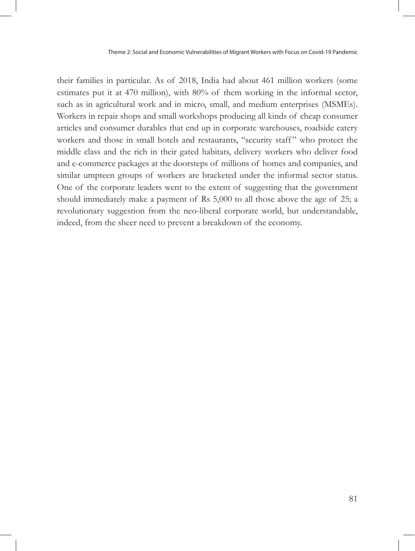their families in particular. As of 2018, India had about 461 million workers (some estimates put it at 470 million), with 80% of them working in the informal sector, such as in agricultural work and in micro, small, and medium enterprises (MSMEs). Workers in repair shops and small workshops producing all kinds of cheap consumer articles and consumer durables that end up in corporate warehouses, roadside eatery workers and those in small hotels and restaurants, "security staff" who protect the middle class and the rich in their gated habitats, delivery workers who deliver food and e-commerce packages at the doorsteps of millions of homes and companies, and similar umpteen groups of workers are bracketed under the informal sector status. One of the corporate leaders went to the extent of suggesting that the government should immediately make a payment of Rs 5,000 to all those above the age of 25; a revolutionary suggestion from the neo-liberal corporate world, but understandable, indeed, from the sheer need to prevent a breakdown of the economy.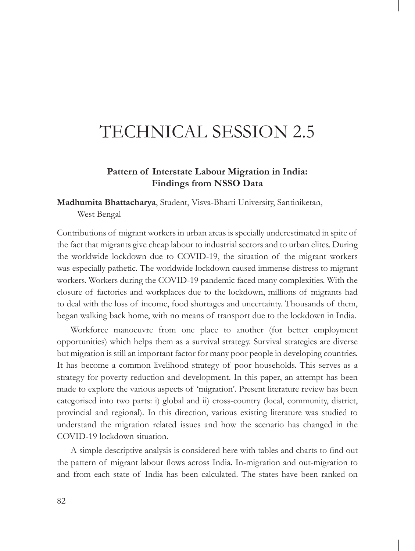# TECHNICAL SESSION 2.5

#### **Pattern of Interstate Labour Migration in India: Findings from NSSO Data**

**Madhumita Bhattacharya**, Student, Visva-Bharti University, Santiniketan, West Bengal

Contributions of migrant workers in urban areas is specially underestimated in spite of the fact that migrants give cheap labour to industrial sectors and to urban elites. During the worldwide lockdown due to COVID-19, the situation of the migrant workers was especially pathetic. The worldwide lockdown caused immense distress to migrant workers. Workers during the COVID-19 pandemic faced many complexities. With the closure of factories and workplaces due to the lockdown, millions of migrants had to deal with the loss of income, food shortages and uncertainty. Thousands of them, began walking back home, with no means of transport due to the lockdown in India.

Workforce manoeuvre from one place to another (for better employment opportunities) which helps them as a survival strategy. Survival strategies are diverse but migration is still an important factor for many poor people in developing countries. It has become a common livelihood strategy of poor households. This serves as a strategy for poverty reduction and development. In this paper, an attempt has been made to explore the various aspects of 'migration'. Present literature review has been categorised into two parts: i) global and ii) cross-country (local, community, district, provincial and regional). In this direction, various existing literature was studied to understand the migration related issues and how the scenario has changed in the COVID-19 lockdown situation.

A simple descriptive analysis is considered here with tables and charts to find out the pattern of migrant labour flows across India. In-migration and out-migration to and from each state of India has been calculated. The states have been ranked on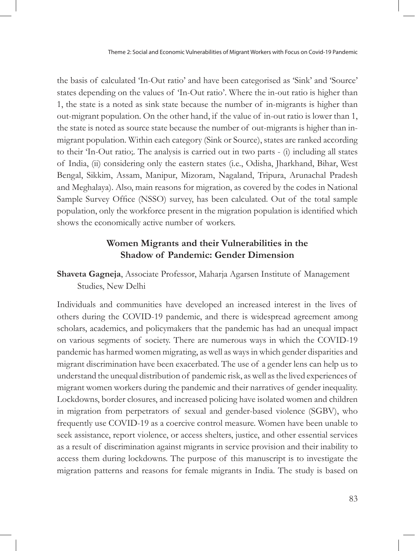Theme 2: Social and Economic Vulnerabilities of Migrant Workers with Focus on Covid-19 Pandemic

the basis of calculated 'In-Out ratio' and have been categorised as 'Sink' and 'Source' states depending on the values of 'In-Out ratio'. Where the in-out ratio is higher than 1, the state is a noted as sink state because the number of in-migrants is higher than out-migrant population. On the other hand, if the value of in-out ratio is lower than 1, the state is noted as source state because the number of out-migrants is higher than inmigrant population. Within each category (Sink or Source), states are ranked according to their 'In-Out ratio;. The analysis is carried out in two parts - (i) including all states of India, (ii) considering only the eastern states (i.e., Odisha, Jharkhand, Bihar, West Bengal, Sikkim, Assam, Manipur, Mizoram, Nagaland, Tripura, Arunachal Pradesh and Meghalaya). Also, main reasons for migration, as covered by the codes in National Sample Survey Office (NSSO) survey, has been calculated. Out of the total sample population, only the workforce present in the migration population is identified which shows the economically active number of workers.

# **Women Migrants and their Vulnerabilities in the Shadow of Pandemic: Gender Dimension**

**Shaveta Gagneja**, Associate Professor, Maharja Agarsen Institute of Management Studies, New Delhi

Individuals and communities have developed an increased interest in the lives of others during the COVID-19 pandemic, and there is widespread agreement among scholars, academics, and policymakers that the pandemic has had an unequal impact on various segments of society. There are numerous ways in which the COVID-19 pandemic has harmed women migrating, as well as ways in which gender disparities and migrant discrimination have been exacerbated. The use of a gender lens can help us to understand the unequal distribution of pandemic risk, as well as the lived experiences of migrant women workers during the pandemic and their narratives of gender inequality. Lockdowns, border closures, and increased policing have isolated women and children in migration from perpetrators of sexual and gender-based violence (SGBV), who frequently use COVID-19 as a coercive control measure. Women have been unable to seek assistance, report violence, or access shelters, justice, and other essential services as a result of discrimination against migrants in service provision and their inability to access them during lockdowns. The purpose of this manuscript is to investigate the migration patterns and reasons for female migrants in India. The study is based on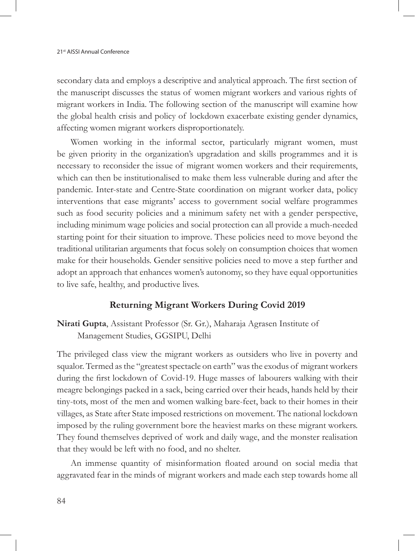secondary data and employs a descriptive and analytical approach. The first section of the manuscript discusses the status of women migrant workers and various rights of migrant workers in India. The following section of the manuscript will examine how the global health crisis and policy of lockdown exacerbate existing gender dynamics, affecting women migrant workers disproportionately.

Women working in the informal sector, particularly migrant women, must be given priority in the organization's upgradation and skills programmes and it is necessary to reconsider the issue of migrant women workers and their requirements, which can then be institutionalised to make them less vulnerable during and after the pandemic. Inter-state and Centre-State coordination on migrant worker data, policy interventions that ease migrants' access to government social welfare programmes such as food security policies and a minimum safety net with a gender perspective, including minimum wage policies and social protection can all provide a much-needed starting point for their situation to improve. These policies need to move beyond the traditional utilitarian arguments that focus solely on consumption choices that women make for their households. Gender sensitive policies need to move a step further and adopt an approach that enhances women's autonomy, so they have equal opportunities to live safe, healthy, and productive lives.

## **Returning Migrant Workers During Covid 2019**

**Nirati Gupta**, Assistant Professor (Sr. Gr.), Maharaja Agrasen Institute of Management Studies, GGSIPU, Delhi

The privileged class view the migrant workers as outsiders who live in poverty and squalor. Termed as the "greatest spectacle on earth" was the exodus of migrant workers during the first lockdown of Covid-19. Huge masses of labourers walking with their meagre belongings packed in a sack, being carried over their heads, hands held by their tiny-tots, most of the men and women walking bare-feet, back to their homes in their villages, as State after State imposed restrictions on movement. The national lockdown imposed by the ruling government bore the heaviest marks on these migrant workers. They found themselves deprived of work and daily wage, and the monster realisation that they would be left with no food, and no shelter.

An immense quantity of misinformation floated around on social media that aggravated fear in the minds of migrant workers and made each step towards home all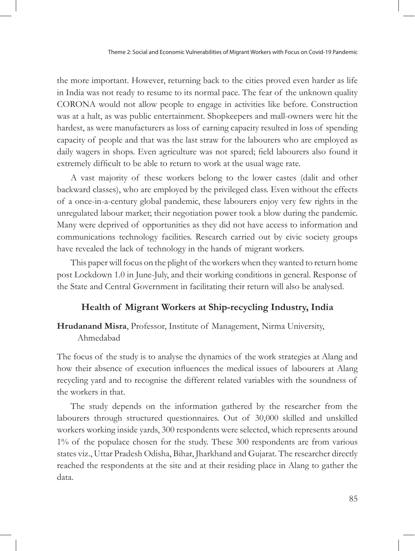the more important. However, returning back to the cities proved even harder as life in India was not ready to resume to its normal pace. The fear of the unknown quality CORONA would not allow people to engage in activities like before. Construction was at a halt, as was public entertainment. Shopkeepers and mall-owners were hit the hardest, as were manufacturers as loss of earning capacity resulted in loss of spending capacity of people and that was the last straw for the labourers who are employed as daily wagers in shops. Even agriculture was not spared; field labourers also found it extremely difficult to be able to return to work at the usual wage rate.

A vast majority of these workers belong to the lower castes (dalit and other backward classes), who are employed by the privileged class. Even without the effects of a once-in-a-century global pandemic, these labourers enjoy very few rights in the unregulated labour market; their negotiation power took a blow during the pandemic. Many were deprived of opportunities as they did not have access to information and communications technology facilities. Research carried out by civic society groups have revealed the lack of technology in the hands of migrant workers.

This paper will focus on the plight of the workers when they wanted to return home post Lockdown 1.0 in June-July, and their working conditions in general. Response of the State and Central Government in facilitating their return will also be analysed.

#### **Health of Migrant Workers at Ship-recycling Industry, India**

**Hrudanand Misra**, Professor, Institute of Management, Nirma University, Ahmedabad

The focus of the study is to analyse the dynamics of the work strategies at Alang and how their absence of execution influences the medical issues of labourers at Alang recycling yard and to recognise the different related variables with the soundness of the workers in that.

The study depends on the information gathered by the researcher from the labourers through structured questionnaires. Out of 30,000 skilled and unskilled workers working inside yards, 300 respondents were selected, which represents around 1% of the populace chosen for the study. These 300 respondents are from various states viz., Uttar Pradesh Odisha, Bihar, Jharkhand and Gujarat. The researcher directly reached the respondents at the site and at their residing place in Alang to gather the data.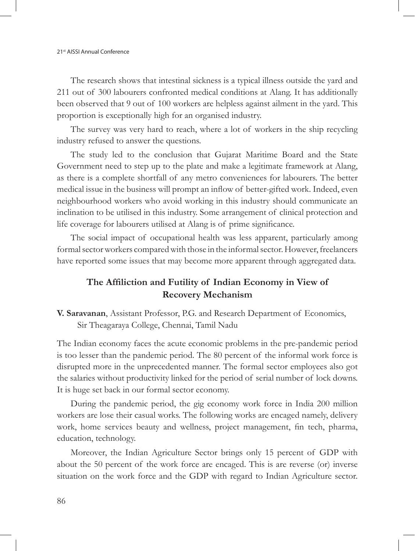The research shows that intestinal sickness is a typical illness outside the yard and 211 out of 300 labourers confronted medical conditions at Alang. It has additionally been observed that 9 out of 100 workers are helpless against ailment in the yard. This proportion is exceptionally high for an organised industry.

The survey was very hard to reach, where a lot of workers in the ship recycling industry refused to answer the questions.

The study led to the conclusion that Gujarat Maritime Board and the State Government need to step up to the plate and make a legitimate framework at Alang, as there is a complete shortfall of any metro conveniences for labourers. The better medical issue in the business will prompt an inflow of better-gifted work. Indeed, even neighbourhood workers who avoid working in this industry should communicate an inclination to be utilised in this industry. Some arrangement of clinical protection and life coverage for labourers utilised at Alang is of prime significance.

The social impact of occupational health was less apparent, particularly among formal sector workers compared with those in the informal sector. However, freelancers have reported some issues that may become more apparent through aggregated data.

# **The Affiliction and Futility of Indian Economy in View of Recovery Mechanism**

**V. Saravanan**, Assistant Professor, P.G. and Research Department of Economics, Sir Theagaraya College, Chennai, Tamil Nadu

The Indian economy faces the acute economic problems in the pre-pandemic period is too lesser than the pandemic period. The 80 percent of the informal work force is disrupted more in the unprecedented manner. The formal sector employees also got the salaries without productivity linked for the period of serial number of lock downs. It is huge set back in our formal sector economy.

During the pandemic period, the gig economy work force in India 200 million workers are lose their casual works. The following works are encaged namely, delivery work, home services beauty and wellness, project management, fin tech, pharma, education, technology.

Moreover, the Indian Agriculture Sector brings only 15 percent of GDP with about the 50 percent of the work force are encaged. This is are reverse (or) inverse situation on the work force and the GDP with regard to Indian Agriculture sector.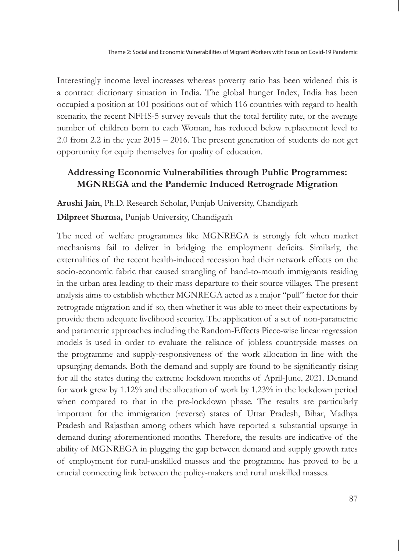Interestingly income level increases whereas poverty ratio has been widened this is a contract dictionary situation in India. The global hunger Index, India has been occupied a position at 101 positions out of which 116 countries with regard to health scenario, the recent NFHS-5 survey reveals that the total fertility rate, or the average number of children born to each Woman, has reduced below replacement level to 2.0 from 2.2 in the year 2015 – 2016. The present generation of students do not get opportunity for equip themselves for quality of education.

# **Addressing Economic Vulnerabilities through Public Programmes: MGNREGA and the Pandemic Induced Retrograde Migration**

**Arushi Jain**, Ph.D. Research Scholar, Punjab University, Chandigarh **Dilpreet Sharma,** Punjab University, Chandigarh

The need of welfare programmes like MGNREGA is strongly felt when market mechanisms fail to deliver in bridging the employment deficits. Similarly, the externalities of the recent health-induced recession had their network effects on the socio-economic fabric that caused strangling of hand-to-mouth immigrants residing in the urban area leading to their mass departure to their source villages. The present analysis aims to establish whether MGNREGA acted as a major "pull" factor for their retrograde migration and if so, then whether it was able to meet their expectations by provide them adequate livelihood security. The application of a set of non-parametric and parametric approaches including the Random-Effects Piece-wise linear regression models is used in order to evaluate the reliance of jobless countryside masses on the programme and supply-responsiveness of the work allocation in line with the upsurging demands. Both the demand and supply are found to be significantly rising for all the states during the extreme lockdown months of April-June, 2021. Demand for work grew by 1.12% and the allocation of work by 1.23% in the lockdown period when compared to that in the pre-lockdown phase. The results are particularly important for the immigration (reverse) states of Uttar Pradesh, Bihar, Madhya Pradesh and Rajasthan among others which have reported a substantial upsurge in demand during aforementioned months. Therefore, the results are indicative of the ability of MGNREGA in plugging the gap between demand and supply growth rates of employment for rural-unskilled masses and the programme has proved to be a crucial connecting link between the policy-makers and rural unskilled masses.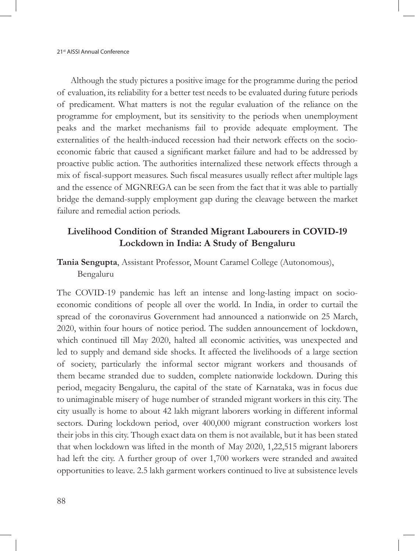Although the study pictures a positive image for the programme during the period of evaluation, its reliability for a better test needs to be evaluated during future periods of predicament. What matters is not the regular evaluation of the reliance on the programme for employment, but its sensitivity to the periods when unemployment peaks and the market mechanisms fail to provide adequate employment. The externalities of the health-induced recession had their network effects on the socioeconomic fabric that caused a significant market failure and had to be addressed by proactive public action. The authorities internalized these network effects through a mix of fiscal-support measures. Such fiscal measures usually reflect after multiple lags and the essence of MGNREGA can be seen from the fact that it was able to partially bridge the demand-supply employment gap during the cleavage between the market failure and remedial action periods.

# **Livelihood Condition of Stranded Migrant Labourers in COVID-19 Lockdown in India: A Study of Bengaluru**

## **Tania Sengupta**, Assistant Professor, Mount Caramel College (Autonomous), Bengaluru

The COVID-19 pandemic has left an intense and long-lasting impact on socioeconomic conditions of people all over the world. In India, in order to curtail the spread of the coronavirus Government had announced a nationwide on 25 March, 2020, within four hours of notice period. The sudden announcement of lockdown, which continued till May 2020, halted all economic activities, was unexpected and led to supply and demand side shocks. It affected the livelihoods of a large section of society, particularly the informal sector migrant workers and thousands of them became stranded due to sudden, complete nationwide lockdown. During this period, megacity Bengaluru, the capital of the state of Karnataka, was in focus due to unimaginable misery of huge number of stranded migrant workers in this city. The city usually is home to about 42 lakh migrant laborers working in different informal sectors. During lockdown period, over 400,000 migrant construction workers lost their jobs in this city. Though exact data on them is not available, but it has been stated that when lockdown was lifted in the month of May 2020, 1,22,515 migrant laborers had left the city. A further group of over 1,700 workers were stranded and awaited opportunities to leave. 2.5 lakh garment workers continued to live at subsistence levels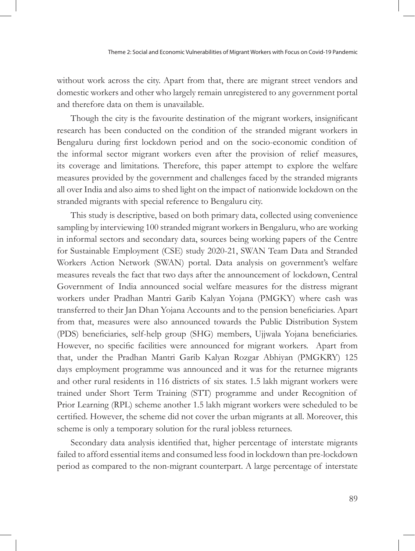without work across the city. Apart from that, there are migrant street vendors and domestic workers and other who largely remain unregistered to any government portal and therefore data on them is unavailable.

Though the city is the favourite destination of the migrant workers, insignificant research has been conducted on the condition of the stranded migrant workers in Bengaluru during first lockdown period and on the socio-economic condition of the informal sector migrant workers even after the provision of relief measures, its coverage and limitations. Therefore, this paper attempt to explore the welfare measures provided by the government and challenges faced by the stranded migrants all over India and also aims to shed light on the impact of nationwide lockdown on the stranded migrants with special reference to Bengaluru city.

This study is descriptive, based on both primary data, collected using convenience sampling by interviewing 100 stranded migrant workers in Bengaluru, who are working in informal sectors and secondary data, sources being working papers of the Centre for Sustainable Employment (CSE) study 2020-21, SWAN Team Data and Stranded Workers Action Network (SWAN) portal. Data analysis on government's welfare measures reveals the fact that two days after the announcement of lockdown, Central Government of India announced social welfare measures for the distress migrant workers under Pradhan Mantri Garib Kalyan Yojana (PMGKY) where cash was transferred to their Jan Dhan Yojana Accounts and to the pension beneficiaries. Apart from that, measures were also announced towards the Public Distribution System (PDS) beneficiaries, self-help group (SHG) members, Ujjwala Yojana beneficiaries. However, no specific facilities were announced for migrant workers. Apart from that, under the Pradhan Mantri Garib Kalyan Rozgar Abhiyan (PMGKRY) 125 days employment programme was announced and it was for the returnee migrants and other rural residents in 116 districts of six states. 1.5 lakh migrant workers were trained under Short Term Training (STT) programme and under Recognition of Prior Learning (RPL) scheme another 1.5 lakh migrant workers were scheduled to be certified. However, the scheme did not cover the urban migrants at all. Moreover, this scheme is only a temporary solution for the rural jobless returnees.

Secondary data analysis identified that, higher percentage of interstate migrants failed to afford essential items and consumed less food in lockdown than pre-lockdown period as compared to the non-migrant counterpart. A large percentage of interstate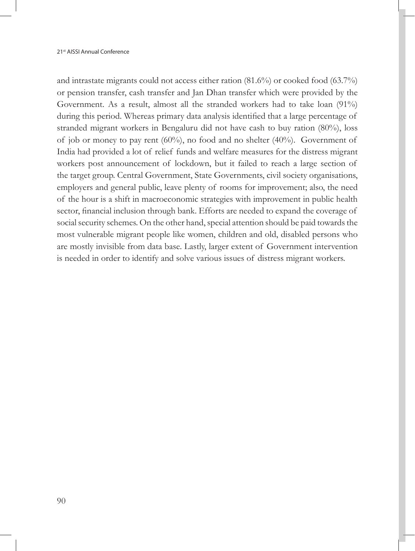and intrastate migrants could not access either ration (81.6%) or cooked food (63.7%) or pension transfer, cash transfer and Jan Dhan transfer which were provided by the Government. As a result, almost all the stranded workers had to take loan (91%) during this period. Whereas primary data analysis identified that a large percentage of stranded migrant workers in Bengaluru did not have cash to buy ration (80%), loss of job or money to pay rent (60%), no food and no shelter (40%). Government of India had provided a lot of relief funds and welfare measures for the distress migrant workers post announcement of lockdown, but it failed to reach a large section of the target group. Central Government, State Governments, civil society organisations, employers and general public, leave plenty of rooms for improvement; also, the need of the hour is a shift in macroeconomic strategies with improvement in public health sector, financial inclusion through bank. Efforts are needed to expand the coverage of social security schemes. On the other hand, special attention should be paid towards the most vulnerable migrant people like women, children and old, disabled persons who are mostly invisible from data base. Lastly, larger extent of Government intervention is needed in order to identify and solve various issues of distress migrant workers.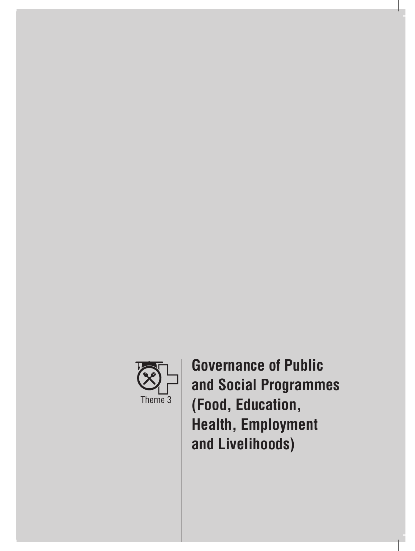

**Governance of Public and Social Programmes (Food, Education, Health, Employment and Livelihoods)**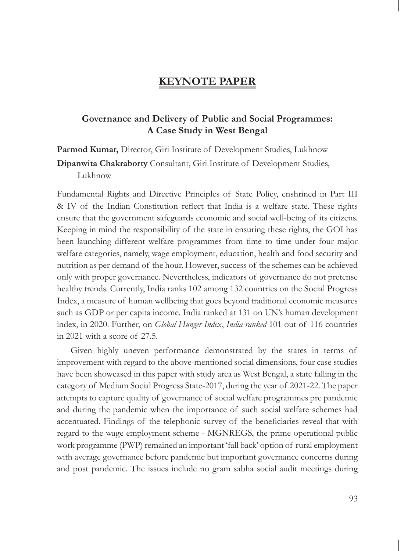# **KEYNOTE PAPER**

# **Governance and Delivery of Public and Social Programmes: A Case Study in West Bengal**

**Parmod Kumar,** Director, Giri Institute of Development Studies, Lukhnow **Dipanwita Chakraborty** Consultant, Giri Institute of Development Studies, Lukhnow

Fundamental Rights and Directive Principles of State Policy, enshrined in Part III & IV of the Indian Constitution reflect that India is a welfare state. These rights ensure that the government safeguards economic and social well-being of its citizens. Keeping in mind the responsibility of the state in ensuring these rights, the GOI has been launching different welfare programmes from time to time under four major welfare categories, namely, wage employment, education, health and food security and nutrition as per demand of the hour. However, success of the schemes can be achieved only with proper governance. Nevertheless, indicators of governance do not pretense healthy trends. Currently, India ranks 102 among 132 countries on the Social Progress Index, a measure of human wellbeing that goes beyond traditional economic measures such as GDP or per capita income. India ranked at 131 on UN's human development index, in 2020. Further, on *Global Hunger Index*, *India ranked* 101 out of 116 countries in 2021 with a score of 27.5.

Given highly uneven performance demonstrated by the states in terms of improvement with regard to the above-mentioned social dimensions, four case studies have been showcased in this paper with study area as West Bengal, a state falling in the category of Medium Social Progress State-2017, during the year of 2021-22. The paper attempts to capture quality of governance of social welfare programmes pre pandemic and during the pandemic when the importance of such social welfare schemes had accentuated. Findings of the telephonic survey of the beneficiaries reveal that with regard to the wage employment scheme - MGNREGS, the prime operational public work programme (PWP) remained an important 'fall back' option of rural employment with average governance before pandemic but important governance concerns during and post pandemic. The issues include no gram sabha social audit meetings during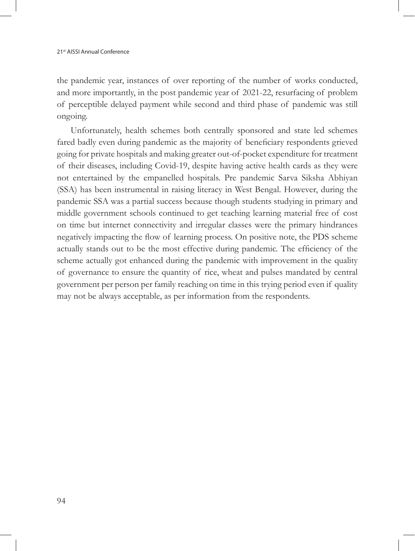the pandemic year, instances of over reporting of the number of works conducted, and more importantly, in the post pandemic year of 2021-22, resurfacing of problem of perceptible delayed payment while second and third phase of pandemic was still ongoing.

Unfortunately, health schemes both centrally sponsored and state led schemes fared badly even during pandemic as the majority of beneficiary respondents grieved going for private hospitals and making greater out-of-pocket expenditure for treatment of their diseases, including Covid-19, despite having active health cards as they were not entertained by the empanelled hospitals. Pre pandemic Sarva Siksha Abhiyan (SSA) has been instrumental in raising literacy in West Bengal. However, during the pandemic SSA was a partial success because though students studying in primary and middle government schools continued to get teaching learning material free of cost on time but internet connectivity and irregular classes were the primary hindrances negatively impacting the flow of learning process. On positive note, the PDS scheme actually stands out to be the most effective during pandemic. The efficiency of the scheme actually got enhanced during the pandemic with improvement in the quality of governance to ensure the quantity of rice, wheat and pulses mandated by central government per person per family reaching on time in this trying period even if quality may not be always acceptable, as per information from the respondents.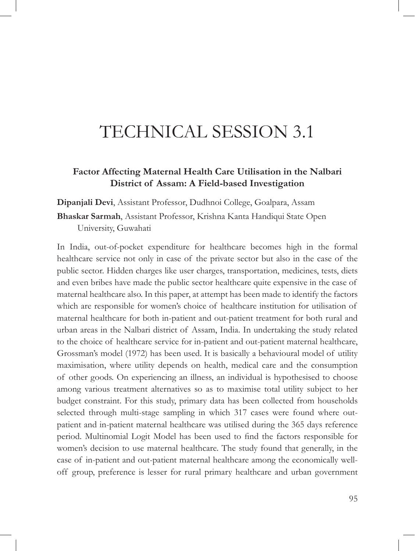# TECHNICAL SESSION 3.1

# **Factor Affecting Maternal Health Care Utilisation in the Nalbari District of Assam: A Field-based Investigation**

**Dipanjali Devi**, Assistant Professor, Dudhnoi College, Goalpara, Assam

**Bhaskar Sarmah**, Assistant Professor, Krishna Kanta Handiqui State Open University, Guwahati

In India, out-of-pocket expenditure for healthcare becomes high in the formal healthcare service not only in case of the private sector but also in the case of the public sector. Hidden charges like user charges, transportation, medicines, tests, diets and even bribes have made the public sector healthcare quite expensive in the case of maternal healthcare also. In this paper, at attempt has been made to identify the factors which are responsible for women's choice of healthcare institution for utilisation of maternal healthcare for both in-patient and out-patient treatment for both rural and urban areas in the Nalbari district of Assam, India. In undertaking the study related to the choice of healthcare service for in-patient and out-patient maternal healthcare, Grossman's model (1972) has been used. It is basically a behavioural model of utility maximisation, where utility depends on health, medical care and the consumption of other goods. On experiencing an illness, an individual is hypothesised to choose among various treatment alternatives so as to maximise total utility subject to her budget constraint. For this study, primary data has been collected from households selected through multi-stage sampling in which 317 cases were found where outpatient and in-patient maternal healthcare was utilised during the 365 days reference period. Multinomial Logit Model has been used to find the factors responsible for women's decision to use maternal healthcare. The study found that generally, in the case of in-patient and out-patient maternal healthcare among the economically welloff group, preference is lesser for rural primary healthcare and urban government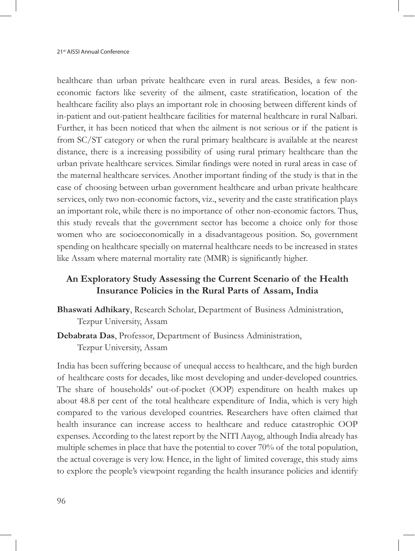healthcare than urban private healthcare even in rural areas. Besides, a few noneconomic factors like severity of the ailment, caste stratification, location of the healthcare facility also plays an important role in choosing between different kinds of in-patient and out-patient healthcare facilities for maternal healthcare in rural Nalbari. Further, it has been noticed that when the ailment is not serious or if the patient is from SC/ST category or when the rural primary healthcare is available at the nearest distance, there is a increasing possibility of using rural primary healthcare than the urban private healthcare services. Similar findings were noted in rural areas in case of the maternal healthcare services. Another important finding of the study is that in the case of choosing between urban government healthcare and urban private healthcare services, only two non-economic factors, viz., severity and the caste stratification plays an important role, while there is no importance of other non-economic factors. Thus, this study reveals that the government sector has become a choice only for those women who are socioeconomically in a disadvantageous position. So, government spending on healthcare specially on maternal healthcare needs to be increased in states like Assam where maternal mortality rate (MMR) is significantly higher.

# **An Exploratory Study Assessing the Current Scenario of the Health Insurance Policies in the Rural Parts of Assam, India**

- **Bhaswati Adhikary**, Research Scholar, Department of Business Administration, Tezpur University, Assam
- **Debabrata Das**, Professor, Department of Business Administration, Tezpur University, Assam

India has been suffering because of unequal access to healthcare, and the high burden of healthcare costs for decades, like most developing and under-developed countries. The share of households' out-of-pocket (OOP) expenditure on health makes up about 48.8 per cent of the total healthcare expenditure of India, which is very high compared to the various developed countries. Researchers have often claimed that health insurance can increase access to healthcare and reduce catastrophic OOP expenses. According to the latest report by the NITI Aayog, although India already has multiple schemes in place that have the potential to cover 70% of the total population, the actual coverage is very low. Hence, in the light of limited coverage, this study aims to explore the people's viewpoint regarding the health insurance policies and identify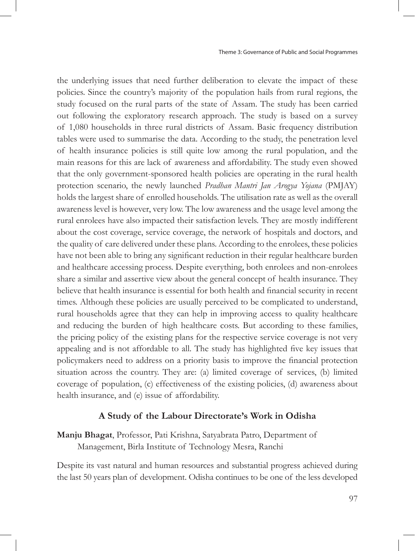the underlying issues that need further deliberation to elevate the impact of these policies. Since the country's majority of the population hails from rural regions, the study focused on the rural parts of the state of Assam. The study has been carried out following the exploratory research approach. The study is based on a survey of 1,080 households in three rural districts of Assam. Basic frequency distribution tables were used to summarise the data. According to the study, the penetration level of health insurance policies is still quite low among the rural population, and the main reasons for this are lack of awareness and affordability. The study even showed that the only government-sponsored health policies are operating in the rural health protection scenario, the newly launched *Pradhan Mantri Jan Arogya Yojana* (PMJAY) holds the largest share of enrolled households. The utilisation rate as well as the overall awareness level is however, very low. The low awareness and the usage level among the rural enrolees have also impacted their satisfaction levels. They are mostly indifferent about the cost coverage, service coverage, the network of hospitals and doctors, and the quality of care delivered under these plans. According to the enrolees, these policies have not been able to bring any significant reduction in their regular healthcare burden and healthcare accessing process. Despite everything, both enrolees and non-enrolees share a similar and assertive view about the general concept of health insurance. They believe that health insurance is essential for both health and financial security in recent times. Although these policies are usually perceived to be complicated to understand, rural households agree that they can help in improving access to quality healthcare and reducing the burden of high healthcare costs. But according to these families, the pricing policy of the existing plans for the respective service coverage is not very appealing and is not affordable to all. The study has highlighted five key issues that policymakers need to address on a priority basis to improve the financial protection situation across the country. They are: (a) limited coverage of services, (b) limited coverage of population, (c) effectiveness of the existing policies, (d) awareness about health insurance, and (e) issue of affordability.

### **A Study of the Labour Directorate's Work in Odisha**

**Manju Bhagat**, Professor, Pati Krishna, Satyabrata Patro, Department of Management, Birla Institute of Technology Mesra, Ranchi

Despite its vast natural and human resources and substantial progress achieved during the last 50 years plan of development. Odisha continues to be one of the less developed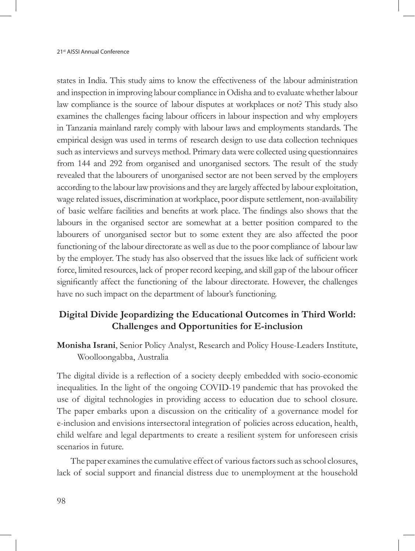states in India. This study aims to know the effectiveness of the labour administration and inspection in improving labour compliance in Odisha and to evaluate whether labour law compliance is the source of labour disputes at workplaces or not? This study also examines the challenges facing labour officers in labour inspection and why employers in Tanzania mainland rarely comply with labour laws and employments standards. The empirical design was used in terms of research design to use data collection techniques such as interviews and surveys method. Primary data were collected using questionnaires from 144 and 292 from organised and unorganised sectors. The result of the study revealed that the labourers of unorganised sector are not been served by the employers according to the labour law provisions and they are largely affected by labour exploitation, wage related issues, discrimination at workplace, poor dispute settlement, non-availability of basic welfare facilities and benefits at work place. The findings also shows that the labours in the organised sector are somewhat at a better position compared to the labourers of unorganised sector but to some extent they are also affected the poor functioning of the labour directorate as well as due to the poor compliance of labour law by the employer. The study has also observed that the issues like lack of sufficient work force, limited resources, lack of proper record keeping, and skill gap of the labour officer significantly affect the functioning of the labour directorate. However, the challenges have no such impact on the department of labour's functioning.

# **Digital Divide Jeopardizing the Educational Outcomes in Third World: Challenges and Opportunities for E-inclusion**

**Monisha Israni**, Senior Policy Analyst, Research and Policy House-Leaders Institute, Woolloongabba, Australia

The digital divide is a reflection of a society deeply embedded with socio-economic inequalities. In the light of the ongoing COVID-19 pandemic that has provoked the use of digital technologies in providing access to education due to school closure. The paper embarks upon a discussion on the criticality of a governance model for e-inclusion and envisions intersectoral integration of policies across education, health, child welfare and legal departments to create a resilient system for unforeseen crisis scenarios in future.

The paper examines the cumulative effect of various factors such as school closures, lack of social support and financial distress due to unemployment at the household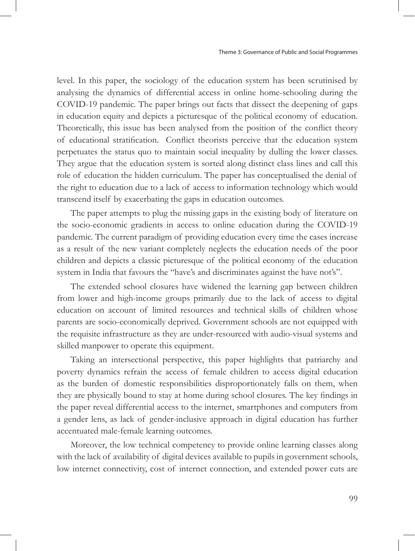level. In this paper, the sociology of the education system has been scrutinised by analysing the dynamics of differential access in online home-schooling during the COVID-19 pandemic. The paper brings out facts that dissect the deepening of gaps in education equity and depicts a picturesque of the political economy of education. Theoretically, this issue has been analysed from the position of the conflict theory of educational stratification. Conflict theorists perceive that the education system perpetuates the status quo to maintain social inequality by dulling the lower classes. They argue that the education system is sorted along distinct class lines and call this role of education the hidden curriculum. The paper has conceptualised the denial of the right to education due to a lack of access to information technology which would transcend itself by exacerbating the gaps in education outcomes.

The paper attempts to plug the missing gaps in the existing body of literature on the socio-economic gradients in access to online education during the COVID-19 pandemic. The current paradigm of providing education every time the cases increase as a result of the new variant completely neglects the education needs of the poor children and depicts a classic picturesque of the political economy of the education system in India that favours the "have's and discriminates against the have not's".

The extended school closures have widened the learning gap between children from lower and high-income groups primarily due to the lack of access to digital education on account of limited resources and technical skills of children whose parents are socio-economically deprived. Government schools are not equipped with the requisite infrastructure as they are under-resourced with audio-visual systems and skilled manpower to operate this equipment.

Taking an intersectional perspective, this paper highlights that patriarchy and poverty dynamics refrain the access of female children to access digital education as the burden of domestic responsibilities disproportionately falls on them, when they are physically bound to stay at home during school closures. The key findings in the paper reveal differential access to the internet, smartphones and computers from a gender lens, as lack of gender-inclusive approach in digital education has further accentuated male-female learning outcomes.

Moreover, the low technical competency to provide online learning classes along with the lack of availability of digital devices available to pupils in government schools, low internet connectivity, cost of internet connection, and extended power cuts are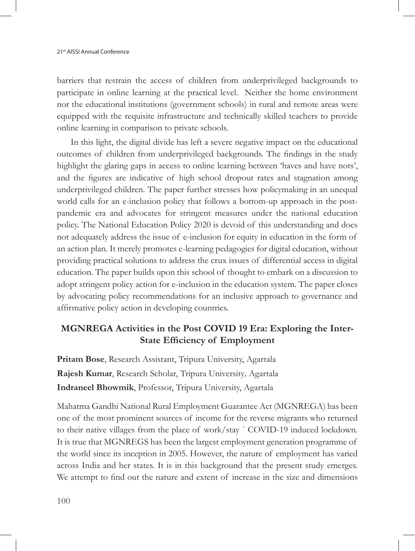barriers that restrain the access of children from underprivileged backgrounds to participate in online learning at the practical level. Neither the home environment nor the educational institutions (government schools) in rural and remote areas were equipped with the requisite infrastructure and technically skilled teachers to provide online learning in comparison to private schools.

In this light, the digital divide has left a severe negative impact on the educational outcomes of children from underprivileged backgrounds. The findings in the study highlight the glaring gaps in access to online learning between 'haves and have nots', and the figures are indicative of high school dropout rates and stagnation among underprivileged children. The paper further stresses how policymaking in an unequal world calls for an e-inclusion policy that follows a bottom-up approach in the postpandemic era and advocates for stringent measures under the national education policy. The National Education Policy 2020 is devoid of this understanding and does not adequately address the issue of e-inclusion for equity in education in the form of an action plan. It merely promotes e-learning pedagogies for digital education, without providing practical solutions to address the crux issues of differential access in digital education. The paper builds upon this school of thought to embark on a discussion to adopt stringent policy action for e-inclusion in the education system. The paper closes by advocating policy recommendations for an inclusive approach to governance and affirmative policy action in developing countries.

# **MGNREGA Activities in the Post COVID 19 Era: Exploring the Inter-State Efficiency of Employment**

**Pritam Bose**, Research Assistant, Tripura University, Agartala **Rajesh Kumar**, Research Scholar, Tripura University*,* Agartala **Indraneel Bhowmik**, Professor, Tripura University, Agartala

Mahatma Gandhi National Rural Employment Guarantee Act (MGNREGA) has been one of the most prominent sources of income for the reverse migrants who returned to their native villages from the place of work/stay ` COVID-19 induced lockdown. It is true that MGNREGS has been the largest employment generation programme of the world since its inception in 2005. However, the nature of employment has varied across India and her states. It is in this background that the present study emerges. We attempt to find out the nature and extent of increase in the size and dimensions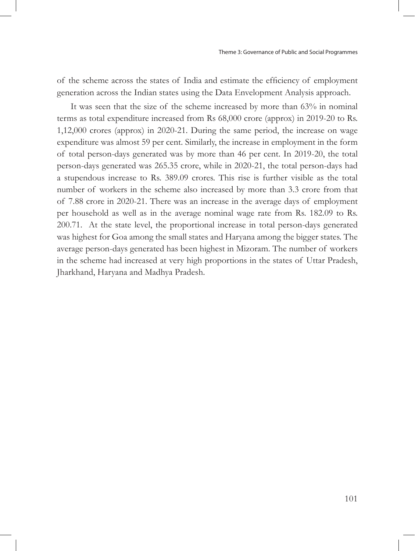of the scheme across the states of India and estimate the efficiency of employment generation across the Indian states using the Data Envelopment Analysis approach.

It was seen that the size of the scheme increased by more than 63% in nominal terms as total expenditure increased from Rs 68,000 crore (approx) in 2019-20 to Rs. 1,12,000 crores (approx) in 2020-21. During the same period, the increase on wage expenditure was almost 59 per cent. Similarly, the increase in employment in the form of total person-days generated was by more than 46 per cent. In 2019-20, the total person-days generated was 265.35 crore, while in 2020-21, the total person-days had a stupendous increase to Rs. 389.09 crores. This rise is further visible as the total number of workers in the scheme also increased by more than 3.3 crore from that of 7.88 crore in 2020-21. There was an increase in the average days of employment per household as well as in the average nominal wage rate from Rs. 182.09 to Rs. 200.71. At the state level, the proportional increase in total person-days generated was highest for Goa among the small states and Haryana among the bigger states. The average person-days generated has been highest in Mizoram. The number of workers in the scheme had increased at very high proportions in the states of Uttar Pradesh, Jharkhand, Haryana and Madhya Pradesh.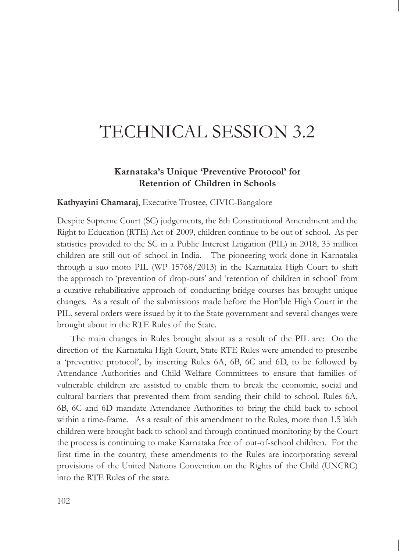# TECHNICAL SESSION 3.2

## **Karnataka's Unique 'Preventive Protocol' for Retention of Children in Schools**

#### **Kathyayini Chamaraj**, Executive Trustee, CIVIC-Bangalore

Despite Supreme Court (SC) judgements, the 8th Constitutional Amendment and the Right to Education (RTE) Act of 2009, children continue to be out of school. As per statistics provided to the SC in a Public Interest Litigation (PIL) in 2018, 35 million children are still out of school in India. The pioneering work done in Karnataka through a suo moto PIL (WP 15768/2013) in the Karnataka High Court to shift the approach to 'prevention of drop-outs' and 'retention of children in school' from a curative rehabilitative approach of conducting bridge courses has brought unique changes. As a result of the submissions made before the Hon'ble High Court in the PIL, several orders were issued by it to the State government and several changes were brought about in the RTE Rules of the State.

The main changes in Rules brought about as a result of the PIL are: On the direction of the Karnataka High Court, State RTE Rules were amended to prescribe a 'preventive protocol', by inserting Rules 6A, 6B, 6C and 6D, to be followed by Attendance Authorities and Child Welfare Committees to ensure that families of vulnerable children are assisted to enable them to break the economic, social and cultural barriers that prevented them from sending their child to school. Rules 6A, 6B, 6C and 6D mandate Attendance Authorities to bring the child back to school within a time-frame. As a result of this amendment to the Rules, more than 1.5 lakh children were brought back to school and through continued monitoring by the Court the process is continuing to make Karnataka free of out-of-school children. For the first time in the country, these amendments to the Rules are incorporating several provisions of the United Nations Convention on the Rights of the Child (UNCRC) into the RTE Rules of the state.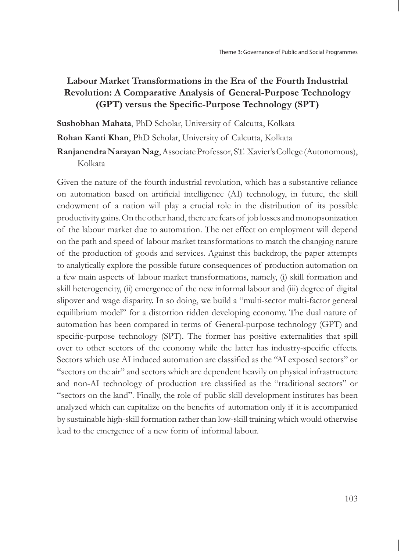# **Labour Market Transformations in the Era of the Fourth Industrial Revolution: A Comparative Analysis of General-Purpose Technology (GPT) versus the Specific-Purpose Technology (SPT)**

**Sushobhan Mahata**, PhD Scholar, University of Calcutta, Kolkata

**Rohan Kanti Khan**, PhD Scholar, University of Calcutta, Kolkata

**Ranjanendra Narayan Nag**, Associate Professor, ST. Xavier's College (Autonomous), Kolkata

Given the nature of the fourth industrial revolution, which has a substantive reliance on automation based on artificial intelligence (AI) technology, in future, the skill endowment of a nation will play a crucial role in the distribution of its possible productivity gains. On the other hand, there are fears of job losses and monopsonization of the labour market due to automation. The net effect on employment will depend on the path and speed of labour market transformations to match the changing nature of the production of goods and services. Against this backdrop, the paper attempts to analytically explore the possible future consequences of production automation on a few main aspects of labour market transformations, namely, (i) skill formation and skill heterogeneity, (ii) emergence of the new informal labour and (iii) degree of digital slipover and wage disparity. In so doing, we build a "multi-sector multi-factor general equilibrium model" for a distortion ridden developing economy. The dual nature of automation has been compared in terms of General-purpose technology (GPT) and specific-purpose technology (SPT). The former has positive externalities that spill over to other sectors of the economy while the latter has industry-specific effects. Sectors which use AI induced automation are classified as the "AI exposed sectors" or "sectors on the air" and sectors which are dependent heavily on physical infrastructure and non-AI technology of production are classified as the "traditional sectors" or "sectors on the land". Finally, the role of public skill development institutes has been analyzed which can capitalize on the benefits of automation only if it is accompanied by sustainable high-skill formation rather than low-skill training which would otherwise lead to the emergence of a new form of informal labour.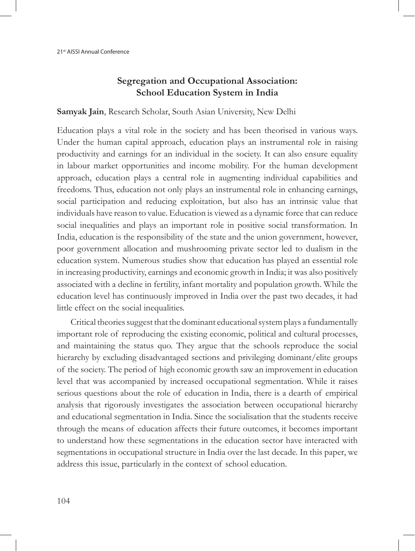# **Segregation and Occupational Association: School Education System in India**

#### **Samyak Jain**, Research Scholar, South Asian University, New Delhi

Education plays a vital role in the society and has been theorised in various ways. Under the human capital approach, education plays an instrumental role in raising productivity and earnings for an individual in the society. It can also ensure equality in labour market opportunities and income mobility. For the human development approach, education plays a central role in augmenting individual capabilities and freedoms. Thus, education not only plays an instrumental role in enhancing earnings, social participation and reducing exploitation, but also has an intrinsic value that individuals have reason to value. Education is viewed as a dynamic force that can reduce social inequalities and plays an important role in positive social transformation. In India, education is the responsibility of the state and the union government, however, poor government allocation and mushrooming private sector led to dualism in the education system. Numerous studies show that education has played an essential role in increasing productivity, earnings and economic growth in India; it was also positively associated with a decline in fertility, infant mortality and population growth. While the education level has continuously improved in India over the past two decades, it had little effect on the social inequalities.

Critical theories suggest that the dominant educational system plays a fundamentally important role of reproducing the existing economic, political and cultural processes, and maintaining the status quo. They argue that the schools reproduce the social hierarchy by excluding disadvantaged sections and privileging dominant/elite groups of the society. The period of high economic growth saw an improvement in education level that was accompanied by increased occupational segmentation. While it raises serious questions about the role of education in India, there is a dearth of empirical analysis that rigorously investigates the association between occupational hierarchy and educational segmentation in India. Since the socialisation that the students receive through the means of education affects their future outcomes, it becomes important to understand how these segmentations in the education sector have interacted with segmentations in occupational structure in India over the last decade. In this paper, we address this issue, particularly in the context of school education.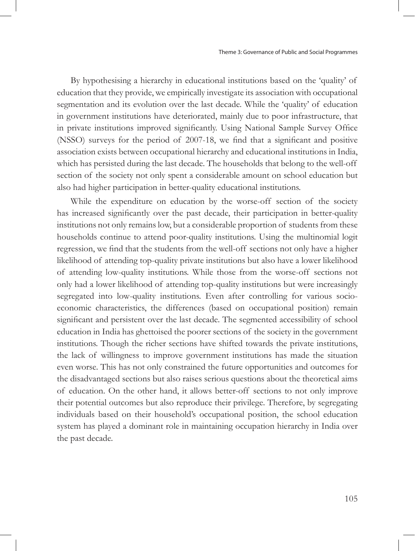By hypothesising a hierarchy in educational institutions based on the 'quality' of education that they provide, we empirically investigate its association with occupational segmentation and its evolution over the last decade. While the 'quality' of education in government institutions have deteriorated, mainly due to poor infrastructure, that in private institutions improved significantly. Using National Sample Survey Office (NSSO) surveys for the period of 2007-18, we find that a significant and positive association exists between occupational hierarchy and educational institutions in India, which has persisted during the last decade. The households that belong to the well-off section of the society not only spent a considerable amount on school education but also had higher participation in better-quality educational institutions.

While the expenditure on education by the worse-off section of the society has increased significantly over the past decade, their participation in better-quality institutions not only remains low, but a considerable proportion of students from these households continue to attend poor-quality institutions. Using the multinomial logit regression, we find that the students from the well-off sections not only have a higher likelihood of attending top-quality private institutions but also have a lower likelihood of attending low-quality institutions. While those from the worse-off sections not only had a lower likelihood of attending top-quality institutions but were increasingly segregated into low-quality institutions. Even after controlling for various socioeconomic characteristics, the differences (based on occupational position) remain significant and persistent over the last decade. The segmented accessibility of school education in India has ghettoised the poorer sections of the society in the government institutions. Though the richer sections have shifted towards the private institutions, the lack of willingness to improve government institutions has made the situation even worse. This has not only constrained the future opportunities and outcomes for the disadvantaged sections but also raises serious questions about the theoretical aims of education. On the other hand, it allows better-off sections to not only improve their potential outcomes but also reproduce their privilege. Therefore, by segregating individuals based on their household's occupational position, the school education system has played a dominant role in maintaining occupation hierarchy in India over the past decade.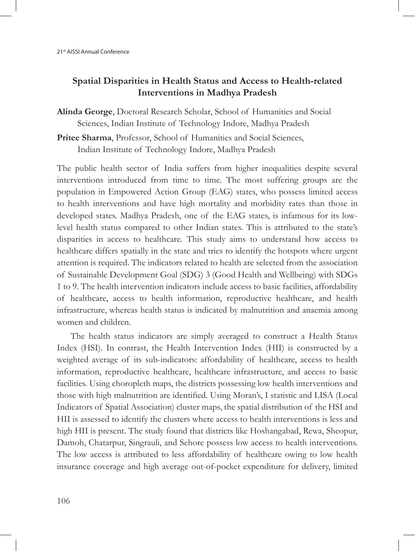# **Spatial Disparities in Health Status and Access to Health-related Interventions in Madhya Pradesh**

**Alinda George**, Doctoral Research Scholar, School of Humanities and Social Sciences, Indian Institute of Technology Indore, Madhya Pradesh

**Pritee Sharma**, Professor, School of Humanities and Social Sciences, Indian Institute of Technology Indore, Madhya Pradesh

The public health sector of India suffers from higher inequalities despite several interventions introduced from time to time. The most suffering groups are the population in Empowered Action Group (EAG) states, who possess limited access to health interventions and have high mortality and morbidity rates than those in developed states. Madhya Pradesh, one of the EAG states, is infamous for its lowlevel health status compared to other Indian states. This is attributed to the state's disparities in access to healthcare. This study aims to understand how access to healthcare differs spatially in the state and tries to identify the hotspots where urgent attention is required. The indicators related to health are selected from the association of Sustainable Development Goal (SDG) 3 (Good Health and Wellbeing) with SDGs 1 to 9. The health intervention indicators include access to basic facilities, affordability of healthcare, access to health information, reproductive healthcare, and health infrastructure, whereas health status is indicated by malnutrition and anaemia among women and children.

The health status indicators are simply averaged to construct a Health Status Index (HSI). In contrast, the Health Intervention Index (HII) is constructed by a weighted average of its sub-indicators: affordability of healthcare, access to health information, reproductive healthcare, healthcare infrastructure, and access to basic facilities. Using choropleth maps, the districts possessing low health interventions and those with high malnutrition are identified. Using Moran's, I statistic and LISA (Local Indicators of Spatial Association) cluster maps, the spatial distribution of the HSI and HII is assessed to identify the clusters where access to health interventions is less and high HII is present. The study found that districts like Hoshangabad, Rewa, Sheopur, Damoh, Chatarpur, Singrauli, and Sehore possess low access to health interventions. The low access is attributed to less affordability of healthcare owing to low health insurance coverage and high average out-of-pocket expenditure for delivery, limited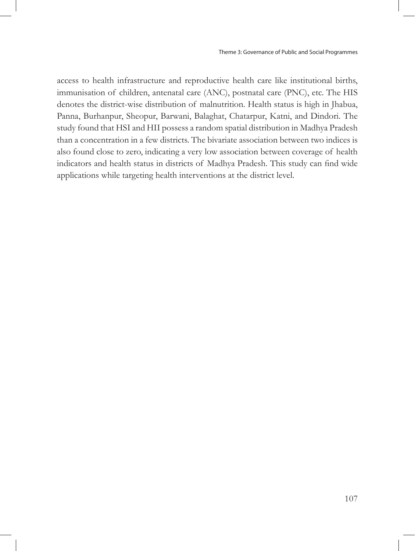access to health infrastructure and reproductive health care like institutional births, immunisation of children, antenatal care (ANC), postnatal care (PNC), etc. The HIS denotes the district-wise distribution of malnutrition. Health status is high in Jhabua, Panna, Burhanpur, Sheopur, Barwani, Balaghat, Chatarpur, Katni, and Dindori. The study found that HSI and HII possess a random spatial distribution in Madhya Pradesh than a concentration in a few districts. The bivariate association between two indices is also found close to zero, indicating a very low association between coverage of health indicators and health status in districts of Madhya Pradesh. This study can find wide applications while targeting health interventions at the district level.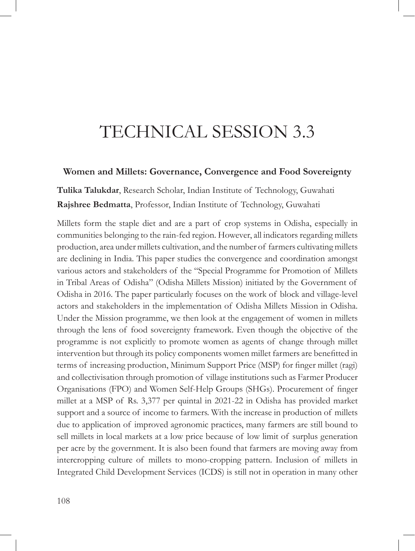# TECHNICAL SESSION 3.3

### **Women and Millets: Governance, Convergence and Food Sovereignty**

**Tulika Talukdar**, Research Scholar, Indian Institute of Technology, Guwahati **Rajshree Bedmatta**, Professor, Indian Institute of Technology, Guwahati

Millets form the staple diet and are a part of crop systems in Odisha, especially in communities belonging to the rain-fed region. However, all indicators regarding millets production, area under millets cultivation, and the number of farmers cultivating millets are declining in India. This paper studies the convergence and coordination amongst various actors and stakeholders of the "Special Programme for Promotion of Millets in Tribal Areas of Odisha" (Odisha Millets Mission) initiated by the Government of Odisha in 2016. The paper particularly focuses on the work of block and village-level actors and stakeholders in the implementation of Odisha Millets Mission in Odisha. Under the Mission programme, we then look at the engagement of women in millets through the lens of food sovereignty framework. Even though the objective of the programme is not explicitly to promote women as agents of change through millet intervention but through its policy components women millet farmers are benefitted in terms of increasing production, Minimum Support Price (MSP) for finger millet (ragi) and collectivisation through promotion of village institutions such as Farmer Producer Organisations (FPO) and Women Self-Help Groups (SHGs). Procurement of finger millet at a MSP of Rs. 3,377 per quintal in 2021-22 in Odisha has provided market support and a source of income to farmers. With the increase in production of millets due to application of improved agronomic practices, many farmers are still bound to sell millets in local markets at a low price because of low limit of surplus generation per acre by the government. It is also been found that farmers are moving away from intercropping culture of millets to mono-cropping pattern. Inclusion of millets in Integrated Child Development Services (ICDS) is still not in operation in many other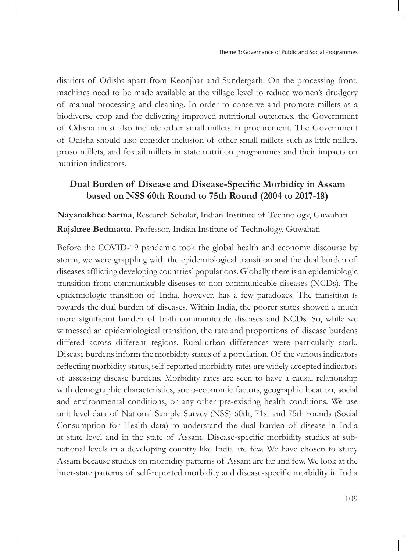districts of Odisha apart from Keonjhar and Sundergarh. On the processing front, machines need to be made available at the village level to reduce women's drudgery of manual processing and cleaning. In order to conserve and promote millets as a biodiverse crop and for delivering improved nutritional outcomes, the Government of Odisha must also include other small millets in procurement. The Government of Odisha should also consider inclusion of other small millets such as little millets, proso millets, and foxtail millets in state nutrition programmes and their impacts on nutrition indicators.

# **Dual Burden of Disease and Disease-Specific Morbidity in Assam based on NSS 60th Round to 75th Round (2004 to 2017-18)**

**Nayanakhee Sarma**, Research Scholar, Indian Institute of Technology, Guwahati **Rajshree Bedmatta**, Professor, Indian Institute of Technology, Guwahati

Before the COVID-19 pandemic took the global health and economy discourse by storm, we were grappling with the epidemiological transition and the dual burden of diseases afflicting developing countries' populations. Globally there is an epidemiologic transition from communicable diseases to non-communicable diseases (NCDs). The epidemiologic transition of India, however, has a few paradoxes. The transition is towards the dual burden of diseases. Within India, the poorer states showed a much more significant burden of both communicable diseases and NCDs. So, while we witnessed an epidemiological transition, the rate and proportions of disease burdens differed across different regions. Rural-urban differences were particularly stark. Disease burdens inform the morbidity status of a population. Of the various indicators reflecting morbidity status, self-reported morbidity rates are widely accepted indicators of assessing disease burdens. Morbidity rates are seen to have a causal relationship with demographic characteristics, socio-economic factors, geographic location, social and environmental conditions, or any other pre-existing health conditions. We use unit level data of National Sample Survey (NSS) 60th, 71st and 75th rounds (Social Consumption for Health data) to understand the dual burden of disease in India at state level and in the state of Assam. Disease-specific morbidity studies at subnational levels in a developing country like India are few. We have chosen to study Assam because studies on morbidity patterns of Assam are far and few. We look at the inter-state patterns of self-reported morbidity and disease-specific morbidity in India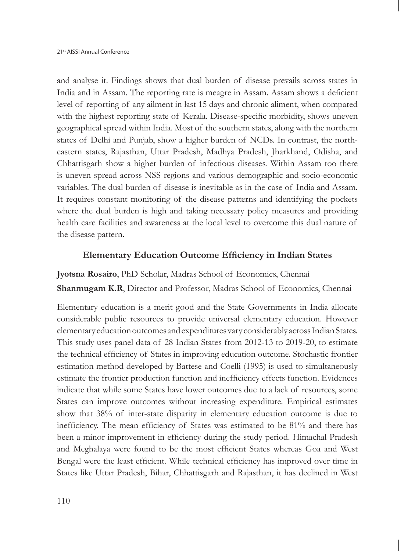and analyse it. Findings shows that dual burden of disease prevails across states in India and in Assam. The reporting rate is meagre in Assam. Assam shows a deficient level of reporting of any ailment in last 15 days and chronic aliment, when compared with the highest reporting state of Kerala. Disease-specific morbidity, shows uneven geographical spread within India. Most of the southern states, along with the northern states of Delhi and Punjab, show a higher burden of NCDs. In contrast, the northeastern states, Rajasthan, Uttar Pradesh, Madhya Pradesh, Jharkhand, Odisha, and Chhattisgarh show a higher burden of infectious diseases. Within Assam too there is uneven spread across NSS regions and various demographic and socio-economic variables. The dual burden of disease is inevitable as in the case of India and Assam. It requires constant monitoring of the disease patterns and identifying the pockets where the dual burden is high and taking necessary policy measures and providing health care facilities and awareness at the local level to overcome this dual nature of the disease pattern.

### **Elementary Education Outcome Efficiency in Indian States**

**Jyotsna Rosairo**, PhD Scholar, Madras School of Economics, Chennai **Shanmugam K.R**, Director and Professor, Madras School of Economics, Chennai

Elementary education is a merit good and the State Governments in India allocate considerable public resources to provide universal elementary education. However elementary education outcomes and expenditures vary considerably across Indian States. This study uses panel data of 28 Indian States from 2012-13 to 2019-20, to estimate the technical efficiency of States in improving education outcome. Stochastic frontier estimation method developed by Battese and Coelli (1995) is used to simultaneously estimate the frontier production function and inefficiency effects function. Evidences indicate that while some States have lower outcomes due to a lack of resources, some States can improve outcomes without increasing expenditure. Empirical estimates show that 38% of inter-state disparity in elementary education outcome is due to inefficiency. The mean efficiency of States was estimated to be 81% and there has been a minor improvement in efficiency during the study period. Himachal Pradesh and Meghalaya were found to be the most efficient States whereas Goa and West Bengal were the least efficient. While technical efficiency has improved over time in States like Uttar Pradesh, Bihar, Chhattisgarh and Rajasthan, it has declined in West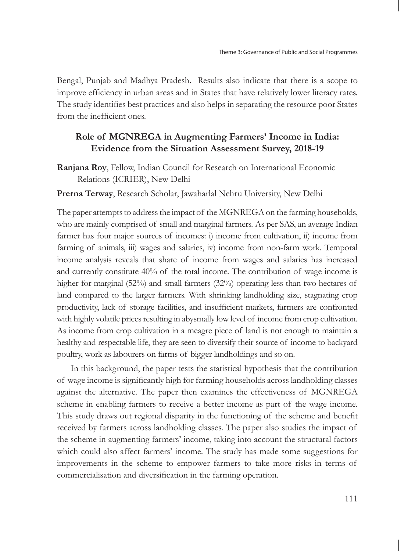Bengal, Punjab and Madhya Pradesh. Results also indicate that there is a scope to improve efficiency in urban areas and in States that have relatively lower literacy rates. The study identifies best practices and also helps in separating the resource poor States from the inefficient ones.

# **Role of MGNREGA in Augmenting Farmers' Income in India: Evidence from the Situation Assessment Survey, 2018-19**

**Ranjana Roy**, Fellow, Indian Council for Research on International Economic Relations (ICRIER), New Delhi

### **Prerna Terway**, Research Scholar, Jawaharlal Nehru University, New Delhi

The paper attempts to address the impact of the MGNREGA on the farming households, who are mainly comprised of small and marginal farmers. As per SAS, an average Indian farmer has four major sources of incomes: i) income from cultivation, ii) income from farming of animals, iii) wages and salaries, iv) income from non-farm work. Temporal income analysis reveals that share of income from wages and salaries has increased and currently constitute 40% of the total income. The contribution of wage income is higher for marginal (52%) and small farmers (32%) operating less than two hectares of land compared to the larger farmers. With shrinking landholding size, stagnating crop productivity, lack of storage facilities, and insufficient markets, farmers are confronted with highly volatile prices resulting in abysmally low level of income from crop cultivation. As income from crop cultivation in a meagre piece of land is not enough to maintain a healthy and respectable life, they are seen to diversify their source of income to backyard poultry, work as labourers on farms of bigger landholdings and so on.

In this background, the paper tests the statistical hypothesis that the contribution of wage income is significantly high for farming households across landholding classes against the alternative. The paper then examines the effectiveness of MGNREGA scheme in enabling farmers to receive a better income as part of the wage income. This study draws out regional disparity in the functioning of the scheme and benefit received by farmers across landholding classes. The paper also studies the impact of the scheme in augmenting farmers' income, taking into account the structural factors which could also affect farmers' income. The study has made some suggestions for improvements in the scheme to empower farmers to take more risks in terms of commercialisation and diversification in the farming operation.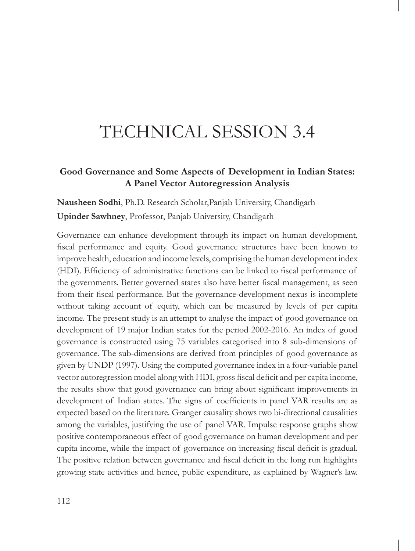# TECHNICAL SESSION 3.4

# **Good Governance and Some Aspects of Development in Indian States: A Panel Vector Autoregression Analysis**

**Nausheen Sodhi**, Ph.D. Research Scholar,Panjab University, Chandigarh **Upinder Sawhney**, Professor, Panjab University, Chandigarh

Governance can enhance development through its impact on human development, fiscal performance and equity. Good governance structures have been known to improve health, education and income levels, comprising the human development index (HDI). Efficiency of administrative functions can be linked to fiscal performance of the governments. Better governed states also have better fiscal management, as seen from their fiscal performance. But the governance-development nexus is incomplete without taking account of equity, which can be measured by levels of per capita income. The present study is an attempt to analyse the impact of good governance on development of 19 major Indian states for the period 2002-2016. An index of good governance is constructed using 75 variables categorised into 8 sub-dimensions of governance. The sub-dimensions are derived from principles of good governance as given by UNDP (1997). Using the computed governance index in a four-variable panel vector autoregression model along with HDI, gross fiscal deficit and per capita income, the results show that good governance can bring about significant improvements in development of Indian states. The signs of coefficients in panel VAR results are as expected based on the literature. Granger causality shows two bi-directional causalities among the variables, justifying the use of panel VAR. Impulse response graphs show positive contemporaneous effect of good governance on human development and per capita income, while the impact of governance on increasing fiscal deficit is gradual. The positive relation between governance and fiscal deficit in the long run highlights growing state activities and hence, public expenditure, as explained by Wagner's law.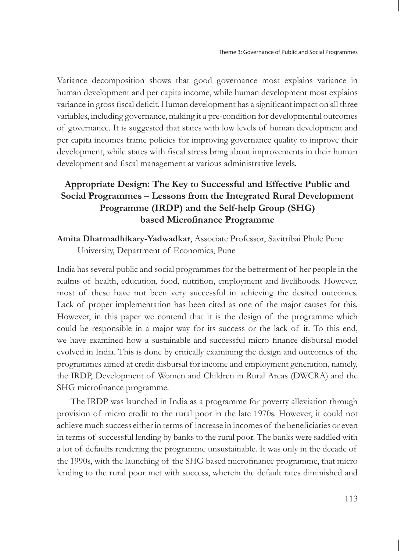Variance decomposition shows that good governance most explains variance in human development and per capita income, while human development most explains variance in gross fiscal deficit. Human development has a significant impact on all three variables, including governance, making it a pre-condition for developmental outcomes of governance. It is suggested that states with low levels of human development and per capita incomes frame policies for improving governance quality to improve their development, while states with fiscal stress bring about improvements in their human development and fiscal management at various administrative levels.

# **Appropriate Design: The Key to Successful and Effective Public and Social Programmes – Lessons from the Integrated Rural Development Programme (IRDP) and the Self-help Group (SHG) based Microfinance Programme**

**Amita Dharmadhikary-Yadwadkar**, Associate Professor, Savitribai Phule Pune University, Department of Economics, Pune

India has several public and social programmes for the betterment of her people in the realms of health, education, food, nutrition, employment and livelihoods. However, most of these have not been very successful in achieving the desired outcomes. Lack of proper implementation has been cited as one of the major causes for this. However, in this paper we contend that it is the design of the programme which could be responsible in a major way for its success or the lack of it. To this end, we have examined how a sustainable and successful micro finance disbursal model evolved in India. This is done by critically examining the design and outcomes of the programmes aimed at credit disbursal for income and employment generation, namely, the IRDP, Development of Women and Children in Rural Areas (DWCRA) and the SHG microfinance programme.

The IRDP was launched in India as a programme for poverty alleviation through provision of micro credit to the rural poor in the late 1970s. However, it could not achieve much success either in terms of increase in incomes of the beneficiaries or even in terms of successful lending by banks to the rural poor. The banks were saddled with a lot of defaults rendering the programme unsustainable. It was only in the decade of the 1990s, with the launching of the SHG based microfinance programme, that micro lending to the rural poor met with success, wherein the default rates diminished and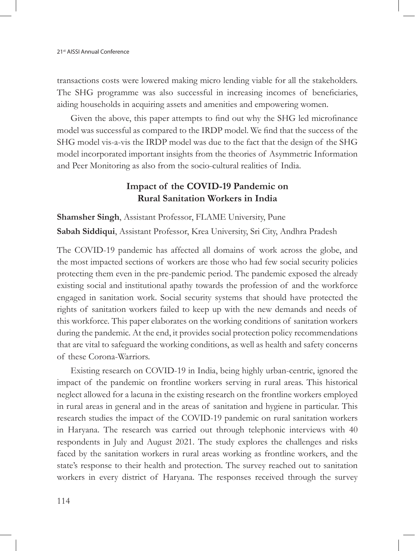transactions costs were lowered making micro lending viable for all the stakeholders. The SHG programme was also successful in increasing incomes of beneficiaries, aiding households in acquiring assets and amenities and empowering women.

Given the above, this paper attempts to find out why the SHG led microfinance model was successful as compared to the IRDP model. We find that the success of the SHG model vis-a-vis the IRDP model was due to the fact that the design of the SHG model incorporated important insights from the theories of Asymmetric Information and Peer Monitoring as also from the socio-cultural realities of India.

# **Impact of the COVID-19 Pandemic on Rural Sanitation Workers in India**

**Shamsher Singh**, Assistant Professor, FLAME University, Pune **Sabah Siddiqui**, Assistant Professor, Krea University, Sri City, Andhra Pradesh

The COVID-19 pandemic has affected all domains of work across the globe, and the most impacted sections of workers are those who had few social security policies protecting them even in the pre-pandemic period. The pandemic exposed the already existing social and institutional apathy towards the profession of and the workforce engaged in sanitation work. Social security systems that should have protected the rights of sanitation workers failed to keep up with the new demands and needs of this workforce. This paper elaborates on the working conditions of sanitation workers during the pandemic. At the end, it provides social protection policy recommendations that are vital to safeguard the working conditions, as well as health and safety concerns of these Corona-Warriors.

Existing research on COVID-19 in India, being highly urban-centric, ignored the impact of the pandemic on frontline workers serving in rural areas. This historical neglect allowed for a lacuna in the existing research on the frontline workers employed in rural areas in general and in the areas of sanitation and hygiene in particular. This research studies the impact of the COVID-19 pandemic on rural sanitation workers in Haryana. The research was carried out through telephonic interviews with 40 respondents in July and August 2021. The study explores the challenges and risks faced by the sanitation workers in rural areas working as frontline workers, and the state's response to their health and protection. The survey reached out to sanitation workers in every district of Haryana. The responses received through the survey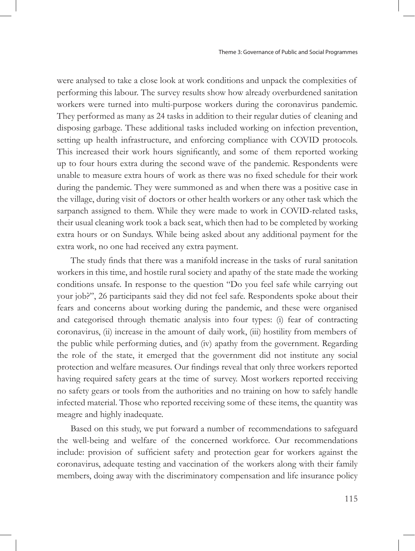were analysed to take a close look at work conditions and unpack the complexities of performing this labour. The survey results show how already overburdened sanitation workers were turned into multi-purpose workers during the coronavirus pandemic. They performed as many as 24 tasks in addition to their regular duties of cleaning and disposing garbage. These additional tasks included working on infection prevention, setting up health infrastructure, and enforcing compliance with COVID protocols. This increased their work hours significantly, and some of them reported working up to four hours extra during the second wave of the pandemic. Respondents were unable to measure extra hours of work as there was no fixed schedule for their work during the pandemic. They were summoned as and when there was a positive case in the village, during visit of doctors or other health workers or any other task which the sarpanch assigned to them. While they were made to work in COVID-related tasks, their usual cleaning work took a back seat, which then had to be completed by working extra hours or on Sundays. While being asked about any additional payment for the extra work, no one had received any extra payment.

The study finds that there was a manifold increase in the tasks of rural sanitation workers in this time, and hostile rural society and apathy of the state made the working conditions unsafe. In response to the question "Do you feel safe while carrying out your job?", 26 participants said they did not feel safe. Respondents spoke about their fears and concerns about working during the pandemic, and these were organised and categorised through thematic analysis into four types: (i) fear of contracting coronavirus, (ii) increase in the amount of daily work, (iii) hostility from members of the public while performing duties, and (iv) apathy from the government. Regarding the role of the state, it emerged that the government did not institute any social protection and welfare measures. Our findings reveal that only three workers reported having required safety gears at the time of survey. Most workers reported receiving no safety gears or tools from the authorities and no training on how to safely handle infected material. Those who reported receiving some of these items, the quantity was meagre and highly inadequate.

Based on this study, we put forward a number of recommendations to safeguard the well-being and welfare of the concerned workforce. Our recommendations include: provision of sufficient safety and protection gear for workers against the coronavirus, adequate testing and vaccination of the workers along with their family members, doing away with the discriminatory compensation and life insurance policy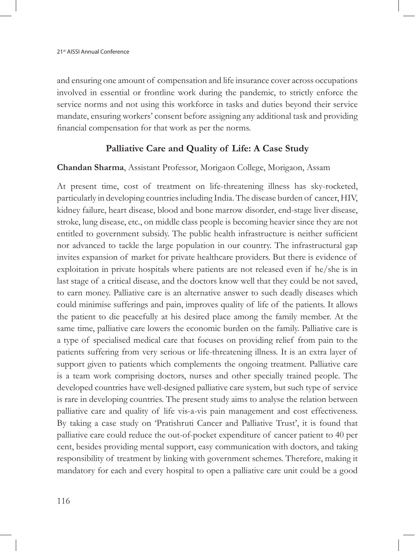and ensuring one amount of compensation and life insurance cover across occupations involved in essential or frontline work during the pandemic, to strictly enforce the service norms and not using this workforce in tasks and duties beyond their service mandate, ensuring workers' consent before assigning any additional task and providing financial compensation for that work as per the norms.

## **Palliative Care and Quality of Life: A Case Study**

#### **Chandan Sharma**, Assistant Professor, Morigaon College, Morigaon, Assam

At present time, cost of treatment on life-threatening illness has sky-rocketed, particularly in developing countries including India. The disease burden of cancer, HIV, kidney failure, heart disease, blood and bone marrow disorder, end-stage liver disease, stroke, lung disease, etc., on middle class people is becoming heavier since they are not entitled to government subsidy. The public health infrastructure is neither sufficient nor advanced to tackle the large population in our country. The infrastructural gap invites expansion of market for private healthcare providers. But there is evidence of exploitation in private hospitals where patients are not released even if he/she is in last stage of a critical disease, and the doctors know well that they could be not saved, to earn money. Palliative care is an alternative answer to such deadly diseases which could minimise sufferings and pain, improves quality of life of the patients. It allows the patient to die peacefully at his desired place among the family member. At the same time, palliative care lowers the economic burden on the family. Palliative care is a type of specialised medical care that focuses on providing relief from pain to the patients suffering from very serious or life-threatening illness. It is an extra layer of support given to patients which complements the ongoing treatment. Palliative care is a team work comprising doctors, nurses and other specially trained people. The developed countries have well-designed palliative care system, but such type of service is rare in developing countries. The present study aims to analyse the relation between palliative care and quality of life vis-a-vis pain management and cost effectiveness. By taking a case study on 'Pratishruti Cancer and Palliative Trust', it is found that palliative care could reduce the out-of-pocket expenditure of cancer patient to 40 per cent, besides providing mental support, easy communication with doctors, and taking responsibility of treatment by linking with government schemes. Therefore, making it mandatory for each and every hospital to open a palliative care unit could be a good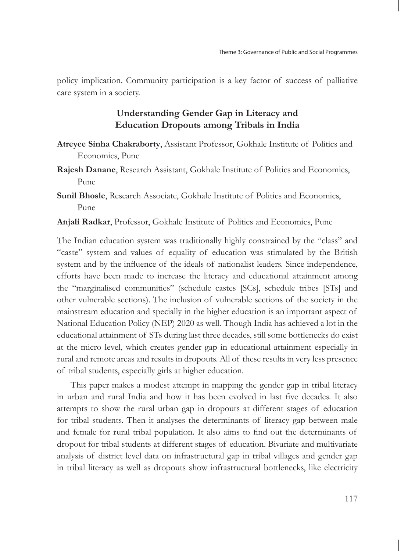policy implication. Community participation is a key factor of success of palliative care system in a society.

# **Understanding Gender Gap in Literacy and Education Dropouts among Tribals in India**

- **Atreyee Sinha Chakraborty**, Assistant Professor, Gokhale Institute of Politics and Economics, Pune
- **Rajesh Danane**, Research Assistant, Gokhale Institute of Politics and Economics, Pune
- **Sunil Bhosle**, Research Associate, Gokhale Institute of Politics and Economics, Pune
- **Anjali Radkar**, Professor, Gokhale Institute of Politics and Economics, Pune

The Indian education system was traditionally highly constrained by the "class" and "caste" system and values of equality of education was stimulated by the British system and by the influence of the ideals of nationalist leaders. Since independence, efforts have been made to increase the literacy and educational attainment among the "marginalised communities" (schedule castes [SCs], schedule tribes [STs] and other vulnerable sections). The inclusion of vulnerable sections of the society in the mainstream education and specially in the higher education is an important aspect of National Education Policy (NEP) 2020 as well. Though India has achieved a lot in the educational attainment of STs during last three decades, still some bottlenecks do exist at the micro level, which creates gender gap in educational attainment especially in rural and remote areas and results in dropouts. All of these results in very less presence of tribal students, especially girls at higher education.

This paper makes a modest attempt in mapping the gender gap in tribal literacy in urban and rural India and how it has been evolved in last five decades. It also attempts to show the rural urban gap in dropouts at different stages of education for tribal students. Then it analyses the determinants of literacy gap between male and female for rural tribal population. It also aims to find out the determinants of dropout for tribal students at different stages of education. Bivariate and multivariate analysis of district level data on infrastructural gap in tribal villages and gender gap in tribal literacy as well as dropouts show infrastructural bottlenecks, like electricity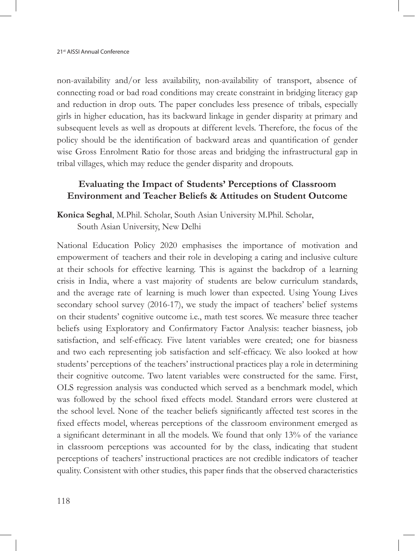non-availability and/or less availability, non-availability of transport, absence of connecting road or bad road conditions may create constraint in bridging literacy gap and reduction in drop outs. The paper concludes less presence of tribals, especially girls in higher education, has its backward linkage in gender disparity at primary and subsequent levels as well as dropouts at different levels. Therefore, the focus of the policy should be the identification of backward areas and quantification of gender wise Gross Enrolment Ratio for those areas and bridging the infrastructural gap in tribal villages, which may reduce the gender disparity and dropouts.

# **Evaluating the Impact of Students' Perceptions of Classroom Environment and Teacher Beliefs & Attitudes on Student Outcome**

**Konica Seghal**, M.Phil. Scholar, South Asian University M.Phil. Scholar, South Asian University, New Delhi

National Education Policy 2020 emphasises the importance of motivation and empowerment of teachers and their role in developing a caring and inclusive culture at their schools for effective learning. This is against the backdrop of a learning crisis in India, where a vast majority of students are below curriculum standards, and the average rate of learning is much lower than expected. Using Young Lives secondary school survey (2016-17), we study the impact of teachers' belief systems on their students' cognitive outcome i.e., math test scores. We measure three teacher beliefs using Exploratory and Confirmatory Factor Analysis: teacher biasness, job satisfaction, and self-efficacy. Five latent variables were created; one for biasness and two each representing job satisfaction and self-efficacy. We also looked at how students' perceptions of the teachers' instructional practices play a role in determining their cognitive outcome. Two latent variables were constructed for the same. First, OLS regression analysis was conducted which served as a benchmark model, which was followed by the school fixed effects model. Standard errors were clustered at the school level. None of the teacher beliefs significantly affected test scores in the fixed effects model, whereas perceptions of the classroom environment emerged as a significant determinant in all the models. We found that only 13% of the variance in classroom perceptions was accounted for by the class, indicating that student perceptions of teachers' instructional practices are not credible indicators of teacher quality. Consistent with other studies, this paper finds that the observed characteristics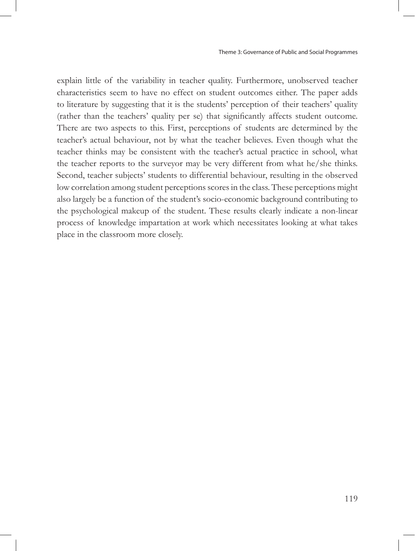explain little of the variability in teacher quality. Furthermore, unobserved teacher characteristics seem to have no effect on student outcomes either. The paper adds to literature by suggesting that it is the students' perception of their teachers' quality (rather than the teachers' quality per se) that significantly affects student outcome. There are two aspects to this. First, perceptions of students are determined by the teacher's actual behaviour, not by what the teacher believes. Even though what the teacher thinks may be consistent with the teacher's actual practice in school, what the teacher reports to the surveyor may be very different from what he/she thinks. Second, teacher subjects' students to differential behaviour, resulting in the observed low correlation among student perceptions scores in the class. These perceptions might also largely be a function of the student's socio-economic background contributing to the psychological makeup of the student. These results clearly indicate a non-linear process of knowledge impartation at work which necessitates looking at what takes place in the classroom more closely.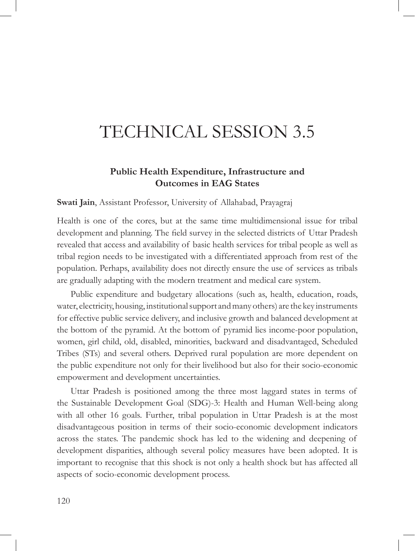# TECHNICAL SESSION 3.5

## **Public Health Expenditure, Infrastructure and Outcomes in EAG States**

**Swati Jain**, Assistant Professor, University of Allahabad, Prayagraj

Health is one of the cores, but at the same time multidimensional issue for tribal development and planning. The field survey in the selected districts of Uttar Pradesh revealed that access and availability of basic health services for tribal people as well as tribal region needs to be investigated with a differentiated approach from rest of the population. Perhaps, availability does not directly ensure the use of services as tribals are gradually adapting with the modern treatment and medical care system.

Public expenditure and budgetary allocations (such as, health, education, roads, water, electricity, housing, institutional support and many others) are the key instruments for effective public service delivery, and inclusive growth and balanced development at the bottom of the pyramid. At the bottom of pyramid lies income-poor population, women, girl child, old, disabled, minorities, backward and disadvantaged, Scheduled Tribes (STs) and several others. Deprived rural population are more dependent on the public expenditure not only for their livelihood but also for their socio-economic empowerment and development uncertainties.

Uttar Pradesh is positioned among the three most laggard states in terms of the Sustainable Development Goal (SDG)-3: Health and Human Well-being along with all other 16 goals. Further, tribal population in Uttar Pradesh is at the most disadvantageous position in terms of their socio-economic development indicators across the states. The pandemic shock has led to the widening and deepening of development disparities, although several policy measures have been adopted. It is important to recognise that this shock is not only a health shock but has affected all aspects of socio-economic development process.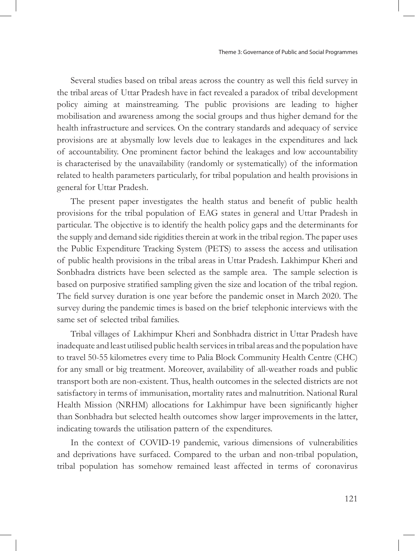Several studies based on tribal areas across the country as well this field survey in the tribal areas of Uttar Pradesh have in fact revealed a paradox of tribal development policy aiming at mainstreaming. The public provisions are leading to higher mobilisation and awareness among the social groups and thus higher demand for the health infrastructure and services. On the contrary standards and adequacy of service provisions are at abysmally low levels due to leakages in the expenditures and lack of accountability. One prominent factor behind the leakages and low accountability is characterised by the unavailability (randomly or systematically) of the information related to health parameters particularly, for tribal population and health provisions in general for Uttar Pradesh.

The present paper investigates the health status and benefit of public health provisions for the tribal population of EAG states in general and Uttar Pradesh in particular. The objective is to identify the health policy gaps and the determinants for the supply and demand side rigidities therein at work in the tribal region. The paper uses the Public Expenditure Tracking System (PETS) to assess the access and utilisation of public health provisions in the tribal areas in Uttar Pradesh. Lakhimpur Kheri and Sonbhadra districts have been selected as the sample area. The sample selection is based on purposive stratified sampling given the size and location of the tribal region. The field survey duration is one year before the pandemic onset in March 2020. The survey during the pandemic times is based on the brief telephonic interviews with the same set of selected tribal families.

Tribal villages of Lakhimpur Kheri and Sonbhadra district in Uttar Pradesh have inadequate and least utilised public health services in tribal areas and the population have to travel 50-55 kilometres every time to Palia Block Community Health Centre (CHC) for any small or big treatment. Moreover, availability of all-weather roads and public transport both are non-existent. Thus, health outcomes in the selected districts are not satisfactory in terms of immunisation, mortality rates and malnutrition. National Rural Health Mission (NRHM) allocations for Lakhimpur have been significantly higher than Sonbhadra but selected health outcomes show larger improvements in the latter, indicating towards the utilisation pattern of the expenditures.

In the context of COVID-19 pandemic, various dimensions of vulnerabilities and deprivations have surfaced. Compared to the urban and non-tribal population, tribal population has somehow remained least affected in terms of coronavirus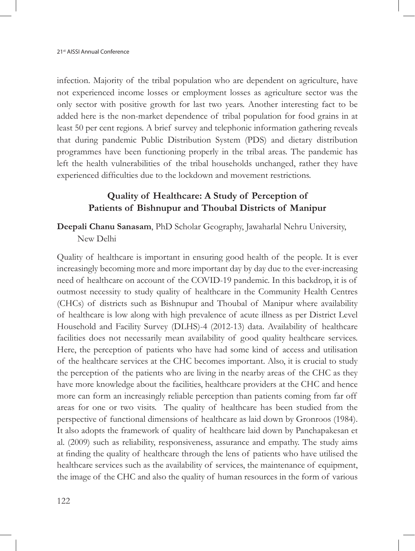infection. Majority of the tribal population who are dependent on agriculture, have not experienced income losses or employment losses as agriculture sector was the only sector with positive growth for last two years. Another interesting fact to be added here is the non-market dependence of tribal population for food grains in at least 50 per cent regions. A brief survey and telephonic information gathering reveals that during pandemic Public Distribution System (PDS) and dietary distribution programmes have been functioning properly in the tribal areas. The pandemic has left the health vulnerabilities of the tribal households unchanged, rather they have experienced difficulties due to the lockdown and movement restrictions.

## **Quality of Healthcare: A Study of Perception of Patients of Bishnupur and Thoubal Districts of Manipur**

**Deepali Chanu Sanasam**, PhD Scholar Geography, Jawaharlal Nehru University, New Delhi

Quality of healthcare is important in ensuring good health of the people. It is ever increasingly becoming more and more important day by day due to the ever-increasing need of healthcare on account of the COVID-19 pandemic. In this backdrop, it is of outmost necessity to study quality of healthcare in the Community Health Centres (CHCs) of districts such as Bishnupur and Thoubal of Manipur where availability of healthcare is low along with high prevalence of acute illness as per District Level Household and Facility Survey (DLHS)-4 (2012-13) data. Availability of healthcare facilities does not necessarily mean availability of good quality healthcare services. Here, the perception of patients who have had some kind of access and utilisation of the healthcare services at the CHC becomes important. Also, it is crucial to study the perception of the patients who are living in the nearby areas of the CHC as they have more knowledge about the facilities, healthcare providers at the CHC and hence more can form an increasingly reliable perception than patients coming from far off areas for one or two visits. The quality of healthcare has been studied from the perspective of functional dimensions of healthcare as laid down by Gronroos (1984). It also adopts the framework of quality of healthcare laid down by Panchapakesan et al. (2009) such as reliability, responsiveness, assurance and empathy. The study aims at finding the quality of healthcare through the lens of patients who have utilised the healthcare services such as the availability of services, the maintenance of equipment, the image of the CHC and also the quality of human resources in the form of various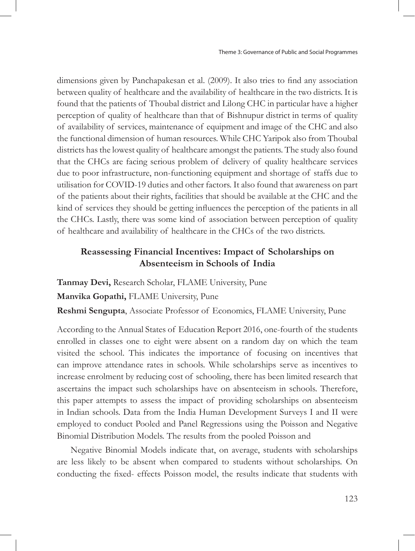dimensions given by Panchapakesan et al. (2009). It also tries to find any association between quality of healthcare and the availability of healthcare in the two districts. It is found that the patients of Thoubal district and Lilong CHC in particular have a higher perception of quality of healthcare than that of Bishnupur district in terms of quality of availability of services, maintenance of equipment and image of the CHC and also the functional dimension of human resources. While CHC Yaripok also from Thoubal districts has the lowest quality of healthcare amongst the patients. The study also found that the CHCs are facing serious problem of delivery of quality healthcare services due to poor infrastructure, non-functioning equipment and shortage of staffs due to utilisation for COVID-19 duties and other factors. It also found that awareness on part of the patients about their rights, facilities that should be available at the CHC and the kind of services they should be getting influences the perception of the patients in all the CHCs. Lastly, there was some kind of association between perception of quality of healthcare and availability of healthcare in the CHCs of the two districts.

## **Reassessing Financial Incentives: Impact of Scholarships on Absenteeism in Schools of India**

**Tanmay Devi,** Research Scholar, FLAME University, Pune

**Manvika Gopathi,** FLAME University, Pune

**Reshmi Sengupta**, Associate Professor of Economics, FLAME University, Pune

According to the Annual States of Education Report 2016, one-fourth of the students enrolled in classes one to eight were absent on a random day on which the team visited the school. This indicates the importance of focusing on incentives that can improve attendance rates in schools. While scholarships serve as incentives to increase enrolment by reducing cost of schooling, there has been limited research that ascertains the impact such scholarships have on absenteeism in schools. Therefore, this paper attempts to assess the impact of providing scholarships on absenteeism in Indian schools. Data from the India Human Development Surveys I and II were employed to conduct Pooled and Panel Regressions using the Poisson and Negative Binomial Distribution Models. The results from the pooled Poisson and

Negative Binomial Models indicate that, on average, students with scholarships are less likely to be absent when compared to students without scholarships. On conducting the fixed- effects Poisson model, the results indicate that students with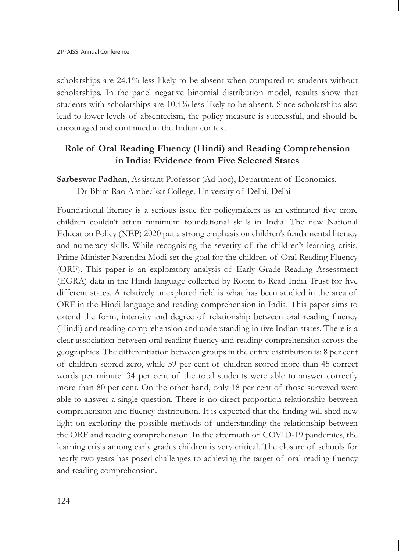scholarships are 24.1% less likely to be absent when compared to students without scholarships. In the panel negative binomial distribution model, results show that students with scholarships are 10.4% less likely to be absent. Since scholarships also lead to lower levels of absenteeism, the policy measure is successful, and should be encouraged and continued in the Indian context

## **Role of Oral Reading Fluency (Hindi) and Reading Comprehension in India: Evidence from Five Selected States**

**Sarbeswar Padhan**, Assistant Professor (Ad-hoc), Department of Economics, Dr Bhim Rao Ambedkar College, University of Delhi, Delhi

Foundational literacy is a serious issue for policymakers as an estimated five crore children couldn't attain minimum foundational skills in India. The new National Education Policy (NEP) 2020 put a strong emphasis on children's fundamental literacy and numeracy skills. While recognising the severity of the children's learning crisis, Prime Minister Narendra Modi set the goal for the children of Oral Reading Fluency (ORF). This paper is an exploratory analysis of Early Grade Reading Assessment (EGRA) data in the Hindi language collected by Room to Read India Trust for five different states. A relatively unexplored field is what has been studied in the area of ORF in the Hindi language and reading comprehension in India. This paper aims to extend the form, intensity and degree of relationship between oral reading fluency (Hindi) and reading comprehension and understanding in five Indian states. There is a clear association between oral reading fluency and reading comprehension across the geographies. The differentiation between groups in the entire distribution is: 8 per cent of children scored zero, while 39 per cent of children scored more than 45 correct words per minute. 34 per cent of the total students were able to answer correctly more than 80 per cent. On the other hand, only 18 per cent of those surveyed were able to answer a single question. There is no direct proportion relationship between comprehension and fluency distribution. It is expected that the finding will shed new light on exploring the possible methods of understanding the relationship between the ORF and reading comprehension. In the aftermath of COVID-19 pandemics, the learning crisis among early grades children is very critical. The closure of schools for nearly two years has posed challenges to achieving the target of oral reading fluency and reading comprehension.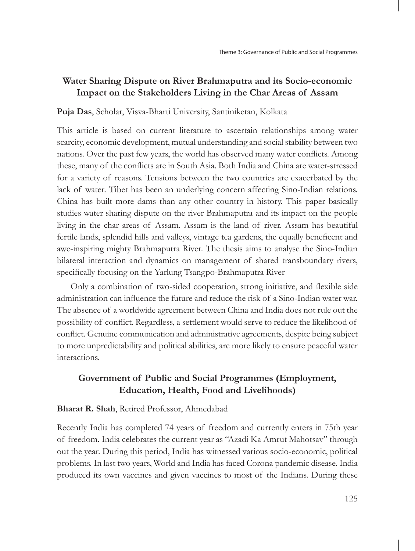## **Water Sharing Dispute on River Brahmaputra and its Socio-economic Impact on the Stakeholders Living in the Char Areas of Assam**

#### **Puja Das**, Scholar, Visva-Bharti University, Santiniketan, Kolkata

This article is based on current literature to ascertain relationships among water scarcity, economic development, mutual understanding and social stability between two nations. Over the past few years, the world has observed many water conflicts. Among these, many of the conflicts are in South Asia. Both India and China are water-stressed for a variety of reasons. Tensions between the two countries are exacerbated by the lack of water. Tibet has been an underlying concern affecting Sino-Indian relations. China has built more dams than any other country in history. This paper basically studies water sharing dispute on the river Brahmaputra and its impact on the people living in the char areas of Assam. Assam is the land of river. Assam has beautiful fertile lands, splendid hills and valleys, vintage tea gardens, the equally beneficent and awe-inspiring mighty Brahmaputra River. The thesis aims to analyse the Sino-Indian bilateral interaction and dynamics on management of shared transboundary rivers, specifically focusing on the Yarlung Tsangpo-Brahmaputra River

Only a combination of two-sided cooperation, strong initiative, and flexible side administration can influence the future and reduce the risk of a Sino-Indian water war. The absence of a worldwide agreement between China and India does not rule out the possibility of conflict. Regardless, a settlement would serve to reduce the likelihood of conflict. Genuine communication and administrative agreements, despite being subject to more unpredictability and political abilities, are more likely to ensure peaceful water interactions.

## **Government of Public and Social Programmes (Employment, Education, Health, Food and Livelihoods)**

#### **Bharat R. Shah**, Retired Professor, Ahmedabad

Recently India has completed 74 years of freedom and currently enters in 75th year of freedom. India celebrates the current year as "Azadi Ka Amrut Mahotsav" through out the year. During this period, India has witnessed various socio-economic, political problems. In last two years, World and India has faced Corona pandemic disease. India produced its own vaccines and given vaccines to most of the Indians. During these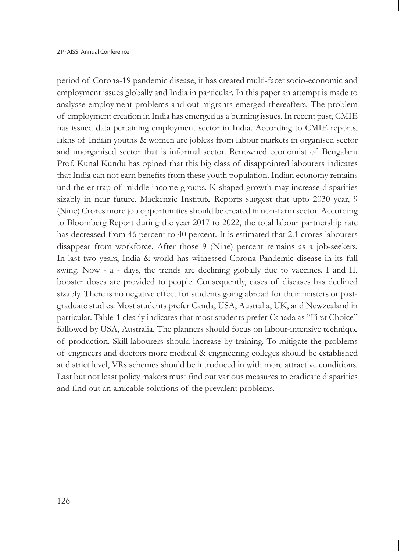period of Corona-19 pandemic disease, it has created multi-facet socio-economic and employment issues globally and India in particular. In this paper an attempt is made to analysse employment problems and out-migrants emerged thereafters. The problem of employment creation in India has emerged as a burning issues. In recent past, CMIE has issued data pertaining employment sector in India. According to CMIE reports, lakhs of Indian youths & women are jobless from labour markets in organised sector and unorganised sector that is informal sector. Renowned economist of Bengalaru Prof. Kunal Kundu has opined that this big class of disappointed labourers indicates that India can not earn benefits from these youth population. Indian economy remains und the er trap of middle income groups. K-shaped growth may increase disparities sizably in near future. Mackenzie Institute Reports suggest that upto 2030 year, 9 (Nine) Crores more job opportunities should be created in non-farm sector. According to Bloomberg Report during the year 2017 to 2022, the total labour partnership rate has decreased from 46 percent to 40 percent. It is estimated that 2.1 crores labourers disappear from workforce. After those 9 (Nine) percent remains as a job-seekers. In last two years, India & world has witnessed Corona Pandemic disease in its full swing. Now - a - days, the trends are declining globally due to vaccines. I and II, booster doses are provided to people. Consequently, cases of diseases has declined sizably. There is no negative effect for students going abroad for their masters or pastgraduate studies. Most students prefer Canda, USA, Australia, UK, and Newzealand in particular. Table-1 clearly indicates that most students prefer Canada as "First Choice" followed by USA, Australia. The planners should focus on labour-intensive technique of production. Skill labourers should increase by training. To mitigate the problems of engineers and doctors more medical & engineering colleges should be established at district level, VRs schemes should be introduced in with more attractive conditions. Last but not least policy makers must find out various measures to eradicate disparities and find out an amicable solutions of the prevalent problems.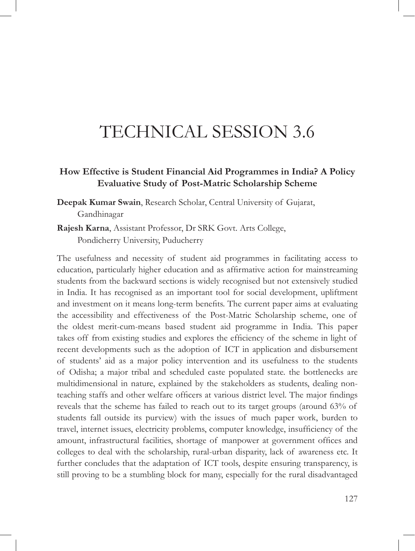# TECHNICAL SESSION 3.6

## **How Effective is Student Financial Aid Programmes in India? A Policy Evaluative Study of Post-Matric Scholarship Scheme**

**Deepak Kumar Swain**, Research Scholar, Central University of Gujarat, Gandhinagar

**Rajesh Karna**, Assistant Professor, Dr SRK Govt. Arts College, Pondicherry University, Puducherry

The usefulness and necessity of student aid programmes in facilitating access to education, particularly higher education and as affirmative action for mainstreaming students from the backward sections is widely recognised but not extensively studied in India. It has recognised as an important tool for social development, upliftment and investment on it means long-term benefits. The current paper aims at evaluating the accessibility and effectiveness of the Post-Matric Scholarship scheme, one of the oldest merit-cum-means based student aid programme in India. This paper takes off from existing studies and explores the efficiency of the scheme in light of recent developments such as the adoption of ICT in application and disbursement of students' aid as a major policy intervention and its usefulness to the students of Odisha; a major tribal and scheduled caste populated state. the bottlenecks are multidimensional in nature, explained by the stakeholders as students, dealing nonteaching staffs and other welfare officers at various district level. The major findings reveals that the scheme has failed to reach out to its target groups (around 63% of students fall outside its purview) with the issues of much paper work, burden to travel, internet issues, electricity problems, computer knowledge, insufficiency of the amount, infrastructural facilities, shortage of manpower at government offices and colleges to deal with the scholarship, rural-urban disparity, lack of awareness etc. It further concludes that the adaptation of ICT tools, despite ensuring transparency, is still proving to be a stumbling block for many, especially for the rural disadvantaged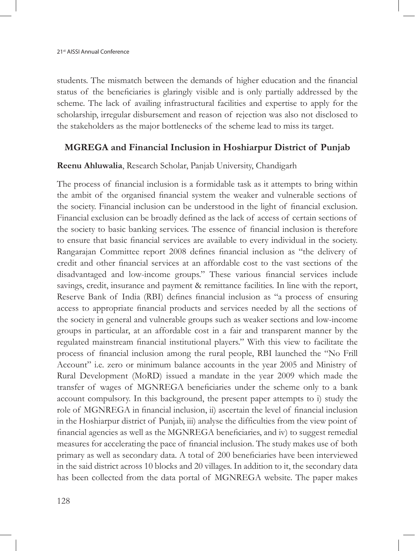students. The mismatch between the demands of higher education and the financial status of the beneficiaries is glaringly visible and is only partially addressed by the scheme. The lack of availing infrastructural facilities and expertise to apply for the scholarship, irregular disbursement and reason of rejection was also not disclosed to the stakeholders as the major bottlenecks of the scheme lead to miss its target.

## **MGREGA and Financial Inclusion in Hoshiarpur District of Punjab**

#### **Reenu Ahluwalia**, Research Scholar, Panjab University, Chandigarh

The process of financial inclusion is a formidable task as it attempts to bring within the ambit of the organised financial system the weaker and vulnerable sections of the society. Financial inclusion can be understood in the light of financial exclusion. Financial exclusion can be broadly defined as the lack of access of certain sections of the society to basic banking services. The essence of financial inclusion is therefore to ensure that basic financial services are available to every individual in the society. Rangarajan Committee report 2008 defines financial inclusion as "the delivery of credit and other financial services at an affordable cost to the vast sections of the disadvantaged and low-income groups." These various financial services include savings, credit, insurance and payment & remittance facilities. In line with the report, Reserve Bank of India (RBI) defines financial inclusion as "a process of ensuring access to appropriate financial products and services needed by all the sections of the society in general and vulnerable groups such as weaker sections and low-income groups in particular, at an affordable cost in a fair and transparent manner by the regulated mainstream financial institutional players." With this view to facilitate the process of financial inclusion among the rural people, RBI launched the "No Frill Account" i.e. zero or minimum balance accounts in the year 2005 and Ministry of Rural Development (MoRD) issued a mandate in the year 2009 which made the transfer of wages of MGNREGA beneficiaries under the scheme only to a bank account compulsory. In this background, the present paper attempts to i) study the role of MGNREGA in financial inclusion, ii) ascertain the level of financial inclusion in the Hoshiarpur district of Punjab, iii) analyse the difficulties from the view point of financial agencies as well as the MGNREGA beneficiaries, and iv) to suggest remedial measures for accelerating the pace of financial inclusion. The study makes use of both primary as well as secondary data. A total of 200 beneficiaries have been interviewed in the said district across 10 blocks and 20 villages. In addition to it, the secondary data has been collected from the data portal of MGNREGA website. The paper makes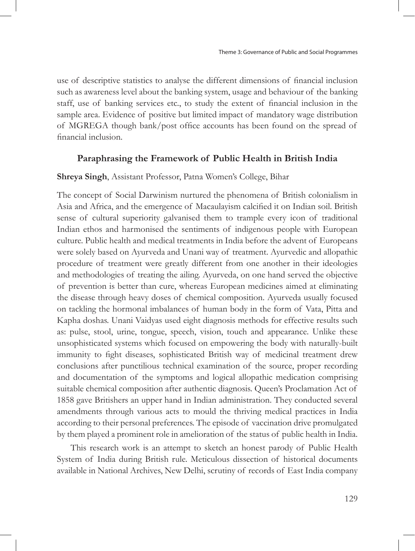use of descriptive statistics to analyse the different dimensions of financial inclusion such as awareness level about the banking system, usage and behaviour of the banking staff, use of banking services etc., to study the extent of financial inclusion in the sample area. Evidence of positive but limited impact of mandatory wage distribution of MGREGA though bank/post office accounts has been found on the spread of financial inclusion.

### **Paraphrasing the Framework of Public Health in British India**

#### **Shreya Singh**, Assistant Professor, Patna Women's College, Bihar

The concept of Social Darwinism nurtured the phenomena of British colonialism in Asia and Africa, and the emergence of Macaulayism calcified it on Indian soil. British sense of cultural superiority galvanised them to trample every icon of traditional Indian ethos and harmonised the sentiments of indigenous people with European culture. Public health and medical treatments in India before the advent of Europeans were solely based on Ayurveda and Unani way of treatment. Ayurvedic and allopathic procedure of treatment were greatly different from one another in their ideologies and methodologies of treating the ailing. Ayurveda, on one hand served the objective of prevention is better than cure, whereas European medicines aimed at eliminating the disease through heavy doses of chemical composition. Ayurveda usually focused on tackling the hormonal imbalances of human body in the form of Vata, Pitta and Kapha doshas. Unani Vaidyas used eight diagnosis methods for effective results such as: pulse, stool, urine, tongue, speech, vision, touch and appearance. Unlike these unsophisticated systems which focused on empowering the body with naturally-built immunity to fight diseases, sophisticated British way of medicinal treatment drew conclusions after punctilious technical examination of the source, proper recording and documentation of the symptoms and logical allopathic medication comprising suitable chemical composition after authentic diagnosis. Queen's Proclamation Act of 1858 gave Britishers an upper hand in Indian administration. They conducted several amendments through various acts to mould the thriving medical practices in India according to their personal preferences. The episode of vaccination drive promulgated by them played a prominent role in amelioration of the status of public health in India.

This research work is an attempt to sketch an honest parody of Public Health System of India during British rule. Meticulous dissection of historical documents available in National Archives, New Delhi, scrutiny of records of East India company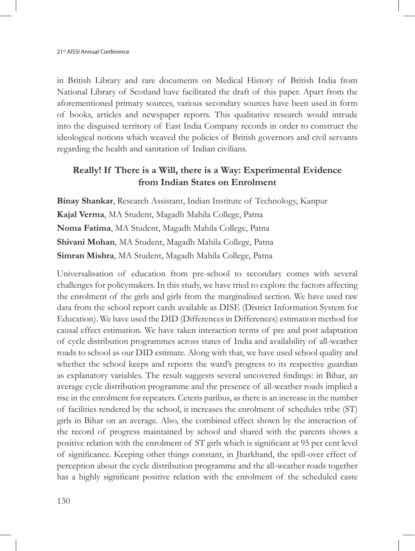in British Library and rare documents on Medical History of British India from National Library of Scotland have facilitated the draft of this paper. Apart from the aforementioned primary sources, various secondary sources have been used in form of books, articles and newspaper reports. This qualitative research would intrude into the disguised territory of East India Company records in order to construct the ideological notions which weaved the policies of British governors and civil servants regarding the health and sanitation of Indian civilians.

## **Really! If There is a Will, there is a Way: Experimental Evidence from Indian States on Enrolment**

**Binay Shankar**, Research Assistant, Indian Institute of Technology, Kanpur **Kajal Verma**, MA Student, Magadh Mahila College, Patna **Noma Fatima**, MA Student, Magadh Mahila College, Patna **Shivani Mohan**, MA Student, Magadh Mahila College, Patna **Simran Mishra**, MA Student, Magadh Mahila College, Patna

Universalisation of education from pre-school to secondary comes with several challenges for policymakers. In this study, we have tried to explore the factors affecting the enrolment of the girls and girls from the marginalised section. We have used raw data from the school report cards available as DISE (District Information System for Education). We have used the DID (Differences in Differences) estimation method for causal effect estimation. We have taken interaction terms of pre and post adaptation of cycle distribution programmes across states of India and availability of all-weather roads to school as our DID estimate. Along with that, we have used school quality and whether the school keeps and reports the ward's progress to its respective guardian as explanatory variables. The result suggests several uncovered findings: in Bihar, an average cycle distribution programme and the presence of all-weather roads implied a rise in the enrolment for repeaters. Ceteris paribus, as there is an increase in the number of facilities rendered by the school, it increases the enrolment of schedules tribe (ST) girls in Bihar on an average. Also, the combined effect shown by the interaction of the record of progress maintained by school and shared with the parents shows a positive relation with the enrolment of ST girls which is significant at 95 per cent level of significance. Keeping other things constant, in Jharkhand, the spill-over effect of perception about the cycle distribution programme and the all-weather roads together has a highly significant positive relation with the enrolment of the scheduled caste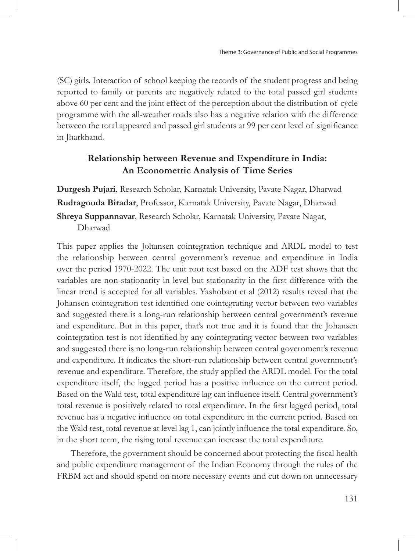(SC) girls. Interaction of school keeping the records of the student progress and being reported to family or parents are negatively related to the total passed girl students above 60 per cent and the joint effect of the perception about the distribution of cycle programme with the all-weather roads also has a negative relation with the difference between the total appeared and passed girl students at 99 per cent level of significance in Jharkhand.

## **Relationship between Revenue and Expenditure in India: An Econometric Analysis of Time Series**

**Durgesh Pujari**, Research Scholar, Karnatak University, Pavate Nagar, Dharwad **Rudragouda Biradar**, Professor, Karnatak University, Pavate Nagar, Dharwad **Shreya Suppannavar**, Research Scholar, Karnatak University, Pavate Nagar, Dharwad

This paper applies the Johansen cointegration technique and ARDL model to test the relationship between central government's revenue and expenditure in India over the period 1970-2022. The unit root test based on the ADF test shows that the variables are non-stationarity in level but stationarity in the first difference with the linear trend is accepted for all variables. Yashobant et al (2012) results reveal that the Johansen cointegration test identified one cointegrating vector between two variables and suggested there is a long-run relationship between central government's revenue and expenditure. But in this paper, that's not true and it is found that the Johansen cointegration test is not identified by any cointegrating vector between two variables and suggested there is no long-run relationship between central government's revenue and expenditure. It indicates the short-run relationship between central government's revenue and expenditure. Therefore, the study applied the ARDL model. For the total expenditure itself, the lagged period has a positive influence on the current period. Based on the Wald test, total expenditure lag can influence itself. Central government's total revenue is positively related to total expenditure. In the first lagged period, total revenue has a negative influence on total expenditure in the current period. Based on the Wald test, total revenue at level lag 1, can jointly influence the total expenditure. So, in the short term, the rising total revenue can increase the total expenditure.

Therefore, the government should be concerned about protecting the fiscal health and public expenditure management of the Indian Economy through the rules of the FRBM act and should spend on more necessary events and cut down on unnecessary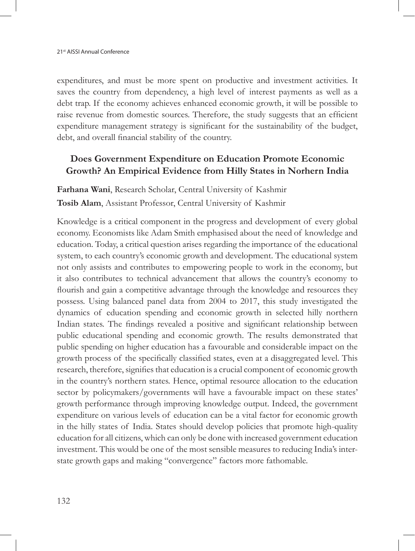expenditures, and must be more spent on productive and investment activities. It saves the country from dependency, a high level of interest payments as well as a debt trap. If the economy achieves enhanced economic growth, it will be possible to raise revenue from domestic sources. Therefore, the study suggests that an efficient expenditure management strategy is significant for the sustainability of the budget, debt, and overall financial stability of the country.

# **Does Government Expenditure on Education Promote Economic Growth? An Empirical Evidence from Hilly States in Norhern India**

**Farhana Wani**, Research Scholar, Central University of Kashmir **Tosib Alam**, Assistant Professor, Central University of Kashmir

Knowledge is a critical component in the progress and development of every global economy. Economists like Adam Smith emphasised about the need of knowledge and education. Today, a critical question arises regarding the importance of the educational system, to each country's economic growth and development. The educational system not only assists and contributes to empowering people to work in the economy, but it also contributes to technical advancement that allows the country's economy to flourish and gain a competitive advantage through the knowledge and resources they possess. Using balanced panel data from 2004 to 2017, this study investigated the dynamics of education spending and economic growth in selected hilly northern Indian states. The findings revealed a positive and significant relationship between public educational spending and economic growth. The results demonstrated that public spending on higher education has a favourable and considerable impact on the growth process of the specifically classified states, even at a disaggregated level. This research, therefore, signifies that education is a crucial component of economic growth in the country's northern states. Hence, optimal resource allocation to the education sector by policymakers/governments will have a favourable impact on these states' growth performance through improving knowledge output. Indeed, the government expenditure on various levels of education can be a vital factor for economic growth in the hilly states of India. States should develop policies that promote high-quality education for all citizens, which can only be done with increased government education investment. This would be one of the most sensible measures to reducing India's interstate growth gaps and making "convergence" factors more fathomable.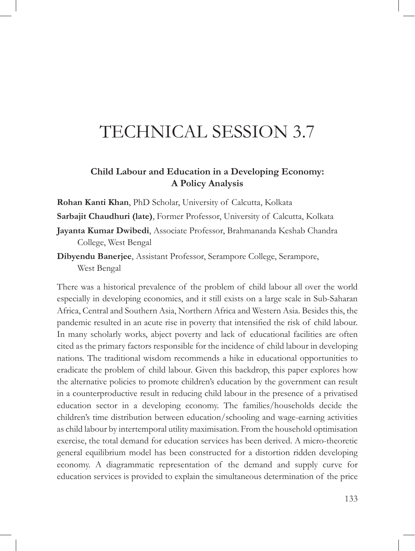# TECHNICAL SESSION 3.7

## **Child Labour and Education in a Developing Economy: A Policy Analysis**

**Rohan Kanti Khan**, PhD Scholar, University of Calcutta, Kolkata

**Sarbajit Chaudhuri (late)**, Former Professor, University of Calcutta, Kolkata

**Jayanta Kumar Dwibedi**, Associate Professor, Brahmananda Keshab Chandra College, West Bengal

**Dibyendu Banerjee**, Assistant Professor, Serampore College, Serampore, West Bengal

There was a historical prevalence of the problem of child labour all over the world especially in developing economies, and it still exists on a large scale in Sub-Saharan Africa, Central and Southern Asia, Northern Africa and Western Asia. Besides this, the pandemic resulted in an acute rise in poverty that intensified the risk of child labour. In many scholarly works, abject poverty and lack of educational facilities are often cited as the primary factors responsible for the incidence of child labour in developing nations. The traditional wisdom recommends a hike in educational opportunities to eradicate the problem of child labour. Given this backdrop, this paper explores how the alternative policies to promote children's education by the government can result in a counterproductive result in reducing child labour in the presence of a privatised education sector in a developing economy. The families/households decide the children's time distribution between education/schooling and wage-earning activities as child labour by intertemporal utility maximisation. From the household optimisation exercise, the total demand for education services has been derived. A micro-theoretic general equilibrium model has been constructed for a distortion ridden developing economy. A diagrammatic representation of the demand and supply curve for education services is provided to explain the simultaneous determination of the price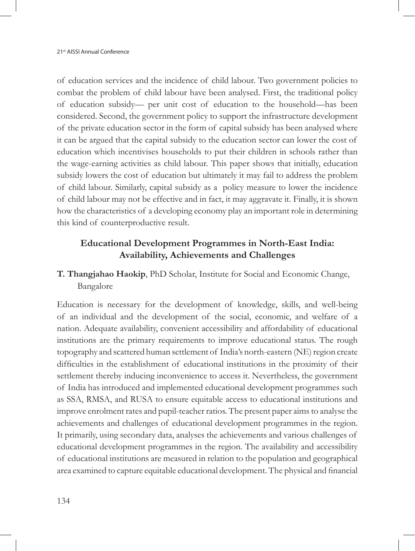of education services and the incidence of child labour. Two government policies to combat the problem of child labour have been analysed. First, the traditional policy of education subsidy— per unit cost of education to the household—has been considered. Second, the government policy to support the infrastructure development of the private education sector in the form of capital subsidy has been analysed where it can be argued that the capital subsidy to the education sector can lower the cost of education which incentivises households to put their children in schools rather than the wage-earning activities as child labour. This paper shows that initially, education subsidy lowers the cost of education but ultimately it may fail to address the problem of child labour. Similarly, capital subsidy as a policy measure to lower the incidence of child labour may not be effective and in fact, it may aggravate it. Finally, it is shown how the characteristics of a developing economy play an important role in determining this kind of counterproductive result.

## **Educational Development Programmes in North-East India: Availability, Achievements and Challenges**

## **T. Thangjahao Haokip**, PhD Scholar, Institute for Social and Economic Change, Bangalore

Education is necessary for the development of knowledge, skills, and well-being of an individual and the development of the social, economic, and welfare of a nation. Adequate availability, convenient accessibility and affordability of educational institutions are the primary requirements to improve educational status. The rough topography and scattered human settlement of India's north-eastern (NE) region create difficulties in the establishment of educational institutions in the proximity of their settlement thereby inducing inconvenience to access it. Nevertheless, the government of India has introduced and implemented educational development programmes such as SSA, RMSA, and RUSA to ensure equitable access to educational institutions and improve enrolment rates and pupil-teacher ratios. The present paper aims to analyse the achievements and challenges of educational development programmes in the region. It primarily, using secondary data, analyses the achievements and various challenges of educational development programmes in the region. The availability and accessibility of educational institutions are measured in relation to the population and geographical area examined to capture equitable educational development. The physical and financial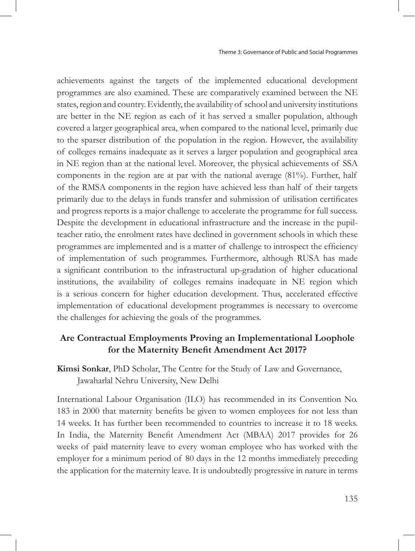achievements against the targets of the implemented educational development programmes are also examined. These are comparatively examined between the NE states, region and country. Evidently, the availability of school and university institutions are better in the NE region as each of it has served a smaller population, although covered a larger geographical area, when compared to the national level, primarily due to the sparser distribution of the population in the region. However, the availability of colleges remains inadequate as it serves a larger population and geographical area in NE region than at the national level. Moreover, the physical achievements of SSA components in the region are at par with the national average (81%). Further, half of the RMSA components in the region have achieved less than half of their targets primarily due to the delays in funds transfer and submission of utilisation certificates and progress reports is a major challenge to accelerate the programme for full success. Despite the development in educational infrastructure and the increase in the pupilteacher ratio, the enrolment rates have declined in government schools in which these programmes are implemented and is a matter of challenge to introspect the efficiency of implementation of such programmes. Furthermore, although RUSA has made a significant contribution to the infrastructural up-gradation of higher educational institutions, the availability of colleges remains inadequate in NE region which is a serious concern for higher education development. Thus, accelerated effective implementation of educational development programmes is necessary to overcome the challenges for achieving the goals of the programmes.

## **Are Contractual Employments Proving an Implementational Loophole for the Maternity Benefit Amendment Act 2017?**

**Kimsi Sonkar**, PhD Scholar, The Centre for the Study of Law and Governance, Jawaharlal Nehru University, New Delhi

International Labour Organisation (ILO) has recommended in its Convention No. 183 in 2000 that maternity benefits be given to women employees for not less than 14 weeks. It has further been recommended to countries to increase it to 18 weeks. In India, the Maternity Benefit Amendment Act (MBAA) 2017 provides for 26 weeks of paid maternity leave to every woman employee who has worked with the employer for a minimum period of 80 days in the 12 months immediately preceding the application for the maternity leave. It is undoubtedly progressive in nature in terms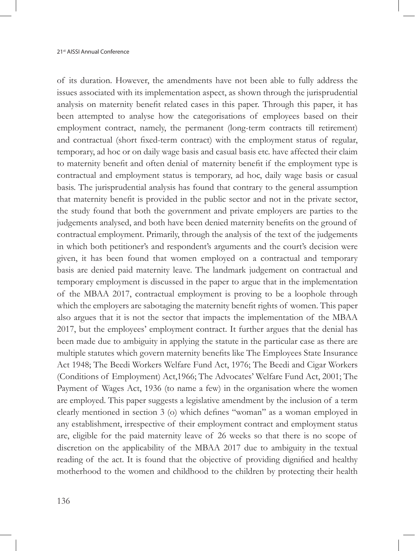of its duration. However, the amendments have not been able to fully address the issues associated with its implementation aspect, as shown through the jurisprudential analysis on maternity benefit related cases in this paper. Through this paper, it has been attempted to analyse how the categorisations of employees based on their employment contract, namely, the permanent (long-term contracts till retirement) and contractual (short fixed-term contract) with the employment status of regular, temporary, ad hoc or on daily wage basis and casual basis etc. have affected their claim to maternity benefit and often denial of maternity benefit if the employment type is contractual and employment status is temporary, ad hoc, daily wage basis or casual basis. The jurisprudential analysis has found that contrary to the general assumption that maternity benefit is provided in the public sector and not in the private sector, the study found that both the government and private employers are parties to the judgements analysed, and both have been denied maternity benefits on the ground of contractual employment. Primarily, through the analysis of the text of the judgements in which both petitioner's and respondent's arguments and the court's decision were given, it has been found that women employed on a contractual and temporary basis are denied paid maternity leave. The landmark judgement on contractual and temporary employment is discussed in the paper to argue that in the implementation of the MBAA 2017, contractual employment is proving to be a loophole through which the employers are sabotaging the maternity benefit rights of women. This paper also argues that it is not the sector that impacts the implementation of the MBAA 2017, but the employees' employment contract. It further argues that the denial has been made due to ambiguity in applying the statute in the particular case as there are multiple statutes which govern maternity benefits like The Employees State Insurance Act 1948; The Beedi Workers Welfare Fund Act, 1976; The Beedi and Cigar Workers (Conditions of Employment) Act,1966; The Advocates' Welfare Fund Act, 2001; The Payment of Wages Act, 1936 (to name a few) in the organisation where the women are employed. This paper suggests a legislative amendment by the inclusion of a term clearly mentioned in section 3 (o) which defines "woman" as a woman employed in any establishment, irrespective of their employment contract and employment status are, eligible for the paid maternity leave of 26 weeks so that there is no scope of discretion on the applicability of the MBAA 2017 due to ambiguity in the textual reading of the act. It is found that the objective of providing dignified and healthy motherhood to the women and childhood to the children by protecting their health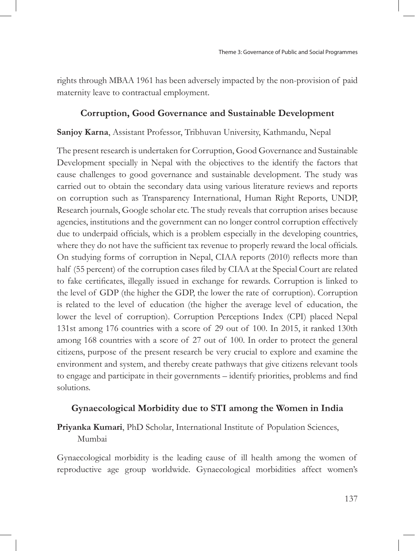rights through MBAA 1961 has been adversely impacted by the non-provision of paid maternity leave to contractual employment.

### **Corruption, Good Governance and Sustainable Development**

#### **Sanjoy Karna**, Assistant Professor, Tribhuvan University, Kathmandu, Nepal

The present research is undertaken for Corruption, Good Governance and Sustainable Development specially in Nepal with the objectives to the identify the factors that cause challenges to good governance and sustainable development. The study was carried out to obtain the secondary data using various literature reviews and reports on corruption such as Transparency International, Human Right Reports, UNDP, Research journals, Google scholar etc. The study reveals that corruption arises because agencies, institutions and the government can no longer control corruption effectively due to underpaid officials, which is a problem especially in the developing countries, where they do not have the sufficient tax revenue to properly reward the local officials. On studying forms of corruption in Nepal, CIAA reports (2010) reflects more than half (55 percent) of the corruption cases filed by CIAA at the Special Court are related to fake certificates, illegally issued in exchange for rewards. Corruption is linked to the level of GDP (the higher the GDP, the lower the rate of corruption). Corruption is related to the level of education (the higher the average level of education, the lower the level of corruption). Corruption Perceptions Index (CPI) placed Nepal 131st among 176 countries with a score of 29 out of 100. In 2015, it ranked 130th among 168 countries with a score of 27 out of 100. In order to protect the general citizens, purpose of the present research be very crucial to explore and examine the environment and system, and thereby create pathways that give citizens relevant tools to engage and participate in their governments – identify priorities, problems and find solutions.

### **Gynaecological Morbidity due to STI among the Women in India**

## **Priyanka Kumari**, PhD Scholar, International Institute of Population Sciences, Mumbai

Gynaecological morbidity is the leading cause of ill health among the women of reproductive age group worldwide. Gynaecological morbidities affect women's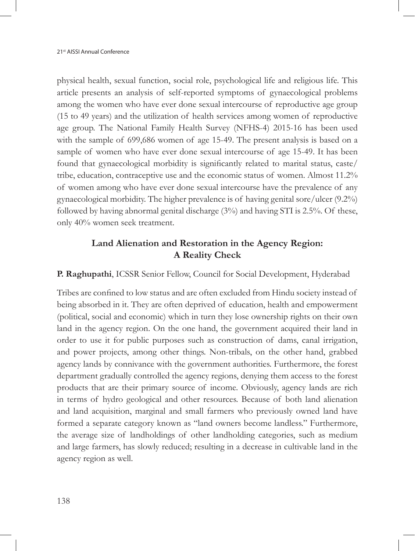physical health, sexual function, social role, psychological life and religious life. This article presents an analysis of self-reported symptoms of gynaecological problems among the women who have ever done sexual intercourse of reproductive age group (15 to 49 years) and the utilization of health services among women of reproductive age group. The National Family Health Survey (NFHS-4) 2015-16 has been used with the sample of 699,686 women of age 15-49. The present analysis is based on a sample of women who have ever done sexual intercourse of age 15-49. It has been found that gynaecological morbidity is significantly related to marital status, caste/ tribe, education, contraceptive use and the economic status of women. Almost 11.2% of women among who have ever done sexual intercourse have the prevalence of any gynaecological morbidity. The higher prevalence is of having genital sore/ulcer (9.2%) followed by having abnormal genital discharge (3%) and having STI is 2.5%. Of these, only 40% women seek treatment.

## **Land Alienation and Restoration in the Agency Region: A Reality Check**

**P. Raghupathi**, ICSSR Senior Fellow, Council for Social Development, Hyderabad

Tribes are confined to low status and are often excluded from Hindu society instead of being absorbed in it. They are often deprived of education, health and empowerment (political, social and economic) which in turn they lose ownership rights on their own land in the agency region. On the one hand, the government acquired their land in order to use it for public purposes such as construction of dams, canal irrigation, and power projects, among other things. Non-tribals, on the other hand, grabbed agency lands by connivance with the government authorities. Furthermore, the forest department gradually controlled the agency regions, denying them access to the forest products that are their primary source of income. Obviously, agency lands are rich in terms of hydro geological and other resources. Because of both land alienation and land acquisition, marginal and small farmers who previously owned land have formed a separate category known as "land owners become landless." Furthermore, the average size of landholdings of other landholding categories, such as medium and large farmers, has slowly reduced; resulting in a decrease in cultivable land in the agency region as well.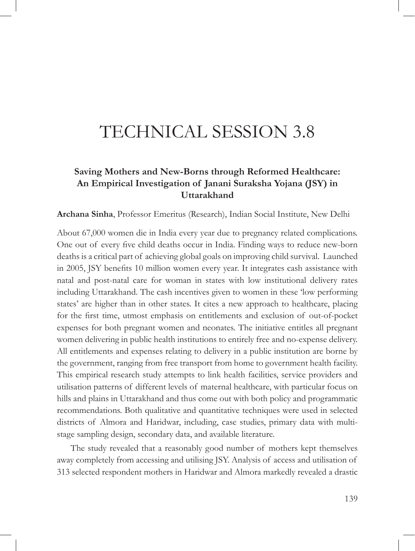# TECHNICAL SESSION 3.8

# **Saving Mothers and New-Borns through Reformed Healthcare: An Empirical Investigation of Janani Suraksha Yojana (JSY) in Uttarakhand**

**Archana Sinha**, Professor Emeritus (Research), Indian Social Institute, New Delhi

About 67,000 women die in India every year due to pregnancy related complications. One out of every five child deaths occur in India. Finding ways to reduce new-born deaths is a critical part of achieving global goals on improving child survival. Launched in 2005, JSY benefits 10 million women every year. It integrates cash assistance with natal and post-natal care for woman in states with low institutional delivery rates including Uttarakhand. The cash incentives given to women in these 'low performing states' are higher than in other states. It cites a new approach to healthcare, placing for the first time, utmost emphasis on entitlements and exclusion of out-of-pocket expenses for both pregnant women and neonates. The initiative entitles all pregnant women delivering in public health institutions to entirely free and no-expense delivery. All entitlements and expenses relating to delivery in a public institution are borne by the government, ranging from free transport from home to government health facility. This empirical research study attempts to link health facilities, service providers and utilisation patterns of different levels of maternal healthcare, with particular focus on hills and plains in Uttarakhand and thus come out with both policy and programmatic recommendations. Both qualitative and quantitative techniques were used in selected districts of Almora and Haridwar, including, case studies, primary data with multistage sampling design, secondary data, and available literature.

The study revealed that a reasonably good number of mothers kept themselves away completely from accessing and utilising JSY. Analysis of access and utilisation of 313 selected respondent mothers in Haridwar and Almora markedly revealed a drastic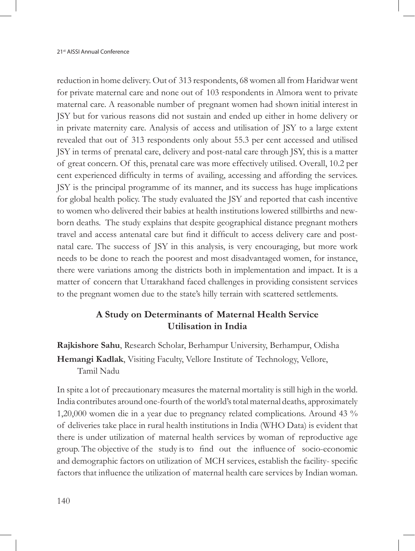reduction in home delivery. Out of 313 respondents, 68 women all from Haridwar went for private maternal care and none out of 103 respondents in Almora went to private maternal care. A reasonable number of pregnant women had shown initial interest in JSY but for various reasons did not sustain and ended up either in home delivery or in private maternity care. Analysis of access and utilisation of JSY to a large extent revealed that out of 313 respondents only about 55.3 per cent accessed and utilised JSY in terms of prenatal care, delivery and post-natal care through JSY, this is a matter of great concern. Of this, prenatal care was more effectively utilised. Overall, 10.2 per cent experienced difficulty in terms of availing, accessing and affording the services. JSY is the principal programme of its manner, and its success has huge implications for global health policy. The study evaluated the JSY and reported that cash incentive to women who delivered their babies at health institutions lowered stillbirths and newborn deaths. The study explains that despite geographical distance pregnant mothers travel and access antenatal care but find it difficult to access delivery care and postnatal care. The success of JSY in this analysis, is very encouraging, but more work needs to be done to reach the poorest and most disadvantaged women, for instance, there were variations among the districts both in implementation and impact. It is a matter of concern that Uttarakhand faced challenges in providing consistent services to the pregnant women due to the state's hilly terrain with scattered settlements.

## **A Study on Determinants of Maternal Health Service Utilisation in India**

**Rajkishore Sahu**, Research Scholar, Berhampur University, Berhampur, Odisha **Hemangi Kadlak**, Visiting Faculty, Vellore Institute of Technology, Vellore, Tamil Nadu

In spite a lot of precautionary measures the maternal mortality is still high in the world. India contributes around one-fourth of the world's total maternal deaths, approximately 1,20,000 women die in a year due to pregnancy related complications. Around 43 % of deliveries take place in rural health institutions in India (WHO Data) is evident that there is under utilization of maternal health services by woman of reproductive age group. The objective of the study is to find out the influence of socio-economic and demographic factors on utilization of MCH services, establish the facility- specific factors that influence the utilization of maternal health care services by Indian woman.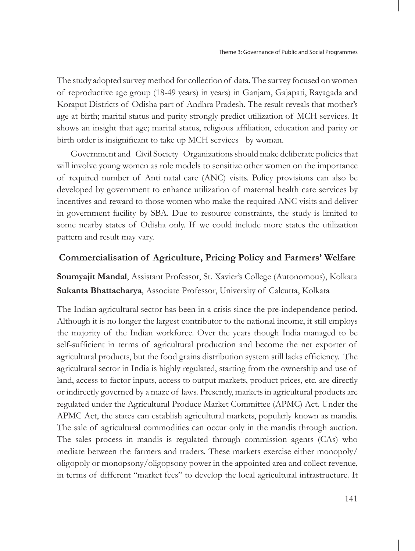The study adopted survey method for collection of data. The survey focused on women of reproductive age group (18-49 years) in years) in Ganjam, Gajapati, Rayagada and Koraput Districts of Odisha part of Andhra Pradesh. The result reveals that mother's age at birth; marital status and parity strongly predict utilization of MCH services. It shows an insight that age; marital status, religious affiliation, education and parity or birth order is insignificant to take up MCH services by woman.

Government and Civil Society Organizations should make deliberate policies that will involve young women as role models to sensitize other women on the importance of required number of Anti natal care (ANC) visits. Policy provisions can also be developed by government to enhance utilization of maternal health care services by incentives and reward to those women who make the required ANC visits and deliver in government facility by SBA. Due to resource constraints, the study is limited to some nearby states of Odisha only. If we could include more states the utilization pattern and result may vary.

#### **Commercialisation of Agriculture, Pricing Policy and Farmers' Welfare**

**Soumyajit Mandal**, Assistant Professor, St. Xavier's College (Autonomous), Kolkata **Sukanta Bhattacharya**, Associate Professor, University of Calcutta, Kolkata

The Indian agricultural sector has been in a crisis since the pre-independence period. Although it is no longer the largest contributor to the national income, it still employs the majority of the Indian workforce. Over the years though India managed to be self-sufficient in terms of agricultural production and become the net exporter of agricultural products, but the food grains distribution system still lacks efficiency. The agricultural sector in India is highly regulated, starting from the ownership and use of land, access to factor inputs, access to output markets, product prices, etc. are directly or indirectly governed by a maze of laws. Presently, markets in agricultural products are regulated under the Agricultural Produce Market Committee (APMC) Act. Under the APMC Act, the states can establish agricultural markets, popularly known as mandis. The sale of agricultural commodities can occur only in the mandis through auction. The sales process in mandis is regulated through commission agents (CAs) who mediate between the farmers and traders. These markets exercise either monopoly/ oligopoly or monopsony/oligopsony power in the appointed area and collect revenue, in terms of different "market fees" to develop the local agricultural infrastructure. It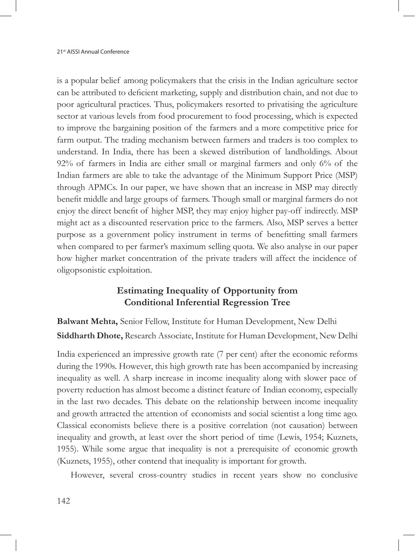is a popular belief among policymakers that the crisis in the Indian agriculture sector can be attributed to deficient marketing, supply and distribution chain, and not due to poor agricultural practices. Thus, policymakers resorted to privatising the agriculture sector at various levels from food procurement to food processing, which is expected to improve the bargaining position of the farmers and a more competitive price for farm output. The trading mechanism between farmers and traders is too complex to understand. In India, there has been a skewed distribution of landholdings. About 92% of farmers in India are either small or marginal farmers and only 6% of the Indian farmers are able to take the advantage of the Minimum Support Price (MSP) through APMCs. In our paper, we have shown that an increase in MSP may directly benefit middle and large groups of farmers. Though small or marginal farmers do not enjoy the direct benefit of higher MSP, they may enjoy higher pay-off indirectly. MSP might act as a discounted reservation price to the farmers. Also, MSP serves a better purpose as a government policy instrument in terms of benefitting small farmers when compared to per farmer's maximum selling quota. We also analyse in our paper how higher market concentration of the private traders will affect the incidence of oligopsonistic exploitation.

## **Estimating Inequality of Opportunity from Conditional Inferential Regression Tree**

**Balwant Mehta,** Senior Fellow, Institute for Human Development, New Delhi **Siddharth Dhote,** Research Associate, Institute for Human Development, New Delhi

India experienced an impressive growth rate (7 per cent) after the economic reforms during the 1990s. However, this high growth rate has been accompanied by increasing inequality as well. A sharp increase in income inequality along with slower pace of poverty reduction has almost become a distinct feature of Indian economy, especially in the last two decades. This debate on the relationship between income inequality and growth attracted the attention of economists and social scientist a long time ago. Classical economists believe there is a positive correlation (not causation) between inequality and growth, at least over the short period of time (Lewis, 1954; Kuznets, 1955). While some argue that inequality is not a prerequisite of economic growth (Kuznets, 1955), other contend that inequality is important for growth.

However, several cross-country studies in recent years show no conclusive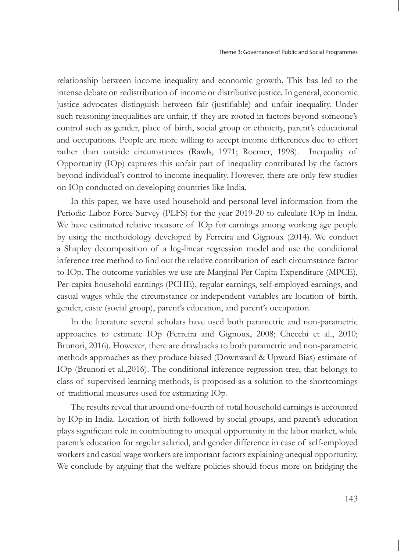relationship between income inequality and economic growth. This has led to the intense debate on redistribution of income or distributive justice. In general, economic justice advocates distinguish between fair (justifiable) and unfair inequality. Under such reasoning inequalities are unfair, if they are rooted in factors beyond someone's control such as gender, place of birth, social group or ethnicity, parent's educational and occupations. People are more willing to accept income differences due to effort rather than outside circumstances (Rawls, 1971; Roemer, 1998). Inequality of Opportunity (IOp) captures this unfair part of inequality contributed by the factors beyond individual's control to income inequality. However, there are only few studies on IOp conducted on developing countries like India.

In this paper, we have used household and personal level information from the Periodic Labor Force Survey (PLFS) for the year 2019-20 to calculate IOp in India. We have estimated relative measure of IOp for earnings among working age people by using the methodology developed by Ferreira and Gignoux (2014). We conduct a Shapley decomposition of a log-linear regression model and use the conditional inference tree method to find out the relative contribution of each circumstance factor to IOp. The outcome variables we use are Marginal Per Capita Expenditure (MPCE), Per-capita household earnings (PCHE), regular earnings, self-employed earnings, and casual wages while the circumstance or independent variables are location of birth, gender, caste (social group), parent's education, and parent's occupation.

In the literature several scholars have used both parametric and non-parametric approaches to estimate IOp (Ferreira and Gignoux, 2008; Checchi et al., 2010; Brunori, 2016). However, there are drawbacks to both parametric and non-parametric methods approaches as they produce biased (Downward & Upward Bias) estimate of IOp (Brunori et al.,2016). The conditional inference regression tree, that belongs to class of supervised learning methods, is proposed as a solution to the shortcomings of traditional measures used for estimating IOp.

The results reveal that around one-fourth of total household earnings is accounted by IOp in India. Location of birth followed by social groups, and parent's education plays significant role in contributing to unequal opportunity in the labor market, while parent's education for regular salaried, and gender difference in case of self-employed workers and casual wage workers are important factors explaining unequal opportunity. We conclude by arguing that the welfare policies should focus more on bridging the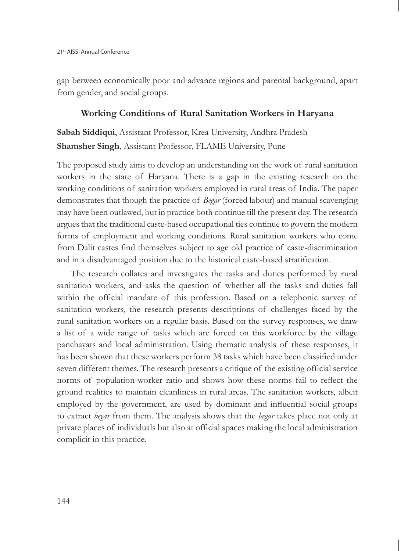gap between economically poor and advance regions and parental background, apart from gender, and social groups.

### **Working Conditions of Rural Sanitation Workers in Haryana**

**Sabah Siddiqui**, Assistant Professor, Krea University, Andhra Pradesh **Shamsher Singh**, Assistant Professor, FLAME University, Pune

The proposed study aims to develop an understanding on the work of rural sanitation workers in the state of Haryana. There is a gap in the existing research on the working conditions of sanitation workers employed in rural areas of India. The paper demonstrates that though the practice of *Begar* (forced labour) and manual scavenging may have been outlawed, but in practice both continue till the present day. The research argues that the traditional caste-based occupational ties continue to govern the modern forms of employment and working conditions. Rural sanitation workers who come from Dalit castes find themselves subject to age old practice of caste-discrimination and in a disadvantaged position due to the historical caste-based stratification.

The research collates and investigates the tasks and duties performed by rural sanitation workers, and asks the question of whether all the tasks and duties fall within the official mandate of this profession. Based on a telephonic survey of sanitation workers, the research presents descriptions of challenges faced by the rural sanitation workers on a regular basis. Based on the survey responses, we draw a list of a wide range of tasks which are forced on this workforce by the village panchayats and local administration. Using thematic analysis of these responses, it has been shown that these workers perform 38 tasks which have been classified under seven different themes. The research presents a critique of the existing official service norms of population-worker ratio and shows how these norms fail to reflect the ground realities to maintain cleanliness in rural areas. The sanitation workers, albeit employed by the government, are used by dominant and influential social groups to extract *begar* from them. The analysis shows that the *begar* takes place not only at private places of individuals but also at official spaces making the local administration complicit in this practice.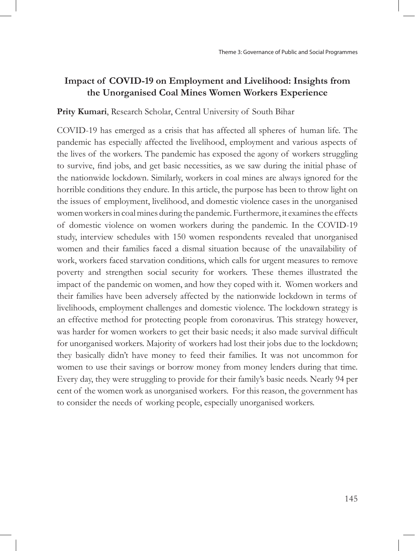## **Impact of COVID-19 on Employment and Livelihood: Insights from the Unorganised Coal Mines Women Workers Experience**

#### **Prity Kumari**, Research Scholar, Central University of South Bihar

COVID-19 has emerged as a crisis that has affected all spheres of human life. The pandemic has especially affected the livelihood, employment and various aspects of the lives of the workers. The pandemic has exposed the agony of workers struggling to survive, find jobs, and get basic necessities, as we saw during the initial phase of the nationwide lockdown. Similarly, workers in coal mines are always ignored for the horrible conditions they endure. In this article, the purpose has been to throw light on the issues of employment, livelihood, and domestic violence cases in the unorganised women workers in coal mines during the pandemic. Furthermore, it examines the effects of domestic violence on women workers during the pandemic. In the COVID-19 study, interview schedules with 150 women respondents revealed that unorganised women and their families faced a dismal situation because of the unavailability of work, workers faced starvation conditions, which calls for urgent measures to remove poverty and strengthen social security for workers. These themes illustrated the impact of the pandemic on women, and how they coped with it. Women workers and their families have been adversely affected by the nationwide lockdown in terms of livelihoods, employment challenges and domestic violence. The lockdown strategy is an effective method for protecting people from coronavirus. This strategy however, was harder for women workers to get their basic needs; it also made survival difficult for unorganised workers. Majority of workers had lost their jobs due to the lockdown; they basically didn't have money to feed their families. It was not uncommon for women to use their savings or borrow money from money lenders during that time. Every day, they were struggling to provide for their family's basic needs. Nearly 94 per cent of the women work as unorganised workers. For this reason, the government has to consider the needs of working people, especially unorganised workers.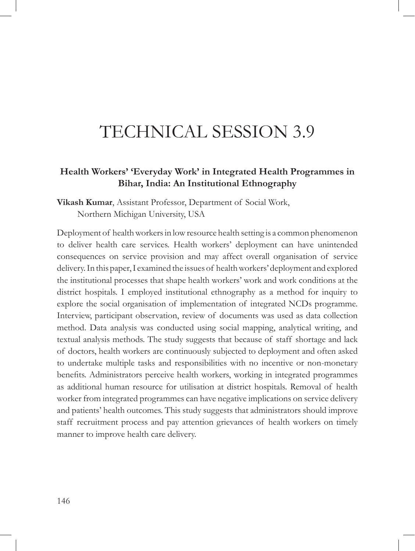# TECHNICAL SESSION 3.9

## **Health Workers' 'Everyday Work' in Integrated Health Programmes in Bihar, India: An Institutional Ethnography**

**Vikash Kumar**, Assistant Professor, Department of Social Work, Northern Michigan University, USA

Deployment of health workers in low resource health setting is a common phenomenon to deliver health care services. Health workers' deployment can have unintended consequences on service provision and may affect overall organisation of service delivery. In this paper, I examined the issues of health workers' deployment and explored the institutional processes that shape health workers' work and work conditions at the district hospitals. I employed institutional ethnography as a method for inquiry to explore the social organisation of implementation of integrated NCDs programme. Interview, participant observation, review of documents was used as data collection method. Data analysis was conducted using social mapping, analytical writing, and textual analysis methods. The study suggests that because of staff shortage and lack of doctors, health workers are continuously subjected to deployment and often asked to undertake multiple tasks and responsibilities with no incentive or non-monetary benefits. Administrators perceive health workers, working in integrated programmes as additional human resource for utilisation at district hospitals. Removal of health worker from integrated programmes can have negative implications on service delivery and patients' health outcomes. This study suggests that administrators should improve staff recruitment process and pay attention grievances of health workers on timely manner to improve health care delivery.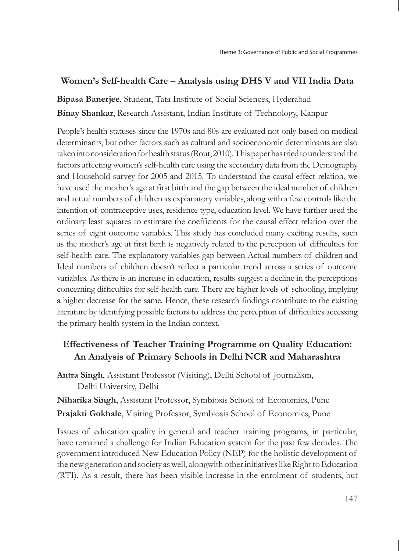## **Women's Self-health Care – Analysis using DHS V and VII India Data**

**Bipasa Banerjee**, Student, Tata Institute of Social Sciences, Hyderabad **Binay Shankar**, Research Assistant, Indian Institute of Technology, Kanpur

People's health statuses since the 1970s and 80s are evaluated not only based on medical determinants, but other factors such as cultural and socioeconomic determinants are also taken into consideration for health status (Rout, 2010). This paper has tried to understand the factors affecting women's self-health care using the secondary data from the Demography and Household survey for 2005 and 2015. To understand the causal effect relation, we have used the mother's age at first birth and the gap between the ideal number of children and actual numbers of children as explanatory variables, along with a few controls like the intention of contraceptive uses, residence type, education level. We have further used the ordinary least squares to estimate the coefficients for the causal effect relation over the series of eight outcome variables. This study has concluded many exciting results, such as the mother's age at first birth is negatively related to the perception of difficulties for self-health care. The explanatory variables gap between Actual numbers of children and Ideal numbers of children doesn't reflect a particular trend across a series of outcome variables. As there is an increase in education, results suggest a decline in the perceptions concerning difficulties for self-health care. There are higher levels of schooling, implying a higher decrease for the same. Hence, these research findings contribute to the existing literature by identifying possible factors to address the perception of difficulties accessing the primary health system in the Indian context.

## **Effectiveness of Teacher Training Programme on Quality Education: An Analysis of Primary Schools in Delhi NCR and Maharashtra**

**Antra Singh**, Assistant Professor (Visiting), Delhi School of Journalism, Delhi University, Delhi

**Niharika Singh**, Assistant Professor, Symbiosis School of Economics, Pune **Prajakti Gokhale**, Visiting Professor, Symbiosis School of Economics, Pune

Issues of education quality in general and teacher training programs, in particular, have remained a challenge for Indian Education system for the past few decades. The government introduced New Education Policy (NEP) for the holistic development of the new generation and society as well, alongwith other initiatives like Right to Education (RTI). As a result, there has been visible increase in the enrolment of students, but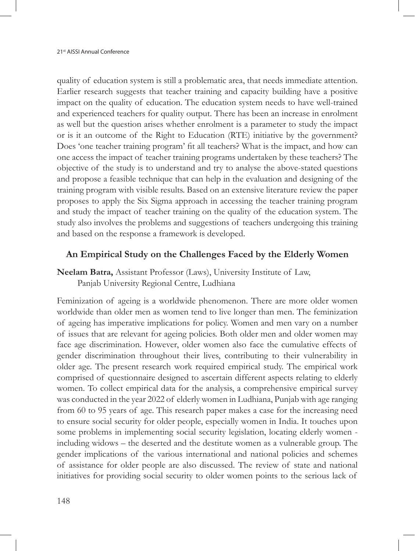quality of education system is still a problematic area, that needs immediate attention. Earlier research suggests that teacher training and capacity building have a positive impact on the quality of education. The education system needs to have well-trained and experienced teachers for quality output. There has been an increase in enrolment as well but the question arises whether enrolment is a parameter to study the impact or is it an outcome of the Right to Education (RTE) initiative by the government? Does 'one teacher training program' fit all teachers? What is the impact, and how can one access the impact of teacher training programs undertaken by these teachers? The objective of the study is to understand and try to analyse the above-stated questions and propose a feasible technique that can help in the evaluation and designing of the training program with visible results. Based on an extensive literature review the paper proposes to apply the Six Sigma approach in accessing the teacher training program and study the impact of teacher training on the quality of the education system. The study also involves the problems and suggestions of teachers undergoing this training and based on the response a framework is developed.

### **An Empirical Study on the Challenges Faced by the Elderly Women**

**Neelam Batra,** Assistant Professor (Laws), University Institute of Law, Panjab University Regional Centre, Ludhiana

Feminization of ageing is a worldwide phenomenon. There are more older women worldwide than older men as women tend to live longer than men. The feminization of ageing has imperative implications for policy. Women and men vary on a number of issues that are relevant for ageing policies. Both older men and older women may face age discrimination. However, older women also face the cumulative effects of gender discrimination throughout their lives, contributing to their vulnerability in older age. The present research work required empirical study. The empirical work comprised of questionnaire designed to ascertain different aspects relating to elderly women. To collect empirical data for the analysis, a comprehensive empirical survey was conducted in the year 2022 of elderly women in Ludhiana, Punjab with age ranging from 60 to 95 years of age. This research paper makes a case for the increasing need to ensure social security for older people, especially women in India. It touches upon some problems in implementing social security legislation, locating elderly women including widows – the deserted and the destitute women as a vulnerable group. The gender implications of the various international and national policies and schemes of assistance for older people are also discussed. The review of state and national initiatives for providing social security to older women points to the serious lack of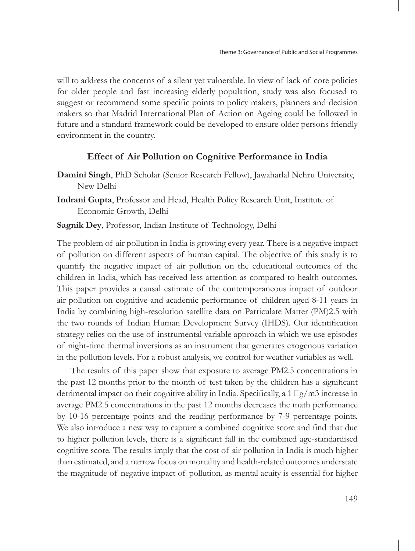will to address the concerns of a silent yet vulnerable. In view of lack of core policies for older people and fast increasing elderly population, study was also focused to suggest or recommend some specific points to policy makers, planners and decision makers so that Madrid International Plan of Action on Ageing could be followed in future and a standard framework could be developed to ensure older persons friendly environment in the country.

### **Effect of Air Pollution on Cognitive Performance in India**

- **Damini Singh**, PhD Scholar (Senior Research Fellow), Jawaharlal Nehru University, New Delhi
- **Indrani Gupta**, Professor and Head, Health Policy Research Unit, Institute of Economic Growth, Delhi
- **Sagnik Dey**, Professor, Indian Institute of Technology, Delhi

The problem of air pollution in India is growing every year. There is a negative impact of pollution on different aspects of human capital. The objective of this study is to quantify the negative impact of air pollution on the educational outcomes of the children in India, which has received less attention as compared to health outcomes. This paper provides a causal estimate of the contemporaneous impact of outdoor air pollution on cognitive and academic performance of children aged 8-11 years in India by combining high-resolution satellite data on Particulate Matter (PM)2.5 with the two rounds of Indian Human Development Survey (IHDS). Our identification strategy relies on the use of instrumental variable approach in which we use episodes of night-time thermal inversions as an instrument that generates exogenous variation in the pollution levels. For a robust analysis, we control for weather variables as well.

The results of this paper show that exposure to average PM2.5 concentrations in the past 12 months prior to the month of test taken by the children has a significant detrimental impact on their cognitive ability in India. Specifically, a  $1 \Box g / m3$  increase in average PM2.5 concentrations in the past 12 months decreases the math performance by 10-16 percentage points and the reading performance by 7-9 percentage points. We also introduce a new way to capture a combined cognitive score and find that due to higher pollution levels, there is a significant fall in the combined age-standardised cognitive score. The results imply that the cost of air pollution in India is much higher than estimated, and a narrow focus on mortality and health-related outcomes understate the magnitude of negative impact of pollution, as mental acuity is essential for higher